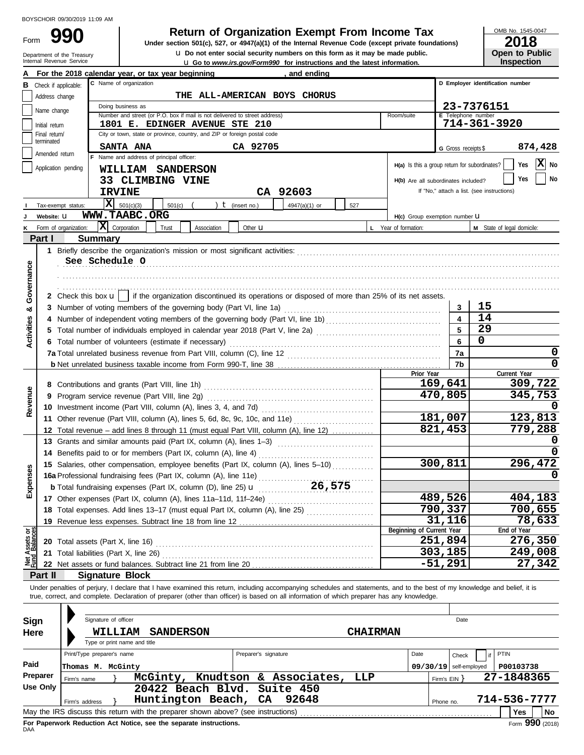Form

Department of the Treasury<br>Internal Revenue Service

# **Return of Organization Exempt From Income Tax 990 <sup>2018</sup>**

**u** Go to *www.irs.gov/Form990* for instructions and the latest information. **u** Do not enter social security numbers on this form as it may be made public. **Under section 501(c), 527, or 4947(a)(1) of the Internal Revenue Code (except private foundations)** OMB No. 1545-0047

| 20 I O                |  |
|-----------------------|--|
| <b>Open to Public</b> |  |
| <b>Inspection</b>     |  |

|                                |                                 | For the 2018 calendar year, or tax year beginning<br>and ending                                                                                                            |            |                                     |                                                                                    |  |
|--------------------------------|---------------------------------|----------------------------------------------------------------------------------------------------------------------------------------------------------------------------|------------|-------------------------------------|------------------------------------------------------------------------------------|--|
|                                | <b>B</b> Check if applicable:   | C Name of organization                                                                                                                                                     |            |                                     | D Employer identification number                                                   |  |
|                                | Address change                  | THE ALL-AMERICAN BOYS CHORUS                                                                                                                                               |            |                                     |                                                                                    |  |
|                                | Name change                     | Doing business as                                                                                                                                                          |            |                                     | 23-7376151                                                                         |  |
|                                |                                 | Number and street (or P.O. box if mail is not delivered to street address)<br>Room/suite                                                                                   |            | E Telephone number                  | 714-361-3920                                                                       |  |
|                                | Initial return<br>Final return/ | <b>1801 E. EDINGER AVENUE STE 210</b><br>City or town, state or province, country, and ZIP or foreign postal code                                                          |            |                                     |                                                                                    |  |
|                                | terminated                      |                                                                                                                                                                            |            |                                     |                                                                                    |  |
|                                | Amended return                  | SANTA ANA<br>CA 92705                                                                                                                                                      |            | G Gross receipts \$                 | 874,428                                                                            |  |
|                                |                                 | F Name and address of principal officer:                                                                                                                                   |            |                                     | $\overline{\mathbf{X}}$ No<br>H(a) Is this a group return for subordinates?<br>Yes |  |
|                                | Application pending             | WILLIAM SANDERSON                                                                                                                                                          |            |                                     |                                                                                    |  |
|                                |                                 | 33 CLIMBING VINE                                                                                                                                                           |            | H(b) Are all subordinates included? | No<br>Yes                                                                          |  |
|                                |                                 | CA 92603<br><b>IRVINE</b>                                                                                                                                                  |            |                                     | If "No," attach a list. (see instructions)                                         |  |
|                                | Tax-exempt status:              | $\overline{\mathbf{X}}$ 501(c)(3)<br>$501(c)$ (<br>) $t$ (insert no.)<br>4947(a)(1) or<br>527                                                                              |            |                                     |                                                                                    |  |
|                                | Website: U                      | WWW.TAABC.ORG                                                                                                                                                              |            | H(c) Group exemption number U       |                                                                                    |  |
| K                              | Form of organization:           | $ \mathbf{X} $ Corporation<br>Association<br>Other $\mathbf u$<br>L Year of formation:<br>Trust                                                                            |            |                                     | M State of legal domicile:                                                         |  |
|                                | Part I                          | <b>Summary</b>                                                                                                                                                             |            |                                     |                                                                                    |  |
|                                |                                 |                                                                                                                                                                            |            |                                     |                                                                                    |  |
|                                |                                 | See Schedule O                                                                                                                                                             |            |                                     |                                                                                    |  |
|                                |                                 |                                                                                                                                                                            |            |                                     |                                                                                    |  |
|                                |                                 |                                                                                                                                                                            |            |                                     |                                                                                    |  |
| Governance                     |                                 | 2 Check this box $\mathbf{u}$   if the organization discontinued its operations or disposed of more than 25% of its net assets.                                            |            |                                     |                                                                                    |  |
|                                |                                 | 3 Number of voting members of the governing body (Part VI, line 1a) [1] [2] Number of voting members of the governing body (Part VI, line 1a)                              |            | 3                                   | 15                                                                                 |  |
| ఱ                              |                                 |                                                                                                                                                                            |            |                                     | 14                                                                                 |  |
| Activities                     | 5.                              | Total number of individuals employed in calendar year 2018 (Part V, line 2a) [[[[[[[[[[[[[[[[[[[[[[[[[[[[[[[[                                                              |            | 5                                   | 29                                                                                 |  |
|                                |                                 |                                                                                                                                                                            |            | 6                                   | $\mathbf 0$                                                                        |  |
|                                |                                 | 6 Total number of volunteers (estimate if necessary)                                                                                                                       |            |                                     |                                                                                    |  |
|                                |                                 |                                                                                                                                                                            |            | 7a                                  | 0<br>$\mathbf 0$                                                                   |  |
|                                |                                 |                                                                                                                                                                            | Prior Year | 7b                                  | Current Year                                                                       |  |
|                                |                                 |                                                                                                                                                                            |            | 169,641                             | 309,722                                                                            |  |
|                                | 9                               |                                                                                                                                                                            | 470,805    |                                     | 345,753                                                                            |  |
| Revenue                        |                                 |                                                                                                                                                                            |            |                                     |                                                                                    |  |
|                                |                                 |                                                                                                                                                                            | 181,007    |                                     | 123,813                                                                            |  |
|                                |                                 | 11 Other revenue (Part VIII, column (A), lines 5, 6d, 8c, 9c, 10c, and 11e)                                                                                                |            |                                     |                                                                                    |  |
|                                | 12                              | Total revenue – add lines 8 through 11 (must equal Part VIII, column (A), line 12)                                                                                         |            | 821,453                             | 779,288                                                                            |  |
|                                |                                 | 13 Grants and similar amounts paid (Part IX, column (A), lines 1-3)                                                                                                        |            |                                     |                                                                                    |  |
|                                | 14                              | Benefits paid to or for members (Part IX, column (A), line 4)                                                                                                              |            |                                     |                                                                                    |  |
|                                |                                 | 15 Salaries, other compensation, employee benefits (Part IX, column (A), lines 5-10)                                                                                       |            | 300,811                             | 296,472                                                                            |  |
| Expenses                       |                                 | 16a Professional fundraising fees (Part IX, column (A), line 11e)                                                                                                          |            |                                     |                                                                                    |  |
|                                |                                 | 26,575<br><b>b</b> Total fundraising expenses (Part IX, column (D), line 25) $\mathbf{u}$                                                                                  |            |                                     |                                                                                    |  |
|                                |                                 | 17 Other expenses (Part IX, column (A), lines 11a-11d, 11f-24e)                                                                                                            |            | 489,526                             | 404,183                                                                            |  |
|                                |                                 | 18 Total expenses. Add lines 13-17 (must equal Part IX, column (A), line 25)                                                                                               | 790,337    |                                     | 700,655                                                                            |  |
|                                | 19                              | Revenue less expenses. Subtract line 18 from line 12                                                                                                                       |            | 31,116                              | 78,633                                                                             |  |
|                                |                                 | Beginning of Current Year                                                                                                                                                  |            |                                     | End of Year                                                                        |  |
| Net Assets or<br>Fund Balances |                                 | 20 Total assets (Part X, line 16)                                                                                                                                          |            | 251,894                             | 276,350                                                                            |  |
|                                |                                 | 21 Total liabilities (Part X, line 26)                                                                                                                                     |            | 303,185                             | 249,008                                                                            |  |
|                                |                                 |                                                                                                                                                                            | $-51,291$  |                                     | 27,342                                                                             |  |
|                                | Part II                         | <b>Signature Block</b>                                                                                                                                                     |            |                                     |                                                                                    |  |
|                                |                                 | Under penalties of perjury, I declare that I have examined this return, including accompanying schedules and statements, and to the best of my knowledge and belief, it is |            |                                     |                                                                                    |  |
|                                |                                 | true, correct, and complete. Declaration of preparer (other than officer) is based on all information of which preparer has any knowledge.                                 |            |                                     |                                                                                    |  |
|                                |                                 |                                                                                                                                                                            |            |                                     |                                                                                    |  |
| Sign                           |                                 | Signature of officer                                                                                                                                                       |            | Date                                |                                                                                    |  |
| Here                           |                                 | <b>WILLIAM</b><br><b>SANDERSON</b><br><b>CHAIRMAN</b>                                                                                                                      |            |                                     |                                                                                    |  |
|                                |                                 | Type or print name and title                                                                                                                                               |            |                                     |                                                                                    |  |
|                                |                                 | Preparer's signature<br>Print/Type preparer's name<br>Date                                                                                                                 |            | Check                               | <b>PTIN</b><br>if                                                                  |  |
| Paid                           |                                 | Thomas M. McGinty                                                                                                                                                          |            | $09/30/19$ self-employed            | P00103738                                                                          |  |
|                                | Preparer                        | McGinty, Knudtson & Associates,<br>LLP                                                                                                                                     |            | Firm's EIN                          | 27-1848365                                                                         |  |
|                                | Firm's name<br><b>Use Only</b>  | 20422 Beach Blvd.<br>Suite 450                                                                                                                                             |            |                                     |                                                                                    |  |
|                                |                                 | Huntington Beach,<br>CA<br>92648                                                                                                                                           |            |                                     | 714-536-7777                                                                       |  |
|                                | Firm's address                  |                                                                                                                                                                            |            | Phone no.                           | <b>Yes</b><br><b>No</b>                                                            |  |
|                                |                                 |                                                                                                                                                                            |            |                                     |                                                                                    |  |

| Sign     | Signature of officer                                                              |                 | Date                                  |           |
|----------|-----------------------------------------------------------------------------------|-----------------|---------------------------------------|-----------|
| Here     | WILLIAM<br><b>SANDERSON</b>                                                       | <b>CHAIRMAN</b> |                                       |           |
|          | Type or print name and title                                                      |                 |                                       |           |
|          | Preparer's signature<br>Print/Type preparer's name                                | Date            | PTIN<br>Check                         |           |
| Paid     | Thomas M. McGinty                                                                 |                 | $09/30/19$ self-employed<br>P00103738 |           |
| Preparer | Knudtson & Associates, LLP<br>McGinty,<br>Firm's name                             |                 | 27-1848365<br>Firm's EIN Y            |           |
| Use Only | 20422 Beach Blvd. Suite 450                                                       |                 |                                       |           |
|          | Huntington Beach, CA<br>92648<br>Firm's address                                   |                 | 714-536-7777<br>Phone no.             |           |
|          | May the IRS discuss this return with the preparer shown above? (see instructions) |                 | Yes                                   | <b>No</b> |
|          |                                                                                   |                 | $\sim$                                |           |

**For Paperwork Reduction Act Notice, see the separate instructions.**<br>DAA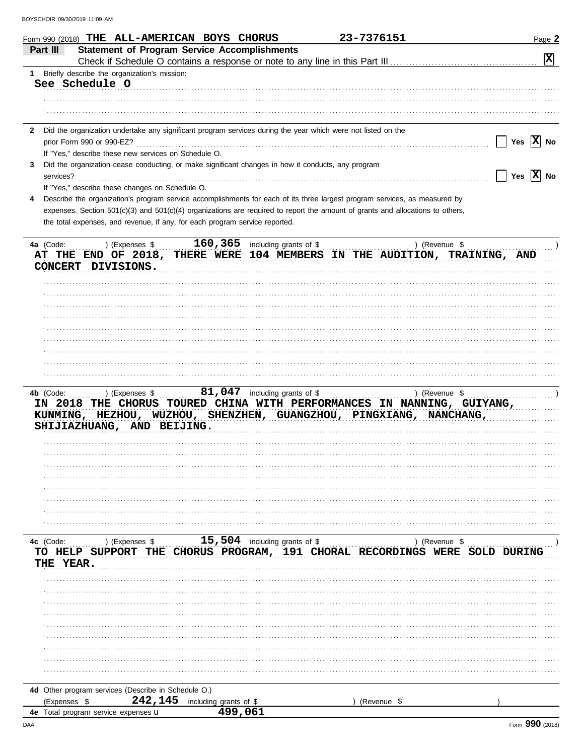|              | Form 990 (2018) THE ALL-AMERICAN BOYS CHORUS                                                                                                                                                                                           |                        | 23-7376151  |                          | Page 2                      |
|--------------|----------------------------------------------------------------------------------------------------------------------------------------------------------------------------------------------------------------------------------------|------------------------|-------------|--------------------------|-----------------------------|
| Part III     | <b>Statement of Program Service Accomplishments</b>                                                                                                                                                                                    |                        |             |                          | $\boxed{\mathbf{x}}$        |
| 1            | Briefly describe the organization's mission:                                                                                                                                                                                           |                        |             |                          |                             |
|              | See Schedule O                                                                                                                                                                                                                         |                        |             |                          |                             |
|              |                                                                                                                                                                                                                                        |                        |             |                          |                             |
|              |                                                                                                                                                                                                                                        |                        |             |                          |                             |
| $\mathbf{2}$ | Did the organization undertake any significant program services during the year which were not listed on the                                                                                                                           |                        |             |                          |                             |
|              |                                                                                                                                                                                                                                        |                        |             |                          | Yes $ X $ No                |
|              | If "Yes," describe these new services on Schedule O.                                                                                                                                                                                   |                        |             |                          |                             |
| 3            | Did the organization cease conducting, or make significant changes in how it conducts, any program                                                                                                                                     |                        |             |                          |                             |
| services?    |                                                                                                                                                                                                                                        |                        |             |                          | $\sqrt{}$ Yes $\sqrt{X}$ No |
|              | If "Yes," describe these changes on Schedule O.                                                                                                                                                                                        |                        |             |                          |                             |
| 4            | Describe the organization's program service accomplishments for each of its three largest program services, as measured by                                                                                                             |                        |             |                          |                             |
|              | expenses. Section 501(c)(3) and 501(c)(4) organizations are required to report the amount of grants and allocations to others,                                                                                                         |                        |             |                          |                             |
|              | the total expenses, and revenue, if any, for each program service reported.                                                                                                                                                            |                        |             |                          |                             |
|              | 4a (Code:  ) (Expenses \$  160, 365 including grants of \$                                                                                                                                                                             |                        |             | ) (Revenue $\frac{1}{2}$ |                             |
|              | AT THE END OF 2018, THERE WERE 104 MEMBERS IN THE AUDITION, TRAINING, AND                                                                                                                                                              |                        |             |                          |                             |
|              | CONCERT DIVISIONS.                                                                                                                                                                                                                     |                        |             |                          |                             |
|              |                                                                                                                                                                                                                                        |                        |             |                          |                             |
|              |                                                                                                                                                                                                                                        |                        |             |                          |                             |
|              |                                                                                                                                                                                                                                        |                        |             |                          |                             |
|              |                                                                                                                                                                                                                                        |                        |             |                          |                             |
|              |                                                                                                                                                                                                                                        |                        |             |                          |                             |
|              |                                                                                                                                                                                                                                        |                        |             |                          |                             |
|              |                                                                                                                                                                                                                                        |                        |             |                          |                             |
|              |                                                                                                                                                                                                                                        |                        |             |                          |                             |
|              |                                                                                                                                                                                                                                        |                        |             |                          |                             |
| 4b (Code:    | IN 2018 THE CHORUS TOURED CHINA WITH PERFORMANCES IN NANNING, GUIYANG,                                                                                                                                                                 |                        |             |                          |                             |
|              | KUNMING, HEZHOU, WUZHOU, SHENZHEN, GUANGZHOU, PINGXIANG, NANCHANG,                                                                                                                                                                     |                        |             |                          |                             |
|              | SHIJIAZHUANG, AND BEIJING.                                                                                                                                                                                                             |                        |             |                          |                             |
|              |                                                                                                                                                                                                                                        |                        |             |                          |                             |
|              |                                                                                                                                                                                                                                        |                        |             |                          |                             |
|              |                                                                                                                                                                                                                                        |                        |             |                          |                             |
|              |                                                                                                                                                                                                                                        |                        |             |                          |                             |
|              |                                                                                                                                                                                                                                        |                        |             |                          |                             |
|              |                                                                                                                                                                                                                                        |                        |             |                          |                             |
|              |                                                                                                                                                                                                                                        |                        |             |                          |                             |
|              |                                                                                                                                                                                                                                        |                        |             |                          |                             |
|              |                                                                                                                                                                                                                                        |                        |             |                          |                             |
|              | 4c (Code: ) (Expenses \$15,504 including grants of \$15,504 including grants of \$15,504 including grants of \$15,504 including grants of \$15,504 including grants of \$15,504 including grants of \$15,504 including grants of \$15, |                        |             |                          |                             |
| THE YEAR.    |                                                                                                                                                                                                                                        |                        |             |                          |                             |
|              |                                                                                                                                                                                                                                        |                        |             |                          |                             |
|              |                                                                                                                                                                                                                                        |                        |             |                          |                             |
|              |                                                                                                                                                                                                                                        |                        |             |                          |                             |
|              |                                                                                                                                                                                                                                        |                        |             |                          |                             |
|              |                                                                                                                                                                                                                                        |                        |             |                          |                             |
|              |                                                                                                                                                                                                                                        |                        |             |                          |                             |
|              |                                                                                                                                                                                                                                        |                        |             |                          |                             |
|              |                                                                                                                                                                                                                                        |                        |             |                          |                             |
|              |                                                                                                                                                                                                                                        |                        |             |                          |                             |
|              | 4d Other program services (Describe in Schedule O.)                                                                                                                                                                                    |                        |             |                          |                             |
| (Expenses \$ | 242,145                                                                                                                                                                                                                                | including grants of \$ | (Revenue \$ |                          |                             |
|              | 4e Total program service expenses u                                                                                                                                                                                                    | 499,061                |             |                          |                             |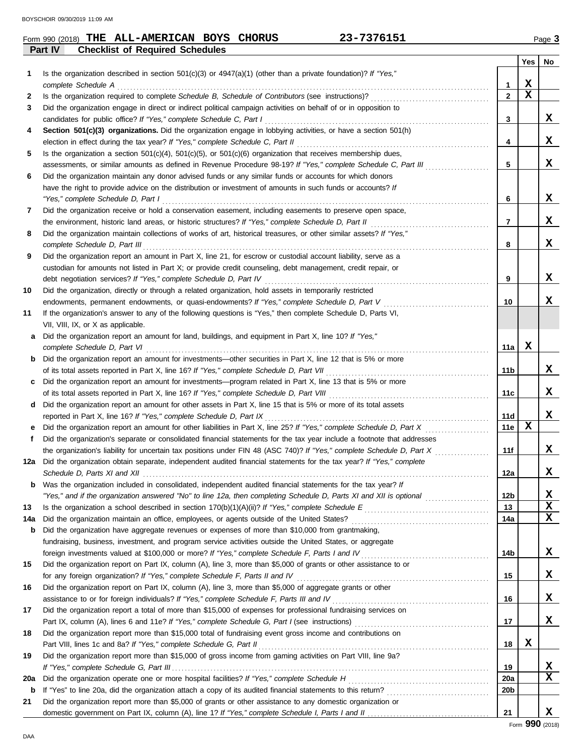## **Form 990 (2018) THE ALL-AMERICAN BOYS CHORUS** 23-7376151 Page 3

**Part IV Checklist of Required Schedules**

|     |                                                                                                                                              |              | Yes | No |
|-----|----------------------------------------------------------------------------------------------------------------------------------------------|--------------|-----|----|
| 1   | Is the organization described in section $501(c)(3)$ or $4947(a)(1)$ (other than a private foundation)? If "Yes,"                            |              |     |    |
|     | complete Schedule A                                                                                                                          | 1            | x   |    |
| 2   |                                                                                                                                              | $\mathbf{2}$ | X   |    |
| 3   | Did the organization engage in direct or indirect political campaign activities on behalf of or in opposition to                             |              |     |    |
|     | candidates for public office? If "Yes," complete Schedule C, Part I                                                                          | 3            |     | X  |
| 4   | Section 501(c)(3) organizations. Did the organization engage in lobbying activities, or have a section 501(h)                                |              |     |    |
|     |                                                                                                                                              | 4            |     | X  |
| 5   | Is the organization a section $501(c)(4)$ , $501(c)(5)$ , or $501(c)(6)$ organization that receives membership dues,                         |              |     |    |
|     | assessments, or similar amounts as defined in Revenue Procedure 98-19? If "Yes," complete Schedule C, Part III                               | 5            |     | X  |
| 6   | Did the organization maintain any donor advised funds or any similar funds or accounts for which donors                                      |              |     |    |
|     | have the right to provide advice on the distribution or investment of amounts in such funds or accounts? If                                  |              |     |    |
|     | "Yes," complete Schedule D, Part I                                                                                                           | 6            |     | X  |
| 7   | Did the organization receive or hold a conservation easement, including easements to preserve open space,                                    |              |     |    |
|     | the environment, historic land areas, or historic structures? If "Yes," complete Schedule D, Part II                                         | 7            |     | X  |
| 8   | Did the organization maintain collections of works of art, historical treasures, or other similar assets? If "Yes,"                          |              |     |    |
|     | complete Schedule D, Part III                                                                                                                | 8            |     | X  |
| 9   | Did the organization report an amount in Part X, line 21, for escrow or custodial account liability, serve as a                              |              |     |    |
|     | custodian for amounts not listed in Part X; or provide credit counseling, debt management, credit repair, or                                 |              |     |    |
|     | debt negotiation services? If "Yes," complete Schedule D, Part IV                                                                            | 9            |     | X  |
| 10  | Did the organization, directly or through a related organization, hold assets in temporarily restricted                                      |              |     |    |
|     | endowments, permanent endowments, or quasi-endowments? If "Yes," complete Schedule D, Part V                                                 | 10           |     | X  |
| 11  | If the organization's answer to any of the following questions is "Yes," then complete Schedule D, Parts VI,                                 |              |     |    |
|     | VII, VIII, IX, or X as applicable.                                                                                                           |              |     |    |
| a   | Did the organization report an amount for land, buildings, and equipment in Part X, line 10? If "Yes,"                                       | 11a          | х   |    |
|     | complete Schedule D, Part VI<br>Did the organization report an amount for investments-other securities in Part X, line 12 that is 5% or more |              |     |    |
| b   |                                                                                                                                              | 11 b         |     | X  |
| C   | Did the organization report an amount for investments—program related in Part X, line 13 that is 5% or more                                  |              |     |    |
|     |                                                                                                                                              | 11c          |     | x  |
| d   | Did the organization report an amount for other assets in Part X, line 15 that is 5% or more of its total assets                             |              |     |    |
|     | reported in Part X, line 16? If "Yes," complete Schedule D, Part IX [[CONDERGANDRETER PART]                                                  | 11d          |     | x  |
|     | Did the organization report an amount for other liabilities in Part X, line 25? If "Yes," complete Schedule D, Part X                        | 11e          | х   |    |
| f   | Did the organization's separate or consolidated financial statements for the tax year include a footnote that addresses                      |              |     |    |
|     | the organization's liability for uncertain tax positions under FIN 48 (ASC 740)? If "Yes," complete Schedule D, Part X                       | 11f          |     | X  |
| 12a | Did the organization obtain separate, independent audited financial statements for the tax year? If "Yes," complete                          |              |     |    |
|     |                                                                                                                                              | 12a          |     | x  |
| b   | Was the organization included in consolidated, independent audited financial statements for the tax year? If                                 |              |     |    |
|     |                                                                                                                                              | 12b          |     | X  |
| 13  |                                                                                                                                              | 13           |     | X  |
| 14a |                                                                                                                                              | 14a          |     | х  |
| b   | Did the organization have aggregate revenues or expenses of more than \$10,000 from grantmaking,                                             |              |     |    |
|     | fundraising, business, investment, and program service activities outside the United States, or aggregate                                    |              |     |    |
|     |                                                                                                                                              | 14b          |     | X  |
| 15  | Did the organization report on Part IX, column (A), line 3, more than \$5,000 of grants or other assistance to or                            |              |     |    |
|     |                                                                                                                                              | 15           |     | X  |
| 16  | Did the organization report on Part IX, column (A), line 3, more than \$5,000 of aggregate grants or other                                   |              |     |    |
|     |                                                                                                                                              | 16           |     | X  |
| 17  | Did the organization report a total of more than \$15,000 of expenses for professional fundraising services on                               |              |     |    |
|     |                                                                                                                                              | 17           |     | X  |
| 18  | Did the organization report more than \$15,000 total of fundraising event gross income and contributions on                                  |              | X   |    |
|     |                                                                                                                                              | 18           |     |    |
| 19  | Did the organization report more than \$15,000 of gross income from gaming activities on Part VIII, line 9a?                                 |              |     | X  |
| 20a |                                                                                                                                              | 19<br>20a    |     | X  |
| b   |                                                                                                                                              | 20b          |     |    |
| 21  | Did the organization report more than \$5,000 of grants or other assistance to any domestic organization or                                  |              |     |    |
|     |                                                                                                                                              | 21           |     | x  |
|     |                                                                                                                                              |              |     |    |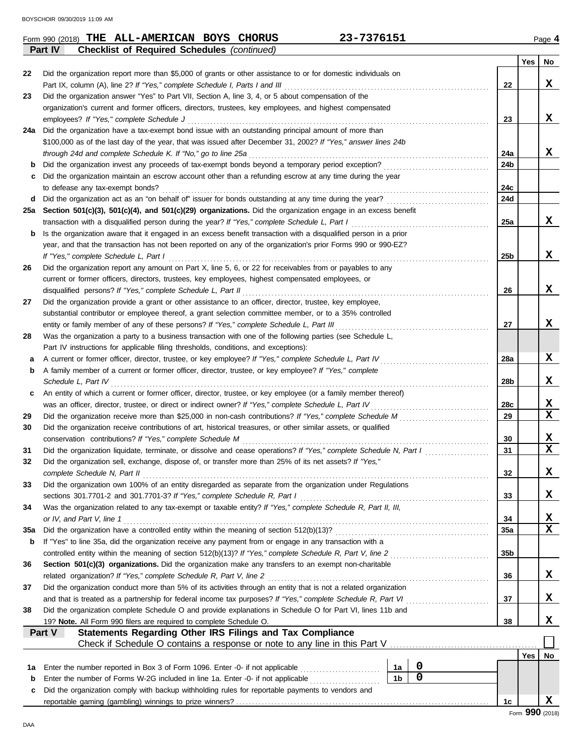|                                                                                                                                                            | <b>Checklist of Required Schedules (continued)</b><br><b>Part IV</b>                                                                                                                                                             |                 |     |             |  |  |  |  |  |
|------------------------------------------------------------------------------------------------------------------------------------------------------------|----------------------------------------------------------------------------------------------------------------------------------------------------------------------------------------------------------------------------------|-----------------|-----|-------------|--|--|--|--|--|
|                                                                                                                                                            |                                                                                                                                                                                                                                  |                 | Yes | No          |  |  |  |  |  |
| 22                                                                                                                                                         | Did the organization report more than \$5,000 of grants or other assistance to or for domestic individuals on                                                                                                                    |                 |     |             |  |  |  |  |  |
|                                                                                                                                                            | Part IX, column (A), line 2? If "Yes," complete Schedule I, Parts I and III                                                                                                                                                      | 22              |     | X           |  |  |  |  |  |
| 23                                                                                                                                                         | Did the organization answer "Yes" to Part VII, Section A, line 3, 4, or 5 about compensation of the                                                                                                                              |                 |     |             |  |  |  |  |  |
|                                                                                                                                                            | organization's current and former officers, directors, trustees, key employees, and highest compensated                                                                                                                          |                 |     |             |  |  |  |  |  |
|                                                                                                                                                            | employees? If "Yes," complete Schedule J                                                                                                                                                                                         | 23              |     | X           |  |  |  |  |  |
| 24a                                                                                                                                                        | Did the organization have a tax-exempt bond issue with an outstanding principal amount of more than                                                                                                                              |                 |     |             |  |  |  |  |  |
|                                                                                                                                                            | \$100,000 as of the last day of the year, that was issued after December 31, 2002? If "Yes," answer lines 24b                                                                                                                    |                 |     |             |  |  |  |  |  |
|                                                                                                                                                            | through 24d and complete Schedule K. If "No," go to line 25a                                                                                                                                                                     | 24a             |     | X.          |  |  |  |  |  |
| b                                                                                                                                                          |                                                                                                                                                                                                                                  | 24b             |     |             |  |  |  |  |  |
| c                                                                                                                                                          | Did the organization maintain an escrow account other than a refunding escrow at any time during the year                                                                                                                        |                 |     |             |  |  |  |  |  |
|                                                                                                                                                            | to defease any tax-exempt bonds?                                                                                                                                                                                                 | 24c             |     |             |  |  |  |  |  |
| d                                                                                                                                                          |                                                                                                                                                                                                                                  | 24d             |     |             |  |  |  |  |  |
| 25а                                                                                                                                                        | Section 501(c)(3), 501(c)(4), and 501(c)(29) organizations. Did the organization engage in an excess benefit                                                                                                                     | 25a             |     | X           |  |  |  |  |  |
|                                                                                                                                                            | transaction with a disqualified person during the year? If "Yes," complete Schedule L, Part I                                                                                                                                    |                 |     |             |  |  |  |  |  |
| b                                                                                                                                                          | Is the organization aware that it engaged in an excess benefit transaction with a disqualified person in a prior<br>year, and that the transaction has not been reported on any of the organization's prior Forms 990 or 990-EZ? |                 |     |             |  |  |  |  |  |
|                                                                                                                                                            | If "Yes," complete Schedule L, Part I                                                                                                                                                                                            | 25 <sub>b</sub> |     | x           |  |  |  |  |  |
| 26                                                                                                                                                         | Did the organization report any amount on Part X, line 5, 6, or 22 for receivables from or payables to any                                                                                                                       |                 |     |             |  |  |  |  |  |
|                                                                                                                                                            | current or former officers, directors, trustees, key employees, highest compensated employees, or                                                                                                                                |                 |     |             |  |  |  |  |  |
|                                                                                                                                                            | disqualified persons? If "Yes," complete Schedule L, Part II                                                                                                                                                                     | 26              |     | X           |  |  |  |  |  |
| 27                                                                                                                                                         | Did the organization provide a grant or other assistance to an officer, director, trustee, key employee,                                                                                                                         |                 |     |             |  |  |  |  |  |
|                                                                                                                                                            | substantial contributor or employee thereof, a grant selection committee member, or to a 35% controlled                                                                                                                          |                 |     |             |  |  |  |  |  |
|                                                                                                                                                            | entity or family member of any of these persons? If "Yes," complete Schedule L, Part III                                                                                                                                         | 27              |     | x           |  |  |  |  |  |
| 28                                                                                                                                                         | Was the organization a party to a business transaction with one of the following parties (see Schedule L,                                                                                                                        |                 |     |             |  |  |  |  |  |
|                                                                                                                                                            | Part IV instructions for applicable filing thresholds, conditions, and exceptions):                                                                                                                                              |                 |     |             |  |  |  |  |  |
| а                                                                                                                                                          | A current or former officer, director, trustee, or key employee? If "Yes," complete Schedule L, Part IV                                                                                                                          | 28a             |     | X           |  |  |  |  |  |
| b                                                                                                                                                          | A family member of a current or former officer, director, trustee, or key employee? If "Yes," complete                                                                                                                           |                 |     |             |  |  |  |  |  |
|                                                                                                                                                            | Schedule L, Part IV                                                                                                                                                                                                              | 28 <sub>b</sub> |     | X.          |  |  |  |  |  |
| с                                                                                                                                                          | An entity of which a current or former officer, director, trustee, or key employee (or a family member thereof)                                                                                                                  |                 |     |             |  |  |  |  |  |
|                                                                                                                                                            | was an officer, director, trustee, or direct or indirect owner? If "Yes," complete Schedule L, Part IV                                                                                                                           | 28c             |     | X.          |  |  |  |  |  |
| 29                                                                                                                                                         |                                                                                                                                                                                                                                  | 29              |     | $\mathbf x$ |  |  |  |  |  |
| 30                                                                                                                                                         | Did the organization receive contributions of art, historical treasures, or other similar assets, or qualified                                                                                                                   |                 |     |             |  |  |  |  |  |
|                                                                                                                                                            | conservation contributions? If "Yes," complete Schedule M                                                                                                                                                                        | 30              |     | x           |  |  |  |  |  |
| 31                                                                                                                                                         | Did the organization liquidate, terminate, or dissolve and cease operations? If "Yes," complete Schedule N, Part I                                                                                                               | 31              |     | $\mathbf x$ |  |  |  |  |  |
| 32                                                                                                                                                         | Did the organization sell, exchange, dispose of, or transfer more than 25% of its net assets? If "Yes,"                                                                                                                          |                 |     |             |  |  |  |  |  |
|                                                                                                                                                            | complete Schedule N, Part II                                                                                                                                                                                                     | 32              |     | х           |  |  |  |  |  |
| 33                                                                                                                                                         | Did the organization own 100% of an entity disregarded as separate from the organization under Regulations                                                                                                                       |                 |     |             |  |  |  |  |  |
|                                                                                                                                                            | sections 301.7701-2 and 301.7701-3? If "Yes," complete Schedule R, Part I                                                                                                                                                        | 33              |     | X.          |  |  |  |  |  |
| 34                                                                                                                                                         | Was the organization related to any tax-exempt or taxable entity? If "Yes," complete Schedule R, Part II, III,                                                                                                                   |                 |     |             |  |  |  |  |  |
|                                                                                                                                                            | or IV, and Part V, line 1                                                                                                                                                                                                        | 34              |     | X           |  |  |  |  |  |
| 35a                                                                                                                                                        |                                                                                                                                                                                                                                  | 35a             |     | X           |  |  |  |  |  |
| b                                                                                                                                                          | If "Yes" to line 35a, did the organization receive any payment from or engage in any transaction with a                                                                                                                          |                 |     |             |  |  |  |  |  |
|                                                                                                                                                            | controlled entity within the meaning of section 512(b)(13)? If "Yes," complete Schedule R, Part V, line 2                                                                                                                        |                 |     |             |  |  |  |  |  |
| 36                                                                                                                                                         | Section 501(c)(3) organizations. Did the organization make any transfers to an exempt non-charitable                                                                                                                             |                 |     |             |  |  |  |  |  |
|                                                                                                                                                            | related organization? If "Yes," complete Schedule R, Part V, line 2                                                                                                                                                              |                 |     |             |  |  |  |  |  |
| 37                                                                                                                                                         | Did the organization conduct more than 5% of its activities through an entity that is not a related organization                                                                                                                 |                 |     |             |  |  |  |  |  |
|                                                                                                                                                            | 37                                                                                                                                                                                                                               |                 |     |             |  |  |  |  |  |
| 38                                                                                                                                                         | Did the organization complete Schedule O and provide explanations in Schedule O for Part VI, lines 11b and                                                                                                                       |                 |     |             |  |  |  |  |  |
| 19? Note. All Form 990 filers are required to complete Schedule O.<br>38                                                                                   |                                                                                                                                                                                                                                  |                 |     |             |  |  |  |  |  |
|                                                                                                                                                            | <b>Statements Regarding Other IRS Filings and Tax Compliance</b><br>Part V                                                                                                                                                       |                 |     |             |  |  |  |  |  |
| Check if Schedule O contains a response or note to any line in this Part V [11] Check if Schedule O contains a response or note to any line in this Part V |                                                                                                                                                                                                                                  |                 |     |             |  |  |  |  |  |
|                                                                                                                                                            |                                                                                                                                                                                                                                  |                 | Yes | No          |  |  |  |  |  |
| 1a                                                                                                                                                         | 0<br>Enter the number reported in Box 3 of Form 1096. Enter -0- if not applicable<br>1a                                                                                                                                          |                 |     |             |  |  |  |  |  |
| b                                                                                                                                                          | $\pmb{0}$<br>1 <sub>b</sub><br>Enter the number of Forms W-2G included in line 1a. Enter -0- if not applicable www.communities                                                                                                   |                 |     |             |  |  |  |  |  |
| c                                                                                                                                                          | Did the organization comply with backup withholding rules for reportable payments to vendors and                                                                                                                                 |                 |     |             |  |  |  |  |  |
|                                                                                                                                                            |                                                                                                                                                                                                                                  | 1c              |     | x           |  |  |  |  |  |

Form 990 (2018) Page **4 THE ALL-AMERICAN BOYS CHORUS 23-7376151**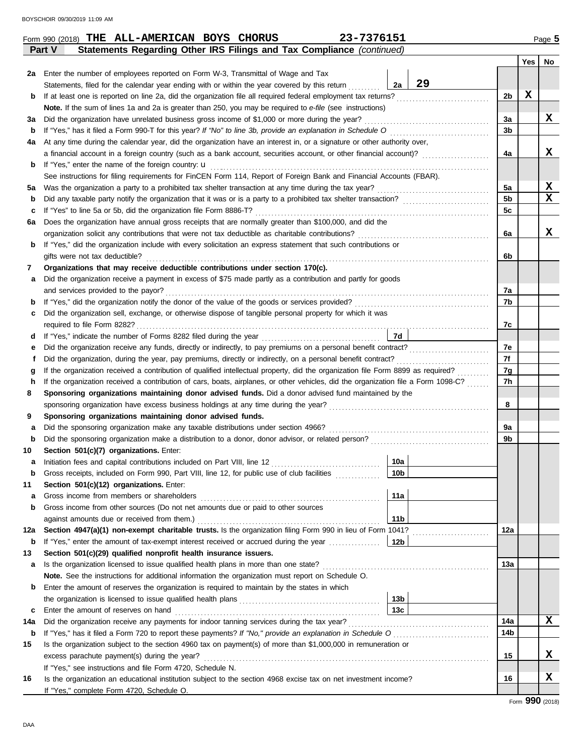|     | Statements Regarding Other IRS Filings and Tax Compliance (continued)<br>Part V                                                    |                        |    |                |     |             |
|-----|------------------------------------------------------------------------------------------------------------------------------------|------------------------|----|----------------|-----|-------------|
|     |                                                                                                                                    |                        |    |                | Yes | No          |
| 2a  | Enter the number of employees reported on Form W-3, Transmittal of Wage and Tax                                                    |                        |    |                |     |             |
|     | Statements, filed for the calendar year ending with or within the year covered by this return                                      | 2a                     | 29 |                |     |             |
| b   | If at least one is reported on line 2a, did the organization file all required federal employment tax returns?                     |                        |    | 2b             | X   |             |
|     | Note. If the sum of lines 1a and 2a is greater than 250, you may be required to e-file (see instructions)                          |                        |    |                |     |             |
| За  | Did the organization have unrelated business gross income of \$1,000 or more during the year?                                      |                        |    | За             |     | x           |
| b   |                                                                                                                                    |                        |    | 3b             |     |             |
| 4a  | At any time during the calendar year, did the organization have an interest in, or a signature or other authority over,            |                        |    |                |     |             |
|     | a financial account in a foreign country (such as a bank account, securities account, or other financial account)?                 |                        |    | 4a             |     | x           |
| b   | If "Yes," enter the name of the foreign country: <b>u</b>                                                                          |                        |    |                |     |             |
|     | See instructions for filing requirements for FinCEN Form 114, Report of Foreign Bank and Financial Accounts (FBAR).                |                        |    |                |     |             |
| 5a  |                                                                                                                                    |                        |    | 5a             |     | X           |
| b   |                                                                                                                                    |                        |    | 5 <sub>b</sub> |     | $\mathbf x$ |
| c   | If "Yes" to line 5a or 5b, did the organization file Form 8886-T?                                                                  |                        |    | 5c             |     |             |
| 6а  | Does the organization have annual gross receipts that are normally greater than \$100,000, and did the                             |                        |    |                |     |             |
|     | organization solicit any contributions that were not tax deductible as charitable contributions?                                   |                        |    | 6a             |     | x           |
| b   | If "Yes," did the organization include with every solicitation an express statement that such contributions or                     |                        |    |                |     |             |
|     | gifts were not tax deductible?                                                                                                     |                        |    | 6b             |     |             |
| 7   | Organizations that may receive deductible contributions under section 170(c).                                                      |                        |    |                |     |             |
| а   | Did the organization receive a payment in excess of \$75 made partly as a contribution and partly for goods                        |                        |    |                |     |             |
|     | and services provided to the payor?                                                                                                |                        |    | 7а             |     |             |
| b   |                                                                                                                                    |                        |    | 7b             |     |             |
| c   | Did the organization sell, exchange, or otherwise dispose of tangible personal property for which it was                           |                        |    |                |     |             |
|     |                                                                                                                                    |                        |    | 7с             |     |             |
| d   |                                                                                                                                    | 7d                     |    |                |     |             |
| е   |                                                                                                                                    |                        |    | 7e             |     |             |
| f   |                                                                                                                                    |                        |    | 7f             |     |             |
| g   | If the organization received a contribution of qualified intellectual property, did the organization file Form 8899 as required?   |                        |    | 7g             |     |             |
| h   | If the organization received a contribution of cars, boats, airplanes, or other vehicles, did the organization file a Form 1098-C? |                        |    | 7h             |     |             |
| 8   | Sponsoring organizations maintaining donor advised funds. Did a donor advised fund maintained by the                               |                        |    |                |     |             |
|     |                                                                                                                                    |                        |    | 8              |     |             |
| 9   | Sponsoring organizations maintaining donor advised funds.                                                                          |                        |    |                |     |             |
| а   | Did the sponsoring organization make any taxable distributions under section 4966?                                                 |                        |    | 9a<br>9b       |     |             |
| b   |                                                                                                                                    |                        |    |                |     |             |
| 10  | Section 501(c)(7) organizations. Enter:                                                                                            |                        |    |                |     |             |
| а   |                                                                                                                                    | 10a<br>10 <sub>b</sub> |    |                |     |             |
|     | Gross receipts, included on Form 990, Part VIII, line 12, for public use of club facilities                                        |                        |    |                |     |             |
| 11  | Section 501(c)(12) organizations. Enter:                                                                                           | 11a                    |    |                |     |             |
| a   | Gross income from members or shareholders<br>Gross income from other sources (Do not net amounts due or paid to other sources      |                        |    |                |     |             |
| b   | against amounts due or received from them.)                                                                                        | 11 <sub>b</sub>        |    |                |     |             |
| 12a | Section 4947(a)(1) non-exempt charitable trusts. Is the organization filing Form 990 in lieu of Form 1041?                         |                        |    | 12a            |     |             |
| b   | If "Yes," enter the amount of tax-exempt interest received or accrued during the year                                              | 12b                    |    |                |     |             |
| 13  | Section 501(c)(29) qualified nonprofit health insurance issuers.                                                                   |                        |    |                |     |             |
| а   | Is the organization licensed to issue qualified health plans in more than one state?                                               |                        |    | 13а            |     |             |
|     | Note. See the instructions for additional information the organization must report on Schedule O.                                  |                        |    |                |     |             |
| b   | Enter the amount of reserves the organization is required to maintain by the states in which                                       |                        |    |                |     |             |
|     |                                                                                                                                    | 13 <sub>b</sub>        |    |                |     |             |
| c   | Enter the amount of reserves on hand                                                                                               | ∣ 13с                  |    |                |     |             |
| 14a |                                                                                                                                    |                        |    | 14a            |     | X           |
| b   |                                                                                                                                    |                        |    | 14b            |     |             |
| 15  | Is the organization subject to the section 4960 tax on payment(s) of more than \$1,000,000 in remuneration or                      |                        |    |                |     |             |
|     | excess parachute payment(s) during the year?                                                                                       |                        |    | 15             |     | x           |
|     | If "Yes," see instructions and file Form 4720, Schedule N.                                                                         |                        |    |                |     |             |
| 16  | Is the organization an educational institution subject to the section 4968 excise tax on net investment income?                    |                        |    | 16             |     | x           |
|     | If "Yes," complete Form 4720, Schedule O.                                                                                          |                        |    |                |     |             |
|     |                                                                                                                                    |                        |    |                |     |             |

**Form 990 (2018) THE ALL-AMERICAN BOYS CHORUS** 23-7376151 Page 5

| и |
|---|
|---|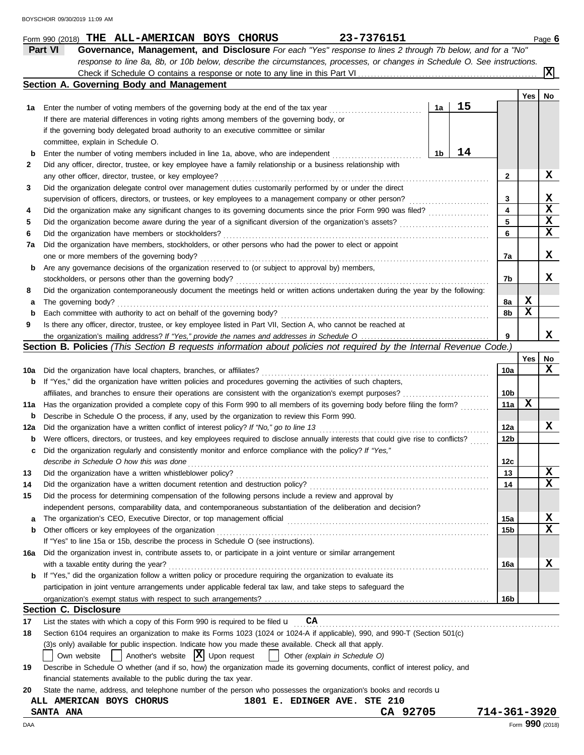|     | <b>Part VI</b><br>Governance, Management, and Disclosure For each "Yes" response to lines 2 through 7b below, and for a "No"        |                 |     |                 |
|-----|-------------------------------------------------------------------------------------------------------------------------------------|-----------------|-----|-----------------|
|     | response to line 8a, 8b, or 10b below, describe the circumstances, processes, or changes in Schedule O. See instructions.           |                 |     |                 |
|     |                                                                                                                                     |                 |     | x               |
|     | Section A. Governing Body and Management                                                                                            |                 |     |                 |
|     |                                                                                                                                     |                 | Yes | No              |
| 1а  | 15<br>Enter the number of voting members of the governing body at the end of the tax year<br>1a                                     |                 |     |                 |
|     | If there are material differences in voting rights among members of the governing body, or                                          |                 |     |                 |
|     | if the governing body delegated broad authority to an executive committee or similar                                                |                 |     |                 |
|     | committee, explain in Schedule O.                                                                                                   |                 |     |                 |
| b   | 14<br>1b<br>Enter the number of voting members included in line 1a, above, who are independent                                      |                 |     |                 |
| 2   | Did any officer, director, trustee, or key employee have a family relationship or a business relationship with                      |                 |     |                 |
|     | any other officer, director, trustee, or key employee?                                                                              | 2               |     | X               |
| 3   | Did the organization delegate control over management duties customarily performed by or under the direct                           |                 |     |                 |
|     | supervision of officers, directors, or trustees, or key employees to a management company or other person?                          | 3               |     | x               |
| 4   |                                                                                                                                     | 4               |     | $\mathbf x$     |
| 5   |                                                                                                                                     | 5               |     | $\mathbf X$     |
| 6   | Did the organization have members or stockholders?                                                                                  | 6               |     | $\mathbf x$     |
| 7а  | Did the organization have members, stockholders, or other persons who had the power to elect or appoint                             |                 |     |                 |
|     | one or more members of the governing body?                                                                                          | 7а              |     | X               |
| b   | Are any governance decisions of the organization reserved to (or subject to approval by) members,                                   |                 |     |                 |
|     | stockholders, or persons other than the governing body?                                                                             | 7b              |     | X.              |
| 8   | Did the organization contemporaneously document the meetings held or written actions undertaken during the year by the following:   |                 |     |                 |
| а   | The governing body?                                                                                                                 | 8а              | X   |                 |
| b   | Each committee with authority to act on behalf of the governing body?                                                               | 8b              | X   |                 |
| 9   | Is there any officer, director, trustee, or key employee listed in Part VII, Section A, who cannot be reached at                    |                 |     |                 |
|     |                                                                                                                                     | 9               |     | X               |
|     | Section B. Policies (This Section B requests information about policies not required by the Internal Revenue Code.)                 |                 |     |                 |
|     |                                                                                                                                     |                 | Yes | No              |
| 10a | Did the organization have local chapters, branches, or affiliates?                                                                  | 10a             |     | x               |
| b   | If "Yes," did the organization have written policies and procedures governing the activities of such chapters,                      |                 |     |                 |
|     | affiliates, and branches to ensure their operations are consistent with the organization's exempt purposes?                         | 10 <sub>b</sub> |     |                 |
| 11a | Has the organization provided a complete copy of this Form 990 to all members of its governing body before filing the form?         | 11a             | x   |                 |
| b   | Describe in Schedule O the process, if any, used by the organization to review this Form 990.                                       |                 |     |                 |
| 12a | Did the organization have a written conflict of interest policy? If "No," go to line 13                                             | 12a             |     | X.              |
| b   | Were officers, directors, or trustees, and key employees required to disclose annually interests that could give rise to conflicts? | 12b             |     |                 |
| c   | Did the organization regularly and consistently monitor and enforce compliance with the policy? If "Yes,"                           |                 |     |                 |
|     | describe in Schedule O how this was done                                                                                            | 12 <sub>c</sub> |     |                 |
| 13. | Did the organization have a written whistleblower policy?                                                                           | 13              |     | X               |
| 14  | Did the organization have a written document retention and destruction policy?                                                      | 14              |     | X               |
| 15  | Did the process for determining compensation of the following persons include a review and approval by                              |                 |     |                 |
|     | independent persons, comparability data, and contemporaneous substantiation of the deliberation and decision?                       |                 |     |                 |
| a   |                                                                                                                                     | 15a             |     | x               |
| b   | Other officers or key employees of the organization                                                                                 | 15b             |     | x               |
|     | If "Yes" to line 15a or 15b, describe the process in Schedule O (see instructions).                                                 |                 |     |                 |
| 16a | Did the organization invest in, contribute assets to, or participate in a joint venture or similar arrangement                      |                 |     |                 |
|     | with a taxable entity during the year?                                                                                              | 16a             |     | x               |
| b   | If "Yes," did the organization follow a written policy or procedure requiring the organization to evaluate its                      |                 |     |                 |
|     | participation in joint venture arrangements under applicable federal tax law, and take steps to safeguard the                       |                 |     |                 |
|     |                                                                                                                                     | 16b             |     |                 |
|     | <b>Section C. Disclosure</b>                                                                                                        |                 |     |                 |
| 17  | List the states with which a copy of this Form 990 is required to be filed $\mathbf{u}$ $\mathbf{CA}$                               |                 |     |                 |
| 18  | Section 6104 requires an organization to make its Forms 1023 (1024 or 1024-A if applicable), 990, and 990-T (Section 501(c)         |                 |     |                 |
|     | (3)s only) available for public inspection. Indicate how you made these available. Check all that apply.                            |                 |     |                 |
|     | $\vert$ Another's website $\vert X \vert$ Upon request<br>  Other (explain in Schedule O)<br>Own website                            |                 |     |                 |
| 19  | Describe in Schedule O whether (and if so, how) the organization made its governing documents, conflict of interest policy, and     |                 |     |                 |
|     | financial statements available to the public during the tax year.                                                                   |                 |     |                 |
| 20  | State the name, address, and telephone number of the person who possesses the organization's books and records u                    |                 |     |                 |
|     | 1801 E. EDINGER AVE. STE 210<br>ALL AMERICAN BOYS CHORUS                                                                            |                 |     |                 |
|     | CA 92705<br><b>SANTA ANA</b>                                                                                                        | 714-361-3920    |     |                 |
| DAA |                                                                                                                                     |                 |     | Form 990 (2018) |

Form 990 (2018) Page **6**

**THE ALL-AMERICAN BOYS CHORUS 23-7376151**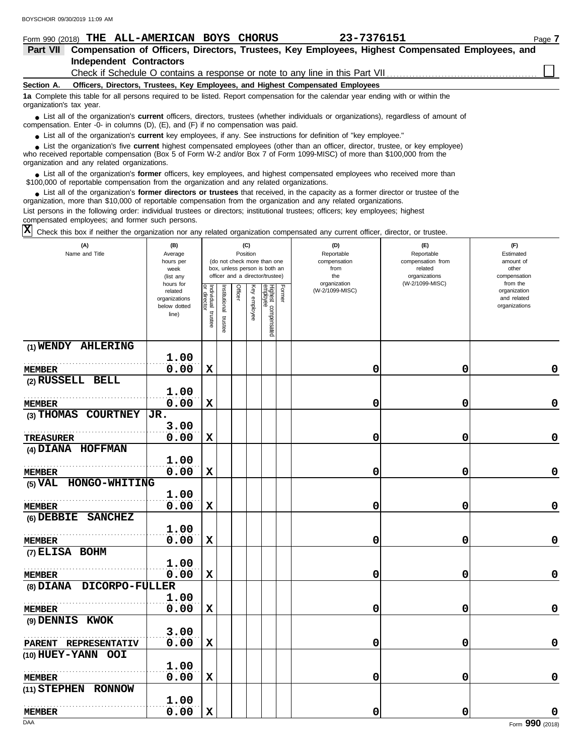| Form 990 (2018)                                                                                                                                                                                                                                                                                            |                   | THE ALL-AMERICAN BOYS CHORUS                                                 | 23-7376151           |                              | Page 7             |  |  |  |  |
|------------------------------------------------------------------------------------------------------------------------------------------------------------------------------------------------------------------------------------------------------------------------------------------------------------|-------------------|------------------------------------------------------------------------------|----------------------|------------------------------|--------------------|--|--|--|--|
| Compensation of Officers, Directors, Trustees, Key Employees, Highest Compensated Employees, and<br>Part VII                                                                                                                                                                                               |                   |                                                                              |                      |                              |                    |  |  |  |  |
| <b>Independent Contractors</b>                                                                                                                                                                                                                                                                             |                   |                                                                              |                      |                              |                    |  |  |  |  |
|                                                                                                                                                                                                                                                                                                            |                   | Check if Schedule O contains a response or note to any line in this Part VII |                      |                              |                    |  |  |  |  |
| Officers, Directors, Trustees, Key Employees, and Highest Compensated Employees<br>Section A.                                                                                                                                                                                                              |                   |                                                                              |                      |                              |                    |  |  |  |  |
| 1a Complete this table for all persons required to be listed. Report compensation for the calendar year ending with or within the<br>organization's tax year.                                                                                                                                              |                   |                                                                              |                      |                              |                    |  |  |  |  |
| • List all of the organization's <b>current</b> officers, directors, trustees (whether individuals or organizations), regardless of amount of<br>compensation. Enter -0- in columns (D), (E), and (F) if no compensation was paid.                                                                         |                   |                                                                              |                      |                              |                    |  |  |  |  |
| • List all of the organization's <b>current</b> key employees, if any. See instructions for definition of "key employee."                                                                                                                                                                                  |                   |                                                                              |                      |                              |                    |  |  |  |  |
| • List the organization's five current highest compensated employees (other than an officer, director, trustee, or key employee)<br>who received reportable compensation (Box 5 of Form W-2 and/or Box 7 of Form 1099-MISC) of more than \$100,000 from the<br>organization and any related organizations. |                   |                                                                              |                      |                              |                    |  |  |  |  |
| • List all of the organization's former officers, key employees, and highest compensated employees who received more than<br>\$100,000 of reportable compensation from the organization and any related organizations.                                                                                     |                   |                                                                              |                      |                              |                    |  |  |  |  |
| • List all of the organization's former directors or trustees that received, in the capacity as a former director or trustee of the<br>organization, more than \$10,000 of reportable compensation from the organization and any related organizations.                                                    |                   |                                                                              |                      |                              |                    |  |  |  |  |
| List persons in the following order: individual trustees or directors; institutional trustees; officers; key employees; highest<br>compensated employees; and former such persons.                                                                                                                         |                   |                                                                              |                      |                              |                    |  |  |  |  |
| Check this box if neither the organization nor any related organization compensated any current officer, director, or trustee.                                                                                                                                                                             |                   |                                                                              |                      |                              |                    |  |  |  |  |
| (A)                                                                                                                                                                                                                                                                                                        | (B)               | (C)                                                                          | (D)                  | (E)                          | (F)                |  |  |  |  |
| Name and Title                                                                                                                                                                                                                                                                                             | Average           | Position                                                                     | Reportable           | Reportable                   | Estimated          |  |  |  |  |
|                                                                                                                                                                                                                                                                                                            | hours per<br>week | (do not check more than one<br>box, unless person is both an                 | compensation<br>from | compensation from<br>related | amount of<br>other |  |  |  |  |
|                                                                                                                                                                                                                                                                                                            | (list any         | officer and a director/trustee)                                              | the                  | organizations                | compensation       |  |  |  |  |
|                                                                                                                                                                                                                                                                                                            | hours for         | [오크] ㅋ ㅣㅇ ㅣㅈ ㅣ오크] 꼬                                                          | organization         | (W-2/1099-MISC)              | from the           |  |  |  |  |

|                                      | וטו טווטיו<br>related<br>organizations<br>below dotted<br>line) | Individual<br>or director<br>trustee | nstitutional trustee | Officer | Key employee | Highest compensated<br>employee | Former | (W-2/1099-MISC) |   | organization<br>and related<br>organizations |
|--------------------------------------|-----------------------------------------------------------------|--------------------------------------|----------------------|---------|--------------|---------------------------------|--------|-----------------|---|----------------------------------------------|
| (1) WENDY AHLERING                   |                                                                 |                                      |                      |         |              |                                 |        |                 |   |                                              |
|                                      | 1.00                                                            |                                      |                      |         |              |                                 |        |                 |   |                                              |
| <b>MEMBER</b>                        | 0.00                                                            | X                                    |                      |         |              |                                 |        | 0               | 0 | $\mathbf 0$                                  |
| (2) RUSSELL BELL                     |                                                                 |                                      |                      |         |              |                                 |        |                 |   |                                              |
|                                      | 1.00                                                            |                                      |                      |         |              |                                 |        |                 |   | $\mathbf 0$                                  |
| <b>MEMBER</b><br>(3) THOMAS COURTNEY | 0.00<br>JR.                                                     | $\mathbf x$                          |                      |         |              |                                 |        | 0               | 0 |                                              |
|                                      | 3.00                                                            |                                      |                      |         |              |                                 |        |                 |   |                                              |
| <b>TREASURER</b>                     | 0.00                                                            | $\mathbf x$                          |                      |         |              |                                 |        | 0               | 0 | $\mathbf 0$                                  |
| (4) DIANA HOFFMAN                    |                                                                 |                                      |                      |         |              |                                 |        |                 |   |                                              |
|                                      | 1.00                                                            |                                      |                      |         |              |                                 |        |                 |   |                                              |
| MEMBER                               | 0.00                                                            | $\mathbf x$                          |                      |         |              |                                 |        | 0               | 0 | $\mathbf 0$                                  |
| (5) VAL HONGO-WHITING                |                                                                 |                                      |                      |         |              |                                 |        |                 |   |                                              |
|                                      | 1.00                                                            |                                      |                      |         |              |                                 |        |                 |   |                                              |
| <b>MEMBER</b>                        | 0.00                                                            | X                                    |                      |         |              |                                 |        | 0               | 0 | $\mathbf 0$                                  |
| (6) DEBBIE SANCHEZ                   |                                                                 |                                      |                      |         |              |                                 |        |                 |   |                                              |
|                                      | 1.00                                                            |                                      |                      |         |              |                                 |        |                 |   |                                              |
| MEMBER                               | 0.00                                                            | $\mathbf x$                          |                      |         |              |                                 |        | 0               | 0 | $\mathbf 0$                                  |
| (7) ELISA BOHM                       |                                                                 |                                      |                      |         |              |                                 |        |                 |   |                                              |
|                                      | 1.00                                                            |                                      |                      |         |              |                                 |        |                 |   |                                              |
| MEMBER                               | 0.00                                                            | $\mathbf x$                          |                      |         |              |                                 |        | 0               | 0 | $\mathbf 0$                                  |
| (8) DIANA DICORPO-FULLER             |                                                                 |                                      |                      |         |              |                                 |        |                 |   |                                              |
|                                      | 1.00                                                            | $\mathbf x$                          |                      |         |              |                                 |        | 0               | 0 | $\mathbf 0$                                  |
| <b>MEMBER</b><br>(9) DENNIS KWOK     | 0.00                                                            |                                      |                      |         |              |                                 |        |                 |   |                                              |
|                                      | 3.00                                                            |                                      |                      |         |              |                                 |        |                 |   |                                              |
| PARENT REPRESENTATIV                 | 0.00                                                            | $\mathbf x$                          |                      |         |              |                                 |        | 0               | 0 | $\mathbf 0$                                  |
| (10) HUEY-YANN OOI                   |                                                                 |                                      |                      |         |              |                                 |        |                 |   |                                              |
|                                      | 1.00                                                            |                                      |                      |         |              |                                 |        |                 |   |                                              |
| MEMBER                               | 0.00                                                            | $\mathbf x$                          |                      |         |              |                                 |        | 0               | 0 | $\mathbf 0$                                  |
| (11) STEPHEN RONNOW                  |                                                                 |                                      |                      |         |              |                                 |        |                 |   |                                              |
|                                      | 1.00                                                            |                                      |                      |         |              |                                 |        |                 |   |                                              |
| <b>MEMBER</b>                        | 0.00                                                            | X                                    |                      |         |              |                                 |        | 0               | 0 | 0                                            |
| <b>DAA</b>                           |                                                                 |                                      |                      |         |              |                                 |        |                 |   | Form 990 (2018)                              |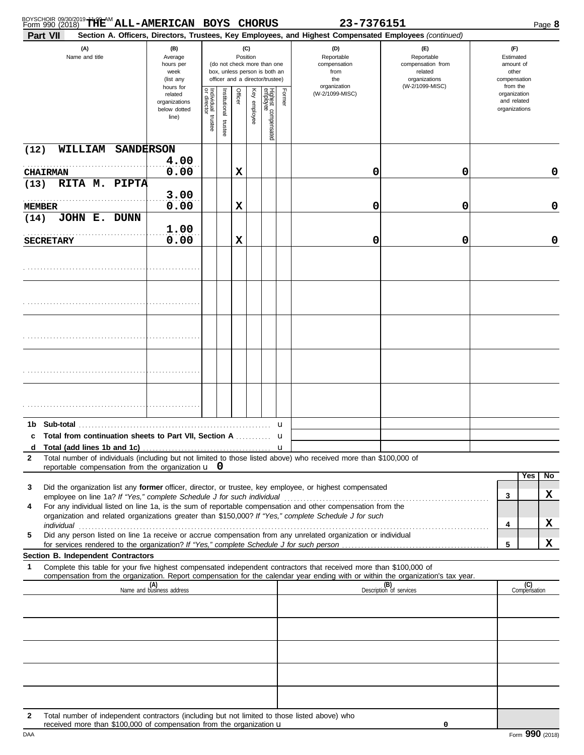|  | BOYSCHOIR 09/30/2019 11:09 AM ALL-AMERICAN BOYS CHORUS |  |
|--|--------------------------------------------------------|--|
|  |                                                        |  |

| Section A. Officers, Directors, Trustees, Key Employees, and Highest Compensated Employees (continued)<br>(A)<br>(B)<br>(F)<br>(C)<br>(D)<br>(E)<br>Name and title<br>Position<br>Reportable<br>Reportable<br>Estimated<br>Average<br>compensation from<br>(do not check more than one<br>compensation<br>amount of<br>hours per<br>box, unless person is both an<br>related<br>other<br>from<br>week<br>officer and a director/trustee)<br>the<br>organizations<br>compensation<br>(list any<br>(W-2/1099-MISC)<br>organization<br>from the<br>hours for<br>Individual trustee<br>or director<br>Officer<br>Highest compensated<br>employee<br>Former<br>Key employee<br>nstitutional trustee<br>(W-2/1099-MISC)<br>related<br>organization<br>and related<br>organizations<br>organizations<br>below dotted<br>line)<br>WILLIAM SANDERSON<br>(12)<br>4.00<br>0.00<br>0<br>х<br>0<br><b>CHAIRMAN</b><br>RITA M. PIPTA<br>(13)<br>3.00<br>0.00<br>0<br>х<br>0<br><b>MEMBER</b><br><b>JOHN E. DUNN</b><br>(14)<br>1.00<br>0.00<br>0<br>0<br>X<br><b>SECRETARY</b><br>Total from continuation sheets to Part VII, Section A  u<br>Total number of individuals (including but not limited to those listed above) who received more than \$100,000 of<br>$\mathbf{2}$<br>reportable compensation from the organization $\mathbf{u} \cdot \mathbf{0}$<br>Yes<br>Did the organization list any former officer, director, or trustee, key employee, or highest compensated<br>3<br>3<br>For any individual listed on line 1a, is the sum of reportable compensation and other compensation from the<br>4<br>organization and related organizations greater than \$150,000? If "Yes," complete Schedule J for such<br>4<br>Did any person listed on line 1a receive or accrue compensation from any unrelated organization or individual<br>5<br>5<br>Section B. Independent Contractors<br>Complete this table for your five highest compensated independent contractors that received more than \$100,000 of<br>1<br>compensation from the organization. Report compensation for the calendar year ending with or within the organization's tax year.<br>(B)<br>Description of services<br>(C)<br>Compensation<br>(A)<br>Name and business address<br>Total number of independent contractors (including but not limited to those listed above) who<br>2 | Form 990 (2018) THE ALL-AMERICAN BOYS CHORUS |  |  |  | 23-7376151 |  | Page 8  |
|----------------------------------------------------------------------------------------------------------------------------------------------------------------------------------------------------------------------------------------------------------------------------------------------------------------------------------------------------------------------------------------------------------------------------------------------------------------------------------------------------------------------------------------------------------------------------------------------------------------------------------------------------------------------------------------------------------------------------------------------------------------------------------------------------------------------------------------------------------------------------------------------------------------------------------------------------------------------------------------------------------------------------------------------------------------------------------------------------------------------------------------------------------------------------------------------------------------------------------------------------------------------------------------------------------------------------------------------------------------------------------------------------------------------------------------------------------------------------------------------------------------------------------------------------------------------------------------------------------------------------------------------------------------------------------------------------------------------------------------------------------------------------------------------------------------------------------------------------------------------------------------------------------------------------------------------------------------------------------------------------------------------------------------------------------------------------------------------------------------------------------------------------------------------------------------------------------------------------------------------------------------------------------------------------------------------------------------------------|----------------------------------------------|--|--|--|------------|--|---------|
|                                                                                                                                                                                                                                                                                                                                                                                                                                                                                                                                                                                                                                                                                                                                                                                                                                                                                                                                                                                                                                                                                                                                                                                                                                                                                                                                                                                                                                                                                                                                                                                                                                                                                                                                                                                                                                                                                                                                                                                                                                                                                                                                                                                                                                                                                                                                                    | Part VII                                     |  |  |  |            |  |         |
|                                                                                                                                                                                                                                                                                                                                                                                                                                                                                                                                                                                                                                                                                                                                                                                                                                                                                                                                                                                                                                                                                                                                                                                                                                                                                                                                                                                                                                                                                                                                                                                                                                                                                                                                                                                                                                                                                                                                                                                                                                                                                                                                                                                                                                                                                                                                                    |                                              |  |  |  |            |  |         |
|                                                                                                                                                                                                                                                                                                                                                                                                                                                                                                                                                                                                                                                                                                                                                                                                                                                                                                                                                                                                                                                                                                                                                                                                                                                                                                                                                                                                                                                                                                                                                                                                                                                                                                                                                                                                                                                                                                                                                                                                                                                                                                                                                                                                                                                                                                                                                    |                                              |  |  |  |            |  |         |
|                                                                                                                                                                                                                                                                                                                                                                                                                                                                                                                                                                                                                                                                                                                                                                                                                                                                                                                                                                                                                                                                                                                                                                                                                                                                                                                                                                                                                                                                                                                                                                                                                                                                                                                                                                                                                                                                                                                                                                                                                                                                                                                                                                                                                                                                                                                                                    |                                              |  |  |  |            |  |         |
|                                                                                                                                                                                                                                                                                                                                                                                                                                                                                                                                                                                                                                                                                                                                                                                                                                                                                                                                                                                                                                                                                                                                                                                                                                                                                                                                                                                                                                                                                                                                                                                                                                                                                                                                                                                                                                                                                                                                                                                                                                                                                                                                                                                                                                                                                                                                                    |                                              |  |  |  |            |  |         |
|                                                                                                                                                                                                                                                                                                                                                                                                                                                                                                                                                                                                                                                                                                                                                                                                                                                                                                                                                                                                                                                                                                                                                                                                                                                                                                                                                                                                                                                                                                                                                                                                                                                                                                                                                                                                                                                                                                                                                                                                                                                                                                                                                                                                                                                                                                                                                    |                                              |  |  |  |            |  | 0       |
|                                                                                                                                                                                                                                                                                                                                                                                                                                                                                                                                                                                                                                                                                                                                                                                                                                                                                                                                                                                                                                                                                                                                                                                                                                                                                                                                                                                                                                                                                                                                                                                                                                                                                                                                                                                                                                                                                                                                                                                                                                                                                                                                                                                                                                                                                                                                                    |                                              |  |  |  |            |  |         |
|                                                                                                                                                                                                                                                                                                                                                                                                                                                                                                                                                                                                                                                                                                                                                                                                                                                                                                                                                                                                                                                                                                                                                                                                                                                                                                                                                                                                                                                                                                                                                                                                                                                                                                                                                                                                                                                                                                                                                                                                                                                                                                                                                                                                                                                                                                                                                    |                                              |  |  |  |            |  | 0       |
|                                                                                                                                                                                                                                                                                                                                                                                                                                                                                                                                                                                                                                                                                                                                                                                                                                                                                                                                                                                                                                                                                                                                                                                                                                                                                                                                                                                                                                                                                                                                                                                                                                                                                                                                                                                                                                                                                                                                                                                                                                                                                                                                                                                                                                                                                                                                                    |                                              |  |  |  |            |  |         |
|                                                                                                                                                                                                                                                                                                                                                                                                                                                                                                                                                                                                                                                                                                                                                                                                                                                                                                                                                                                                                                                                                                                                                                                                                                                                                                                                                                                                                                                                                                                                                                                                                                                                                                                                                                                                                                                                                                                                                                                                                                                                                                                                                                                                                                                                                                                                                    |                                              |  |  |  |            |  | 0       |
|                                                                                                                                                                                                                                                                                                                                                                                                                                                                                                                                                                                                                                                                                                                                                                                                                                                                                                                                                                                                                                                                                                                                                                                                                                                                                                                                                                                                                                                                                                                                                                                                                                                                                                                                                                                                                                                                                                                                                                                                                                                                                                                                                                                                                                                                                                                                                    |                                              |  |  |  |            |  |         |
|                                                                                                                                                                                                                                                                                                                                                                                                                                                                                                                                                                                                                                                                                                                                                                                                                                                                                                                                                                                                                                                                                                                                                                                                                                                                                                                                                                                                                                                                                                                                                                                                                                                                                                                                                                                                                                                                                                                                                                                                                                                                                                                                                                                                                                                                                                                                                    |                                              |  |  |  |            |  |         |
|                                                                                                                                                                                                                                                                                                                                                                                                                                                                                                                                                                                                                                                                                                                                                                                                                                                                                                                                                                                                                                                                                                                                                                                                                                                                                                                                                                                                                                                                                                                                                                                                                                                                                                                                                                                                                                                                                                                                                                                                                                                                                                                                                                                                                                                                                                                                                    |                                              |  |  |  |            |  |         |
|                                                                                                                                                                                                                                                                                                                                                                                                                                                                                                                                                                                                                                                                                                                                                                                                                                                                                                                                                                                                                                                                                                                                                                                                                                                                                                                                                                                                                                                                                                                                                                                                                                                                                                                                                                                                                                                                                                                                                                                                                                                                                                                                                                                                                                                                                                                                                    |                                              |  |  |  |            |  |         |
|                                                                                                                                                                                                                                                                                                                                                                                                                                                                                                                                                                                                                                                                                                                                                                                                                                                                                                                                                                                                                                                                                                                                                                                                                                                                                                                                                                                                                                                                                                                                                                                                                                                                                                                                                                                                                                                                                                                                                                                                                                                                                                                                                                                                                                                                                                                                                    |                                              |  |  |  |            |  |         |
|                                                                                                                                                                                                                                                                                                                                                                                                                                                                                                                                                                                                                                                                                                                                                                                                                                                                                                                                                                                                                                                                                                                                                                                                                                                                                                                                                                                                                                                                                                                                                                                                                                                                                                                                                                                                                                                                                                                                                                                                                                                                                                                                                                                                                                                                                                                                                    |                                              |  |  |  |            |  |         |
|                                                                                                                                                                                                                                                                                                                                                                                                                                                                                                                                                                                                                                                                                                                                                                                                                                                                                                                                                                                                                                                                                                                                                                                                                                                                                                                                                                                                                                                                                                                                                                                                                                                                                                                                                                                                                                                                                                                                                                                                                                                                                                                                                                                                                                                                                                                                                    |                                              |  |  |  |            |  |         |
|                                                                                                                                                                                                                                                                                                                                                                                                                                                                                                                                                                                                                                                                                                                                                                                                                                                                                                                                                                                                                                                                                                                                                                                                                                                                                                                                                                                                                                                                                                                                                                                                                                                                                                                                                                                                                                                                                                                                                                                                                                                                                                                                                                                                                                                                                                                                                    |                                              |  |  |  |            |  | No<br>X |
|                                                                                                                                                                                                                                                                                                                                                                                                                                                                                                                                                                                                                                                                                                                                                                                                                                                                                                                                                                                                                                                                                                                                                                                                                                                                                                                                                                                                                                                                                                                                                                                                                                                                                                                                                                                                                                                                                                                                                                                                                                                                                                                                                                                                                                                                                                                                                    |                                              |  |  |  |            |  | X       |
|                                                                                                                                                                                                                                                                                                                                                                                                                                                                                                                                                                                                                                                                                                                                                                                                                                                                                                                                                                                                                                                                                                                                                                                                                                                                                                                                                                                                                                                                                                                                                                                                                                                                                                                                                                                                                                                                                                                                                                                                                                                                                                                                                                                                                                                                                                                                                    |                                              |  |  |  |            |  | x       |
|                                                                                                                                                                                                                                                                                                                                                                                                                                                                                                                                                                                                                                                                                                                                                                                                                                                                                                                                                                                                                                                                                                                                                                                                                                                                                                                                                                                                                                                                                                                                                                                                                                                                                                                                                                                                                                                                                                                                                                                                                                                                                                                                                                                                                                                                                                                                                    |                                              |  |  |  |            |  |         |
|                                                                                                                                                                                                                                                                                                                                                                                                                                                                                                                                                                                                                                                                                                                                                                                                                                                                                                                                                                                                                                                                                                                                                                                                                                                                                                                                                                                                                                                                                                                                                                                                                                                                                                                                                                                                                                                                                                                                                                                                                                                                                                                                                                                                                                                                                                                                                    |                                              |  |  |  |            |  |         |
|                                                                                                                                                                                                                                                                                                                                                                                                                                                                                                                                                                                                                                                                                                                                                                                                                                                                                                                                                                                                                                                                                                                                                                                                                                                                                                                                                                                                                                                                                                                                                                                                                                                                                                                                                                                                                                                                                                                                                                                                                                                                                                                                                                                                                                                                                                                                                    |                                              |  |  |  |            |  |         |
|                                                                                                                                                                                                                                                                                                                                                                                                                                                                                                                                                                                                                                                                                                                                                                                                                                                                                                                                                                                                                                                                                                                                                                                                                                                                                                                                                                                                                                                                                                                                                                                                                                                                                                                                                                                                                                                                                                                                                                                                                                                                                                                                                                                                                                                                                                                                                    |                                              |  |  |  |            |  |         |
|                                                                                                                                                                                                                                                                                                                                                                                                                                                                                                                                                                                                                                                                                                                                                                                                                                                                                                                                                                                                                                                                                                                                                                                                                                                                                                                                                                                                                                                                                                                                                                                                                                                                                                                                                                                                                                                                                                                                                                                                                                                                                                                                                                                                                                                                                                                                                    |                                              |  |  |  |            |  |         |
|                                                                                                                                                                                                                                                                                                                                                                                                                                                                                                                                                                                                                                                                                                                                                                                                                                                                                                                                                                                                                                                                                                                                                                                                                                                                                                                                                                                                                                                                                                                                                                                                                                                                                                                                                                                                                                                                                                                                                                                                                                                                                                                                                                                                                                                                                                                                                    |                                              |  |  |  |            |  |         |
|                                                                                                                                                                                                                                                                                                                                                                                                                                                                                                                                                                                                                                                                                                                                                                                                                                                                                                                                                                                                                                                                                                                                                                                                                                                                                                                                                                                                                                                                                                                                                                                                                                                                                                                                                                                                                                                                                                                                                                                                                                                                                                                                                                                                                                                                                                                                                    |                                              |  |  |  |            |  |         |
| received more than \$100,000 of compensation from the organization u                                                                                                                                                                                                                                                                                                                                                                                                                                                                                                                                                                                                                                                                                                                                                                                                                                                                                                                                                                                                                                                                                                                                                                                                                                                                                                                                                                                                                                                                                                                                                                                                                                                                                                                                                                                                                                                                                                                                                                                                                                                                                                                                                                                                                                                                               |                                              |  |  |  |            |  |         |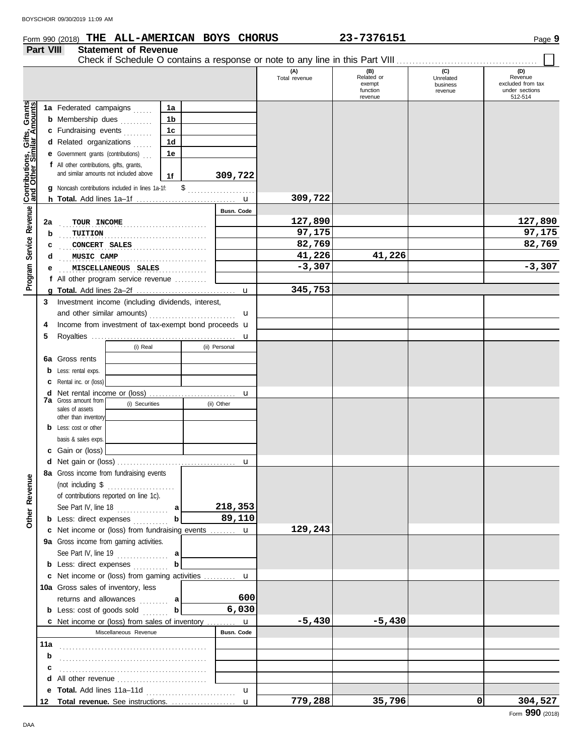# **Form 990 (2018) THE ALL-AMERICAN BOYS CHORUS** 23-7376151 Page 9

## **Part VIII Statement of Revenue**

 $\Box$ 

|                                                                  |     |                                                                |                   | (A)<br>Total revenue | (B)<br>Related or<br>exempt<br>function | (C)<br>Unrelated<br>business<br>revenue | (D)<br>Revenue<br>excluded from tax<br>under sections |
|------------------------------------------------------------------|-----|----------------------------------------------------------------|-------------------|----------------------|-----------------------------------------|-----------------------------------------|-------------------------------------------------------|
|                                                                  |     |                                                                |                   |                      | revenue                                 |                                         | 512-514                                               |
|                                                                  |     | 1a Federated campaigns<br>1a                                   |                   |                      |                                         |                                         |                                                       |
|                                                                  |     | <b>b</b> Membership dues<br>1b<br>.                            |                   |                      |                                         |                                         |                                                       |
|                                                                  |     | c Fundraising events<br>1c                                     |                   |                      |                                         |                                         |                                                       |
| <b>Contributions, Gifts, Grants</b><br>and Other Similar Amounts |     | d Related organizations<br>1d                                  |                   |                      |                                         |                                         |                                                       |
|                                                                  |     | e Government grants (contributions)<br>1e                      |                   |                      |                                         |                                         |                                                       |
|                                                                  |     | <b>f</b> All other contributions, gifts, grants,               |                   |                      |                                         |                                         |                                                       |
|                                                                  |     | and similar amounts not included above<br>1f                   | 309,722           |                      |                                         |                                         |                                                       |
|                                                                  |     | \$<br><b>g</b> Noncash contributions included in lines 1a-1f:  |                   |                      |                                         |                                         |                                                       |
|                                                                  |     |                                                                |                   | 309,722              |                                         |                                         |                                                       |
| Service Revenue                                                  |     |                                                                | <b>Busn. Code</b> |                      |                                         |                                         |                                                       |
|                                                                  | 2a  | TOUR INCOME                                                    |                   | 127,890              |                                         |                                         | 127,890                                               |
|                                                                  | b   | TUITION<br>.                                                   |                   | 97,175               |                                         |                                         | 97,175                                                |
|                                                                  | c   | CONCERT SALES                                                  |                   | 82,769               |                                         |                                         | 82,769                                                |
|                                                                  | d   | MUSIC CAMP                                                     |                   | 41,226               | 41,226                                  |                                         |                                                       |
|                                                                  | е   | MISCELLANEOUS SALES                                            |                   | $-3,307$             |                                         |                                         | $-3,307$                                              |
| Program !                                                        |     | f All other program service revenue $\ldots$                   |                   |                      |                                         |                                         |                                                       |
|                                                                  |     |                                                                |                   | 345,753              |                                         |                                         |                                                       |
|                                                                  | 3   | Investment income (including dividends, interest,              |                   |                      |                                         |                                         |                                                       |
|                                                                  |     | and other similar amounts)                                     | u                 |                      |                                         |                                         |                                                       |
|                                                                  | 4   | Income from investment of tax-exempt bond proceeds <b>u</b>    |                   |                      |                                         |                                         |                                                       |
|                                                                  | 5   |                                                                | u                 |                      |                                         |                                         |                                                       |
|                                                                  |     | (i) Real                                                       | (ii) Personal     |                      |                                         |                                         |                                                       |
|                                                                  | 6а  | Gross rents                                                    |                   |                      |                                         |                                         |                                                       |
|                                                                  | b   | Less: rental exps.                                             |                   |                      |                                         |                                         |                                                       |
|                                                                  | c   | Rental inc. or (loss)                                          |                   |                      |                                         |                                         |                                                       |
|                                                                  | d   | Net rental income or (loss)                                    | u                 |                      |                                         |                                         |                                                       |
|                                                                  |     | <b>7a</b> Gross amount from<br>(i) Securities                  | (ii) Other        |                      |                                         |                                         |                                                       |
|                                                                  |     | sales of assets<br>other than inventory                        |                   |                      |                                         |                                         |                                                       |
|                                                                  | b   | Less: cost or other                                            |                   |                      |                                         |                                         |                                                       |
|                                                                  |     | basis & sales exps                                             |                   |                      |                                         |                                         |                                                       |
|                                                                  | c   | Gain or (loss)                                                 |                   |                      |                                         |                                         |                                                       |
|                                                                  | d   |                                                                | u                 |                      |                                         |                                         |                                                       |
|                                                                  |     | 8a Gross income from fundraising events                        |                   |                      |                                         |                                         |                                                       |
| Revenue                                                          |     | (not including \$                                              |                   |                      |                                         |                                         |                                                       |
|                                                                  |     | of contributions reported on line 1c).                         |                   |                      |                                         |                                         |                                                       |
|                                                                  |     | See Part IV, line 18<br>a                                      | 218,353           |                      |                                         |                                         |                                                       |
| Other                                                            |     | <b>b</b> Less: direct expenses<br>h                            | 89,110            |                      |                                         |                                         |                                                       |
|                                                                  |     | c Net income or (loss) from fundraising events  u              |                   | 129,243              |                                         |                                         |                                                       |
|                                                                  |     | 9a Gross income from gaming activities.                        |                   |                      |                                         |                                         |                                                       |
|                                                                  |     | See Part IV, line 19<br>а                                      |                   |                      |                                         |                                         |                                                       |
|                                                                  |     | b<br><b>b</b> Less: direct expenses                            |                   |                      |                                         |                                         |                                                       |
|                                                                  |     | c Net income or (loss) from gaming activities  u               |                   |                      |                                         |                                         |                                                       |
|                                                                  |     | 10a Gross sales of inventory, less                             |                   |                      |                                         |                                         |                                                       |
|                                                                  |     | returns and allowances<br>а                                    | 600               |                      |                                         |                                         |                                                       |
|                                                                  |     | .<br>b<br><b>b</b> Less: cost of goods sold                    | 6,030             |                      |                                         |                                         |                                                       |
|                                                                  |     | <b>c</b> Net income or (loss) from sales of inventory <b>u</b> |                   | $-5,430$             | $-5,430$                                |                                         |                                                       |
|                                                                  |     | Miscellaneous Revenue                                          | Busn. Code        |                      |                                         |                                         |                                                       |
|                                                                  | 11a |                                                                |                   |                      |                                         |                                         |                                                       |
|                                                                  | b   |                                                                |                   |                      |                                         |                                         |                                                       |
|                                                                  | c   |                                                                |                   |                      |                                         |                                         |                                                       |
|                                                                  | d   | All other revenue                                              |                   |                      |                                         |                                         |                                                       |
|                                                                  |     |                                                                |                   |                      |                                         |                                         |                                                       |
|                                                                  | е   | Total. Add lines 11a-11d                                       | $\mathbf{u}$      | 779,288              | 35,796                                  | οI                                      | 304,527                                               |
|                                                                  | 12  |                                                                |                   |                      |                                         |                                         |                                                       |

Check if Schedule O contains a response or note to any line in this Part VIII . . . . . . . . . . . . . . . . . . . . . . . . . . . . . . . . . . . . . . . . . . . .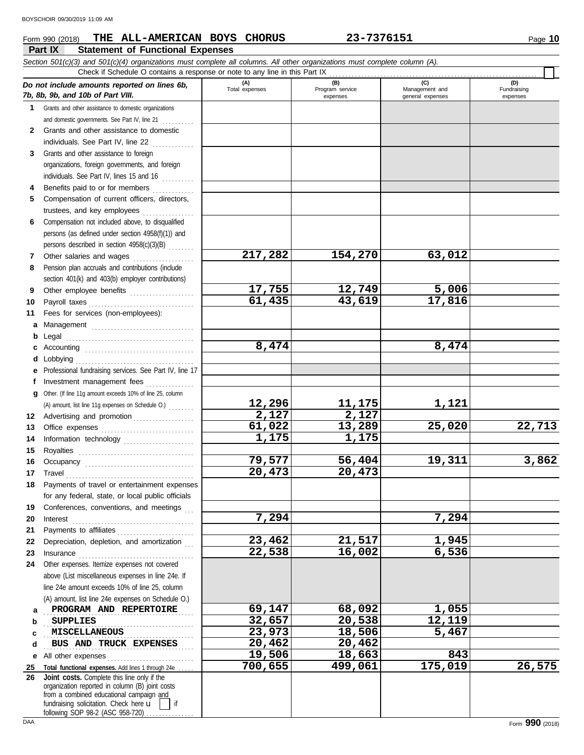## **Part IX** Statement of Functional Expenses Form 990 (2018) Page **10 THE ALL-AMERICAN BOYS CHORUS 23-7376151**

|              | Section 501(c)(3) and 501(c)(4) organizations must complete all columns. All other organizations must complete column (A).<br>Check if Schedule O contains a response or note to any line in this Part IX                                                                           |                |                             |                                    |                         |
|--------------|-------------------------------------------------------------------------------------------------------------------------------------------------------------------------------------------------------------------------------------------------------------------------------------|----------------|-----------------------------|------------------------------------|-------------------------|
|              | Do not include amounts reported on lines 6b,                                                                                                                                                                                                                                        | (A)            | (B)                         | (C)                                | (D)                     |
|              | 7b, 8b, 9b, and 10b of Part VIII.                                                                                                                                                                                                                                                   | Total expenses | Program service<br>expenses | Management and<br>general expenses | Fundraising<br>expenses |
|              | 1 Grants and other assistance to domestic organizations                                                                                                                                                                                                                             |                |                             |                                    |                         |
|              | and domestic governments. See Part IV, line 21                                                                                                                                                                                                                                      |                |                             |                                    |                         |
| $\mathbf{2}$ | Grants and other assistance to domestic                                                                                                                                                                                                                                             |                |                             |                                    |                         |
|              | individuals. See Part IV, line 22                                                                                                                                                                                                                                                   |                |                             |                                    |                         |
| 3            | Grants and other assistance to foreign                                                                                                                                                                                                                                              |                |                             |                                    |                         |
|              | organizations, foreign governments, and foreign                                                                                                                                                                                                                                     |                |                             |                                    |                         |
|              | individuals. See Part IV, lines 15 and 16                                                                                                                                                                                                                                           |                |                             |                                    |                         |
| 4            | Benefits paid to or for members                                                                                                                                                                                                                                                     |                |                             |                                    |                         |
| 5            | Compensation of current officers, directors,                                                                                                                                                                                                                                        |                |                             |                                    |                         |
|              | trustees, and key employees                                                                                                                                                                                                                                                         |                |                             |                                    |                         |
| 6            | Compensation not included above, to disqualified                                                                                                                                                                                                                                    |                |                             |                                    |                         |
|              | persons (as defined under section 4958(f)(1)) and                                                                                                                                                                                                                                   |                |                             |                                    |                         |
|              | persons described in section 4958(c)(3)(B)                                                                                                                                                                                                                                          |                |                             |                                    |                         |
| 7            | Other salaries and wages                                                                                                                                                                                                                                                            | 217,282        | 154,270                     | 63,012                             |                         |
| 8            | Pension plan accruals and contributions (include                                                                                                                                                                                                                                    |                |                             |                                    |                         |
|              | section 401(k) and 403(b) employer contributions)                                                                                                                                                                                                                                   |                |                             |                                    |                         |
| 9            | Other employee benefits                                                                                                                                                                                                                                                             | 17,755         | 12,749                      | 5,006                              |                         |
| 10           | Payroll taxes                                                                                                                                                                                                                                                                       | 61,435         | 43,619                      | 17,816                             |                         |
| 11           | Fees for services (non-employees):                                                                                                                                                                                                                                                  |                |                             |                                    |                         |
| a            |                                                                                                                                                                                                                                                                                     |                |                             |                                    |                         |
|              | Management                                                                                                                                                                                                                                                                          |                |                             |                                    |                         |
| b            | Legal                                                                                                                                                                                                                                                                               | 8,474          |                             | 8,474                              |                         |
|              |                                                                                                                                                                                                                                                                                     |                |                             |                                    |                         |
| d            | Lobbying<br>Professional fundraising services. See Part IV, line 17                                                                                                                                                                                                                 |                |                             |                                    |                         |
|              |                                                                                                                                                                                                                                                                                     |                |                             |                                    |                         |
| f            |                                                                                                                                                                                                                                                                                     |                |                             |                                    |                         |
| g            | Other. (If line 11g amount exceeds 10% of line 25, column                                                                                                                                                                                                                           | 12,296         | 11,175                      | 1,121                              |                         |
|              | (A) amount, list line 11g expenses on Schedule O.)                                                                                                                                                                                                                                  | 2,127          | 2,127                       |                                    |                         |
| 12           | Advertising and promotion                                                                                                                                                                                                                                                           | 61,022         | 13,289                      | 25,020                             | 22,713                  |
| 13           |                                                                                                                                                                                                                                                                                     | 1,175          | 1,175                       |                                    |                         |
| 14           | Information technology                                                                                                                                                                                                                                                              |                |                             |                                    |                         |
| 15           |                                                                                                                                                                                                                                                                                     | 79,577         | 56,404                      | 19,311                             | 3,862                   |
| 16           |                                                                                                                                                                                                                                                                                     | 20,473         | 20,473                      |                                    |                         |
| 17           | $\begin{minipage}{0.5\textwidth} \centering \begin{tabular}{@{}c@{}} \textbf{True} & \textbf{True} \\ \textbf{True} & \textbf{True} \\ \textbf{True} & \textbf{True} \\ \textbf{True} & \textbf{True} \\ \end{tabular} \end{minipage}$                                              |                |                             |                                    |                         |
|              | Payments of travel or entertainment expenses                                                                                                                                                                                                                                        |                |                             |                                    |                         |
|              | for any federal, state, or local public officials                                                                                                                                                                                                                                   |                |                             |                                    |                         |
| 19           | Conferences, conventions, and meetings                                                                                                                                                                                                                                              | 7,294          |                             | 7,294                              |                         |
| 20           | Interest                                                                                                                                                                                                                                                                            |                |                             |                                    |                         |
| 21           | Payments to affiliates                                                                                                                                                                                                                                                              | 23,462         | 21,517                      | 1,945                              |                         |
| 22           | Depreciation, depletion, and amortization                                                                                                                                                                                                                                           | 22,538         | 16,002                      | 6,536                              |                         |
| 23           | Insurance <b>continuous</b> contains a series of the series of the series of the series of the series of the series of the series of the series of the series of the series of the series of the series of the series of the series<br>Other expenses. Itemize expenses not covered |                |                             |                                    |                         |
| 24           | above (List miscellaneous expenses in line 24e. If                                                                                                                                                                                                                                  |                |                             |                                    |                         |
|              | line 24e amount exceeds 10% of line 25, column                                                                                                                                                                                                                                      |                |                             |                                    |                         |
|              |                                                                                                                                                                                                                                                                                     |                |                             |                                    |                         |
|              | (A) amount, list line 24e expenses on Schedule O.)<br>PROGRAM AND REPERTOIRE                                                                                                                                                                                                        | 69,147         | 68,092                      | 1,055                              |                         |
| a            |                                                                                                                                                                                                                                                                                     | 32,657         | 20,538                      | 12,119                             |                         |
| b            | <b>SUPPLIES</b>                                                                                                                                                                                                                                                                     | 23,973         | 18,506                      | 5,467                              |                         |
| с            | <b>MISCELLANEOUS</b>                                                                                                                                                                                                                                                                | 20,462         | $\overline{20}$ , 462       |                                    |                         |
| d            | BUS AND TRUCK EXPENSES                                                                                                                                                                                                                                                              | 19,506         | 18,663                      | 843                                |                         |
| е            | All other expenses                                                                                                                                                                                                                                                                  | 700,655        | 499,061                     | 175,019                            | 26,575                  |
| 25<br>26     | Total functional expenses. Add lines 1 through 24e<br>Joint costs. Complete this line only if the                                                                                                                                                                                   |                |                             |                                    |                         |
|              | organization reported in column (B) joint costs                                                                                                                                                                                                                                     |                |                             |                                    |                         |
|              | from a combined educational campaign and                                                                                                                                                                                                                                            |                |                             |                                    |                         |
|              | fundraising solicitation. Check here u<br>if<br>following SOP 98-2 (ASC 958-720)                                                                                                                                                                                                    |                |                             |                                    |                         |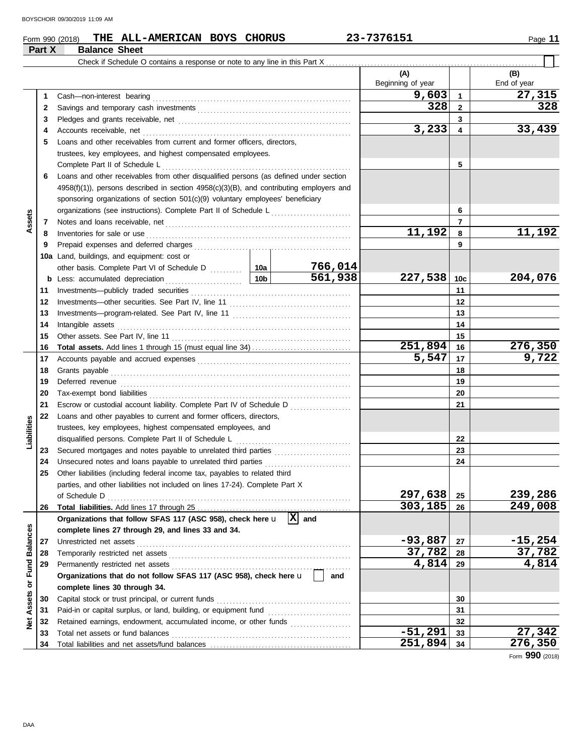**Part X Balance Sheet**

### **Form 990 (2018) THE ALL-AMERICAN BOYS CHORUS** 23-7376151 23-7376151

|                         |    |                                                                                                                                     |     |                        | (A)               |                         | (B)                    |
|-------------------------|----|-------------------------------------------------------------------------------------------------------------------------------------|-----|------------------------|-------------------|-------------------------|------------------------|
|                         |    |                                                                                                                                     |     |                        | Beginning of year |                         | End of year            |
|                         | 1. |                                                                                                                                     |     |                        | 9,603             | $\mathbf{1}$            | 27,315                 |
|                         | 2  |                                                                                                                                     |     |                        | 328               | $\mathbf{2}$            | 328                    |
|                         | 3  |                                                                                                                                     |     |                        |                   | 3                       |                        |
|                         | 4  |                                                                                                                                     |     |                        | 3,233             | 4                       | 33,439                 |
|                         | 5  | Loans and other receivables from current and former officers, directors,                                                            |     |                        |                   |                         |                        |
|                         |    | trustees, key employees, and highest compensated employees.                                                                         |     |                        |                   |                         |                        |
|                         |    |                                                                                                                                     |     |                        |                   | 5                       |                        |
|                         | 6  | Loans and other receivables from other disqualified persons (as defined under section                                               |     |                        |                   |                         |                        |
|                         |    | 4958(f)(1)), persons described in section 4958(c)(3)(B), and contributing employers and                                             |     |                        |                   |                         |                        |
|                         |    | sponsoring organizations of section 501(c)(9) voluntary employees' beneficiary                                                      |     |                        |                   |                         |                        |
|                         |    |                                                                                                                                     |     | 6                      |                   |                         |                        |
| ssets                   | 7  |                                                                                                                                     |     |                        |                   | 7                       |                        |
| ⋖                       | 8  |                                                                                                                                     |     |                        | 11,192            | 8                       | 11,192                 |
|                         | 9  |                                                                                                                                     |     |                        |                   | 9                       |                        |
|                         |    | <b>10a</b> Land, buildings, and equipment: cost or                                                                                  |     |                        |                   |                         |                        |
|                         |    | other basis. Complete Part VI of Schedule D [100]                                                                                   |     | 766,014                |                   |                         |                        |
|                         |    |                                                                                                                                     | 10b | 561,938                | 227,538           | 10c                     | 204,076                |
|                         | 11 |                                                                                                                                     |     |                        |                   | 11                      |                        |
|                         | 12 |                                                                                                                                     |     |                        |                   | 12                      |                        |
|                         | 13 |                                                                                                                                     |     |                        |                   | 13                      |                        |
|                         | 14 |                                                                                                                                     |     | 14                     |                   |                         |                        |
|                         | 15 |                                                                                                                                     |     |                        |                   | 15                      |                        |
|                         | 16 |                                                                                                                                     |     | 251,894                | 16                | $\frac{276,350}{9,722}$ |                        |
|                         | 17 |                                                                                                                                     |     | 5,547                  | 17                |                         |                        |
|                         | 18 |                                                                                                                                     |     |                        |                   | 18                      |                        |
|                         | 19 |                                                                                                                                     |     |                        |                   | 19                      |                        |
|                         | 20 |                                                                                                                                     |     |                        |                   | 20                      |                        |
|                         | 21 | Escrow or custodial account liability. Complete Part IV of Schedule D                                                               |     |                        |                   | 21                      |                        |
|                         | 22 | Loans and other payables to current and former officers, directors,<br>trustees, key employees, highest compensated employees, and  |     |                        |                   |                         |                        |
| Liabilities             |    |                                                                                                                                     |     |                        |                   | 22                      |                        |
|                         | 23 | Secured mortgages and notes payable to unrelated third parties [111] Secured mortgages and notes payable to unrelated third parties |     |                        |                   | 23                      |                        |
|                         | 24 |                                                                                                                                     |     |                        |                   | 24                      |                        |
|                         | 25 | Other liabilities (including federal income tax, payables to related third                                                          |     |                        |                   |                         |                        |
|                         |    | parties, and other liabilities not included on lines 17-24). Complete Part X                                                        |     |                        |                   |                         |                        |
|                         |    | of Schedule D                                                                                                                       |     |                        | 297,638           | 25                      | 239,286                |
|                         | 26 |                                                                                                                                     |     |                        | 303,185           | 26                      | 249,008                |
|                         |    | Organizations that follow SFAS 117 (ASC 958), check here u                                                                          |     | $\vert x \vert$<br>and |                   |                         |                        |
|                         |    | complete lines 27 through 29, and lines 33 and 34.                                                                                  |     |                        |                   |                         |                        |
|                         | 27 | Unrestricted net assets                                                                                                             |     |                        | -93,887           | 27                      | -15,254                |
|                         | 28 |                                                                                                                                     |     |                        | 37,782            | 28                      | 37,782                 |
|                         | 29 |                                                                                                                                     |     |                        | 4,814             | 29                      | 4,814                  |
|                         |    | Organizations that do not follow SFAS 117 (ASC 958), check here u                                                                   |     |                        |                   |                         |                        |
|                         |    | complete lines 30 through 34.                                                                                                       |     |                        |                   |                         |                        |
| Assets or Fund Balances | 30 | Capital stock or trust principal, or current funds                                                                                  |     |                        |                   | 30                      |                        |
|                         | 31 |                                                                                                                                     |     |                        |                   | 31                      |                        |
| $\sum_{i=1}^{n}$        | 32 | Retained earnings, endowment, accumulated income, or other funds                                                                    |     |                        |                   | 32                      |                        |
|                         | 33 | Total net assets or fund balances                                                                                                   |     |                        | $-51,291$         | 33                      | 27,342                 |
|                         | 34 |                                                                                                                                     |     |                        | 251,894           | 34                      | $\overline{276}$ , 350 |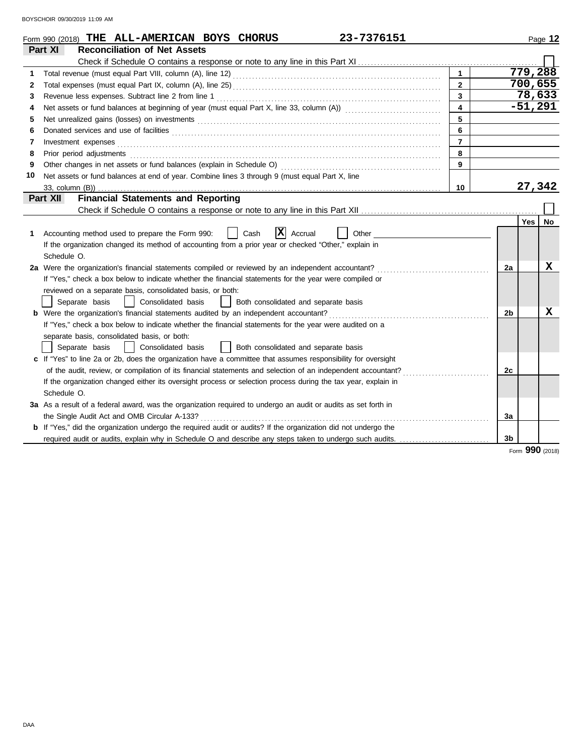|    | 23-7376151<br>Form 990 (2018) THE ALL-AMERICAN BOYS CHORUS                                                                                                                                                                     |                         |    |           | Page 12   |
|----|--------------------------------------------------------------------------------------------------------------------------------------------------------------------------------------------------------------------------------|-------------------------|----|-----------|-----------|
|    | <b>Reconciliation of Net Assets</b><br>Part XI                                                                                                                                                                                 |                         |    |           |           |
|    |                                                                                                                                                                                                                                |                         |    |           |           |
| 1  |                                                                                                                                                                                                                                | $\mathbf{1}$            |    | 779,288   |           |
| 2  |                                                                                                                                                                                                                                | $\overline{2}$          |    | 700,655   |           |
| 3  | Revenue less expenses. Subtract line 2 from line 1                                                                                                                                                                             | $\overline{3}$          |    | 78,633    |           |
| 4  |                                                                                                                                                                                                                                | $\overline{\mathbf{4}}$ |    | $-51,291$ |           |
| 5  |                                                                                                                                                                                                                                | 5                       |    |           |           |
| 6  |                                                                                                                                                                                                                                | $6\phantom{a}$          |    |           |           |
| 7  | Investment expenses                                                                                                                                                                                                            | $\overline{7}$          |    |           |           |
| 8  | Prior period adjustments contains and according to the container and according to the containing containing to the containing containing to the containing containing to the containing containing containing containing conta | 8                       |    |           |           |
| 9  |                                                                                                                                                                                                                                | $\mathbf{9}$            |    |           |           |
| 10 | Net assets or fund balances at end of year. Combine lines 3 through 9 (must equal Part X, line                                                                                                                                 |                         |    |           |           |
|    | 33, column (B))                                                                                                                                                                                                                | 10                      |    | 27,342    |           |
|    | Part XII<br><b>Financial Statements and Reporting</b>                                                                                                                                                                          |                         |    |           |           |
|    |                                                                                                                                                                                                                                |                         |    |           |           |
|    |                                                                                                                                                                                                                                |                         |    | Yes       | <b>No</b> |
| 1  | $ {\bf X} $<br>Accrual<br>Other<br>Accounting method used to prepare the Form 990:<br>Cash                                                                                                                                     |                         |    |           |           |
|    | If the organization changed its method of accounting from a prior year or checked "Other," explain in                                                                                                                          |                         |    |           |           |
|    | Schedule O.                                                                                                                                                                                                                    |                         |    |           |           |
|    | 2a Were the organization's financial statements compiled or reviewed by an independent accountant?                                                                                                                             |                         | 2a |           | x         |
|    | If "Yes," check a box below to indicate whether the financial statements for the year were compiled or                                                                                                                         |                         |    |           |           |
|    | reviewed on a separate basis, consolidated basis, or both:                                                                                                                                                                     |                         |    |           |           |
|    | Separate basis<br>  Consolidated basis<br>Both consolidated and separate basis                                                                                                                                                 |                         |    |           |           |
|    |                                                                                                                                                                                                                                |                         | 2b |           | x         |
|    | If "Yes," check a box below to indicate whether the financial statements for the year were audited on a                                                                                                                        |                         |    |           |           |
|    | separate basis, consolidated basis, or both:                                                                                                                                                                                   |                         |    |           |           |
|    | Consolidated basis<br>Separate basis<br>Both consolidated and separate basis                                                                                                                                                   |                         |    |           |           |
|    | c If "Yes" to line 2a or 2b, does the organization have a committee that assumes responsibility for oversight                                                                                                                  |                         |    |           |           |
|    | of the audit, review, or compilation of its financial statements and selection of an independent accountant?                                                                                                                   |                         | 2c |           |           |
|    | If the organization changed either its oversight process or selection process during the tax year, explain in                                                                                                                  |                         |    |           |           |
|    | Schedule O.                                                                                                                                                                                                                    |                         |    |           |           |
|    | 3a As a result of a federal award, was the organization required to undergo an audit or audits as set forth in                                                                                                                 |                         |    |           |           |
|    | the Single Audit Act and OMB Circular A-133?                                                                                                                                                                                   |                         | За |           |           |
|    | <b>b</b> If "Yes," did the organization undergo the required audit or audits? If the organization did not undergo the                                                                                                          |                         |    |           |           |
|    | required audit or audits, explain why in Schedule O and describe any steps taken to undergo such audits.                                                                                                                       |                         | 3b |           |           |

Form **990** (2018)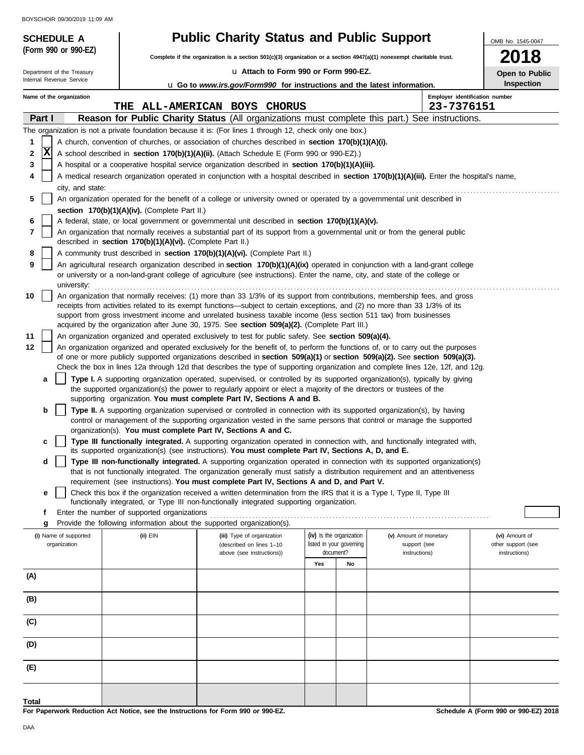| BOYSCHOIR 09/30/2019 11:09 AM                          |                                                            |                                                                                                                                                                                                                                                                 |     |                                       |                                              |                                     |
|--------------------------------------------------------|------------------------------------------------------------|-----------------------------------------------------------------------------------------------------------------------------------------------------------------------------------------------------------------------------------------------------------------|-----|---------------------------------------|----------------------------------------------|-------------------------------------|
| <b>SCHEDULE A</b>                                      |                                                            | <b>Public Charity Status and Public Support</b>                                                                                                                                                                                                                 |     |                                       |                                              | OMB No. 1545-0047                   |
| (Form 990 or 990-EZ)                                   |                                                            | Complete if the organization is a section 501(c)(3) organization or a section 4947(a)(1) nonexempt charitable trust.                                                                                                                                            |     |                                       |                                              | 2018                                |
| Department of the Treasury<br>Internal Revenue Service |                                                            | u Attach to Form 990 or Form 990-EZ.                                                                                                                                                                                                                            |     |                                       |                                              | Open to Public                      |
|                                                        |                                                            | <b>u</b> Go to www.irs.gov/Form990 for instructions and the latest information.                                                                                                                                                                                 |     |                                       |                                              | Inspection                          |
| Name of the organization                               |                                                            | THE ALL-AMERICAN BOYS CHORUS                                                                                                                                                                                                                                    |     |                                       | Employer identification number<br>23-7376151 |                                     |
| Part I                                                 |                                                            | <b>Reason for Public Charity Status</b> (All organizations must complete this part.) See instructions.                                                                                                                                                          |     |                                       |                                              |                                     |
|                                                        |                                                            | The organization is not a private foundation because it is: (For lines 1 through 12, check only one box.)                                                                                                                                                       |     |                                       |                                              |                                     |
| 1<br>Χ                                                 |                                                            | A church, convention of churches, or association of churches described in section 170(b)(1)(A)(i).                                                                                                                                                              |     |                                       |                                              |                                     |
| 2<br>3                                                 |                                                            | A school described in section 170(b)(1)(A)(ii). (Attach Schedule E (Form 990 or 990-EZ).)<br>A hospital or a cooperative hospital service organization described in section 170(b)(1)(A)(iii).                                                                  |     |                                       |                                              |                                     |
| 4                                                      |                                                            | A medical research organization operated in conjunction with a hospital described in section 170(b)(1)(A)(iii). Enter the hospital's name,                                                                                                                      |     |                                       |                                              |                                     |
| city, and state:                                       |                                                            |                                                                                                                                                                                                                                                                 |     |                                       |                                              |                                     |
| 5                                                      |                                                            | An organization operated for the benefit of a college or university owned or operated by a governmental unit described in                                                                                                                                       |     |                                       |                                              |                                     |
|                                                        | section 170(b)(1)(A)(iv). (Complete Part II.)              | A federal, state, or local government or governmental unit described in section 170(b)(1)(A)(v).                                                                                                                                                                |     |                                       |                                              |                                     |
| 6<br>7                                                 |                                                            | An organization that normally receives a substantial part of its support from a governmental unit or from the general public                                                                                                                                    |     |                                       |                                              |                                     |
|                                                        | described in section 170(b)(1)(A)(vi). (Complete Part II.) |                                                                                                                                                                                                                                                                 |     |                                       |                                              |                                     |
| 8                                                      |                                                            | A community trust described in section 170(b)(1)(A)(vi). (Complete Part II.)                                                                                                                                                                                    |     |                                       |                                              |                                     |
| 9<br>university:                                       |                                                            | An agricultural research organization described in section 170(b)(1)(A)(ix) operated in conjunction with a land-grant college<br>or university or a non-land-grant college of agriculture (see instructions). Enter the name, city, and state of the college or |     |                                       |                                              |                                     |
| 10                                                     |                                                            | An organization that normally receives: (1) more than 33 1/3% of its support from contributions, membership fees, and gross                                                                                                                                     |     |                                       |                                              |                                     |
|                                                        |                                                            | receipts from activities related to its exempt functions—subject to certain exceptions, and (2) no more than 33 1/3% of its                                                                                                                                     |     |                                       |                                              |                                     |
|                                                        |                                                            | support from gross investment income and unrelated business taxable income (less section 511 tax) from businesses<br>acquired by the organization after June 30, 1975. See section 509(a)(2). (Complete Part III.)                                              |     |                                       |                                              |                                     |
| 11                                                     |                                                            | An organization organized and operated exclusively to test for public safety. See section 509(a)(4).                                                                                                                                                            |     |                                       |                                              |                                     |
| 12                                                     |                                                            | An organization organized and operated exclusively for the benefit of, to perform the functions of, or to carry out the purposes                                                                                                                                |     |                                       |                                              |                                     |
|                                                        |                                                            | of one or more publicly supported organizations described in section 509(a)(1) or section 509(a)(2). See section 509(a)(3).<br>Check the box in lines 12a through 12d that describes the type of supporting organization and complete lines 12e, 12f, and 12g.  |     |                                       |                                              |                                     |
| a                                                      |                                                            | Type I. A supporting organization operated, supervised, or controlled by its supported organization(s), typically by giving                                                                                                                                     |     |                                       |                                              |                                     |
|                                                        |                                                            | the supported organization(s) the power to regularly appoint or elect a majority of the directors or trustees of the                                                                                                                                            |     |                                       |                                              |                                     |
| b                                                      |                                                            | supporting organization. You must complete Part IV, Sections A and B.<br>Type II. A supporting organization supervised or controlled in connection with its supported organization(s), by having                                                                |     |                                       |                                              |                                     |
|                                                        |                                                            | control or management of the supporting organization vested in the same persons that control or manage the supported                                                                                                                                            |     |                                       |                                              |                                     |
|                                                        |                                                            | organization(s). You must complete Part IV, Sections A and C.                                                                                                                                                                                                   |     |                                       |                                              |                                     |
|                                                        |                                                            | Type III functionally integrated. A supporting organization operated in connection with, and functionally integrated with,<br>its supported organization(s) (see instructions). You must complete Part IV, Sections A, D, and E.                                |     |                                       |                                              |                                     |
| d                                                      |                                                            | Type III non-functionally integrated. A supporting organization operated in connection with its supported organization(s)                                                                                                                                       |     |                                       |                                              |                                     |
|                                                        |                                                            | that is not functionally integrated. The organization generally must satisfy a distribution requirement and an attentiveness<br>requirement (see instructions). You must complete Part IV, Sections A and D, and Part V.                                        |     |                                       |                                              |                                     |
| е                                                      |                                                            | Check this box if the organization received a written determination from the IRS that it is a Type I, Type II, Type III                                                                                                                                         |     |                                       |                                              |                                     |
|                                                        |                                                            | functionally integrated, or Type III non-functionally integrated supporting organization.                                                                                                                                                                       |     |                                       |                                              |                                     |
| f<br>g                                                 | Enter the number of supported organizations                | Provide the following information about the supported organization(s).                                                                                                                                                                                          |     |                                       |                                              |                                     |
| (i) Name of supported                                  | (ii) EIN                                                   | (iii) Type of organization                                                                                                                                                                                                                                      |     | (iv) Is the organization              | (v) Amount of monetary                       | (vi) Amount of                      |
| organization                                           |                                                            | (described on lines 1-10<br>above (see instructions))                                                                                                                                                                                                           |     | listed in your governing<br>document? | support (see<br>instructions)                | other support (see<br>instructions) |
|                                                        |                                                            |                                                                                                                                                                                                                                                                 | Yes | No                                    |                                              |                                     |
| (A)                                                    |                                                            |                                                                                                                                                                                                                                                                 |     |                                       |                                              |                                     |
| (B)                                                    |                                                            |                                                                                                                                                                                                                                                                 |     |                                       |                                              |                                     |
| (C)                                                    |                                                            |                                                                                                                                                                                                                                                                 |     |                                       |                                              |                                     |
| (D)                                                    |                                                            |                                                                                                                                                                                                                                                                 |     |                                       |                                              |                                     |
| (E)                                                    |                                                            |                                                                                                                                                                                                                                                                 |     |                                       |                                              |                                     |
| <b>Total</b>                                           |                                                            |                                                                                                                                                                                                                                                                 |     |                                       |                                              |                                     |

**For Paperwork Reduction Act Notice, see the Instructions for Form 990 or 990-EZ.**

**Schedule A (Form 990 or 990-EZ) 2018**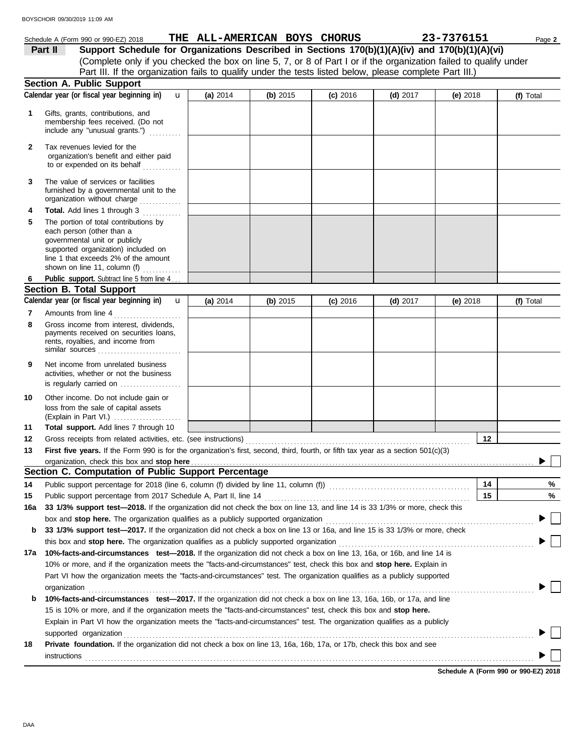|         | Schedule A (Form 990 or 990-EZ) 2018                                                                                                                                                                                                        |          |          | THE ALL-AMERICAN BOYS CHORUS |            | 23-7376151 | Page 2    |
|---------|---------------------------------------------------------------------------------------------------------------------------------------------------------------------------------------------------------------------------------------------|----------|----------|------------------------------|------------|------------|-----------|
| Part II | Support Schedule for Organizations Described in Sections 170(b)(1)(A)(iv) and 170(b)(1)(A)(vi)<br>(Complete only if you checked the box on line 5, 7, or 8 of Part I or if the organization failed to qualify under                         |          |          |                              |            |            |           |
|         | Part III. If the organization fails to qualify under the tests listed below, please complete Part III.)                                                                                                                                     |          |          |                              |            |            |           |
|         | <b>Section A. Public Support</b>                                                                                                                                                                                                            |          |          |                              |            |            |           |
|         | Calendar year (or fiscal year beginning in)<br>$\mathbf{u}$                                                                                                                                                                                 | (a) 2014 | (b) 2015 | $(c)$ 2016                   | (d) $2017$ | (e) $2018$ | (f) Total |
| 1       | Gifts, grants, contributions, and<br>membership fees received. (Do not<br>include any "unusual grants.")                                                                                                                                    |          |          |                              |            |            |           |
| 2       | Tax revenues levied for the<br>organization's benefit and either paid<br>to or expended on its behalf                                                                                                                                       |          |          |                              |            |            |           |
| 3       | The value of services or facilities<br>furnished by a governmental unit to the<br>organization without charge                                                                                                                               |          |          |                              |            |            |           |
| 4       | Total. Add lines 1 through 3                                                                                                                                                                                                                |          |          |                              |            |            |           |
| 5       | The portion of total contributions by<br>each person (other than a<br>governmental unit or publicly<br>supported organization) included on<br>line 1 that exceeds 2% of the amount<br>shown on line 11, column (f) $\ldots$                 |          |          |                              |            |            |           |
| 6       | Public support. Subtract line 5 from line 4                                                                                                                                                                                                 |          |          |                              |            |            |           |
|         | <b>Section B. Total Support</b>                                                                                                                                                                                                             |          |          |                              |            |            |           |
|         | Calendar year (or fiscal year beginning in)<br>$\mathbf{u}$                                                                                                                                                                                 | (a) 2014 | (b) 2015 | $(c)$ 2016                   | (d) $2017$ | (e) $2018$ | (f) Total |
| 7       | Amounts from line 4                                                                                                                                                                                                                         |          |          |                              |            |            |           |
| 8       | Gross income from interest, dividends,<br>payments received on securities loans,<br>rents, royalties, and income from<br>similar sources                                                                                                    |          |          |                              |            |            |           |
| 9       | Net income from unrelated business<br>activities, whether or not the business<br>is regularly carried on                                                                                                                                    |          |          |                              |            |            |           |
| 10      | Other income. Do not include gain or<br>loss from the sale of capital assets<br>(Explain in Part VI.)                                                                                                                                       |          |          |                              |            |            |           |
| 11      | Total support. Add lines 7 through 10                                                                                                                                                                                                       |          |          |                              |            |            |           |
| 12      |                                                                                                                                                                                                                                             |          |          |                              |            | 12         |           |
| 13      | First five years. If the Form 990 is for the organization's first, second, third, fourth, or fifth tax year as a section 501(c)(3)                                                                                                          |          |          |                              |            |            |           |
|         | organization, check this box and <b>stop here</b>                                                                                                                                                                                           |          |          |                              |            |            |           |
|         | Section C. Computation of Public Support Percentage                                                                                                                                                                                         |          |          |                              |            |            |           |
| 14      |                                                                                                                                                                                                                                             |          |          |                              |            | 14         | ℅         |
| 15      | Public support percentage from 2017 Schedule A, Part II, line 14                                                                                                                                                                            |          |          |                              |            | 15         | %         |
| 16a     | 33 1/3% support test-2018. If the organization did not check the box on line 13, and line 14 is 33 1/3% or more, check this                                                                                                                 |          |          |                              |            |            |           |
|         |                                                                                                                                                                                                                                             |          |          |                              |            |            |           |
| b       | 33 1/3% support test-2017. If the organization did not check a box on line 13 or 16a, and line 15 is 33 1/3% or more, check                                                                                                                 |          |          |                              |            |            |           |
|         | this box and <b>stop here.</b> The organization qualifies as a publicly supported organization                                                                                                                                              |          |          |                              |            |            |           |
| 17a     | 10%-facts-and-circumstances test-2018. If the organization did not check a box on line 13, 16a, or 16b, and line 14 is                                                                                                                      |          |          |                              |            |            |           |
|         | 10% or more, and if the organization meets the "facts-and-circumstances" test, check this box and stop here. Explain in                                                                                                                     |          |          |                              |            |            |           |
|         | Part VI how the organization meets the "facts-and-circumstances" test. The organization qualifies as a publicly supported                                                                                                                   |          |          |                              |            |            |           |
|         | organization                                                                                                                                                                                                                                |          |          |                              |            |            |           |
| b       | 10%-facts-and-circumstances test-2017. If the organization did not check a box on line 13, 16a, 16b, or 17a, and line<br>15 is 10% or more, and if the organization meets the "facts-and-circumstances" test, check this box and stop here. |          |          |                              |            |            |           |
|         | Explain in Part VI how the organization meets the "facts-and-circumstances" test. The organization qualifies as a publicly                                                                                                                  |          |          |                              |            |            |           |
|         | supported organization                                                                                                                                                                                                                      |          |          |                              |            |            |           |
|         | Private foundation. If the organization did not check a box on line 13, 16a, 16b, 17a, or 17b, check this box and see                                                                                                                       |          |          |                              |            |            |           |

**Schedule A (Form 990 or 990-EZ) 2018** instructions . . . . . . . . . . . . . . . . . . . . . . . . . . . . . . . . . . . . . . . . . . . . . . . . . . . . . . . . . . . . . . . . . . . . . . . . . . . . . . . . . . . . . . . . . . . . . . . . . . . . . . . . . . . . . . . . . . . . . . . . . . . . . . . . . . . . . . . . . . . .

 $\Box$  $\blacktriangleright$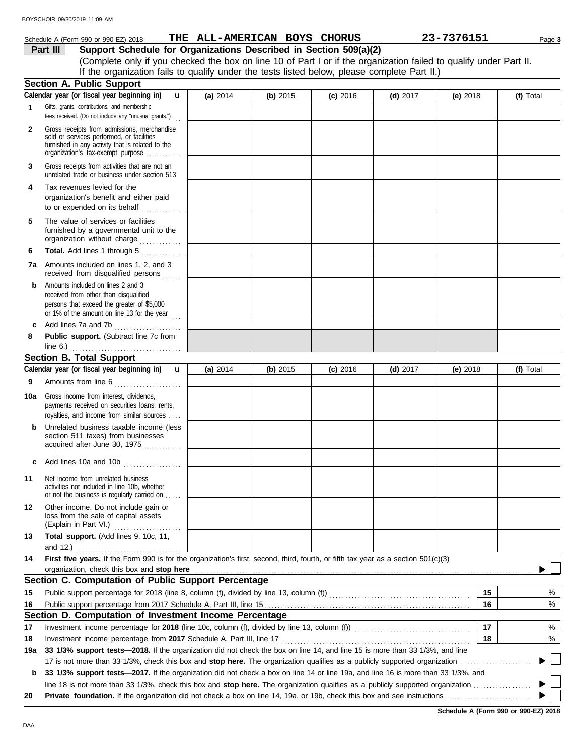### Schedule A (Form 990 or 990-EZ) 2018 Page **3 THE ALL-AMERICAN BOYS CHORUS 23-7376151**

**Part III** Support Schedule for Organizations Described in Section 509(a)(2) (Complete only if you checked the box on line 10 of Part I or if the organization failed to qualify under Part II. If the organization fails to qualify under the tests listed below, please complete Part II.)

|                 | <b>Section A. Public Support</b>                                                                                                            |          |          |            |            |            |           |
|-----------------|---------------------------------------------------------------------------------------------------------------------------------------------|----------|----------|------------|------------|------------|-----------|
|                 | Calendar year (or fiscal year beginning in)<br>$\mathbf{u}$                                                                                 | (a) 2014 | (b) 2015 | $(c)$ 2016 | (d) $2017$ | (e) 2018   | (f) Total |
| 1               | Gifts, grants, contributions, and membership                                                                                                |          |          |            |            |            |           |
|                 | fees received. (Do not include any "unusual grants.")                                                                                       |          |          |            |            |            |           |
| 2               | Gross receipts from admissions, merchandise                                                                                                 |          |          |            |            |            |           |
|                 | sold or services performed, or facilities<br>furnished in any activity that is related to the                                               |          |          |            |            |            |           |
|                 | organization's tax-exempt purpose                                                                                                           |          |          |            |            |            |           |
| 3               | Gross receipts from activities that are not an                                                                                              |          |          |            |            |            |           |
|                 | unrelated trade or business under section 513                                                                                               |          |          |            |            |            |           |
| 4               | Tax revenues levied for the                                                                                                                 |          |          |            |            |            |           |
|                 | organization's benefit and either paid                                                                                                      |          |          |            |            |            |           |
|                 | to or expended on its behalf                                                                                                                |          |          |            |            |            |           |
| 5               | The value of services or facilities<br>furnished by a governmental unit to the                                                              |          |          |            |            |            |           |
|                 | organization without charge                                                                                                                 |          |          |            |            |            |           |
| 6               | Total. Add lines 1 through 5<br>.<br>.                                                                                                      |          |          |            |            |            |           |
|                 | <b>7a</b> Amounts included on lines 1, 2, and 3<br>received from disqualified persons                                                       |          |          |            |            |            |           |
|                 | Amounts included on lines 2 and 3                                                                                                           |          |          |            |            |            |           |
| b               | received from other than disqualified                                                                                                       |          |          |            |            |            |           |
|                 | persons that exceed the greater of \$5,000                                                                                                  |          |          |            |            |            |           |
|                 | or 1% of the amount on line 13 for the year                                                                                                 |          |          |            |            |            |           |
| c               | Add lines 7a and 7b                                                                                                                         |          |          |            |            |            |           |
| 8               | Public support. (Subtract line 7c from                                                                                                      |          |          |            |            |            |           |
|                 |                                                                                                                                             |          |          |            |            |            |           |
|                 | <b>Section B. Total Support</b>                                                                                                             |          |          |            |            |            |           |
|                 | Calendar year (or fiscal year beginning in)<br>$\mathbf{u}$                                                                                 | (a) 2014 | (b) 2015 | $(c)$ 2016 | (d) $2017$ | $(e)$ 2018 | (f) Total |
| 9               | Amounts from line 6                                                                                                                         |          |          |            |            |            |           |
| 10a             | Gross income from interest, dividends,                                                                                                      |          |          |            |            |            |           |
|                 | payments received on securities loans, rents,                                                                                               |          |          |            |            |            |           |
|                 | royalties, and income from similar sources                                                                                                  |          |          |            |            |            |           |
| b               | Unrelated business taxable income (less<br>section 511 taxes) from businesses                                                               |          |          |            |            |            |           |
|                 | acquired after June 30, 1975                                                                                                                |          |          |            |            |            |           |
|                 |                                                                                                                                             |          |          |            |            |            |           |
| c               | Add lines 10a and 10b                                                                                                                       |          |          |            |            |            |           |
| 11              | Net income from unrelated business                                                                                                          |          |          |            |            |            |           |
|                 | activities not included in line 10b, whether<br>or not the business is regularly carried on                                                 |          |          |            |            |            |           |
| 12 <sub>2</sub> | Other income. Do not include gain or                                                                                                        |          |          |            |            |            |           |
|                 | loss from the sale of capital assets                                                                                                        |          |          |            |            |            |           |
|                 | (Explain in Part VI.)                                                                                                                       |          |          |            |            |            |           |
| 13              | Total support. (Add lines 9, 10c, 11,                                                                                                       |          |          |            |            |            |           |
|                 | and $12.$ )                                                                                                                                 |          |          |            |            |            |           |
| 14              | First five years. If the Form 990 is for the organization's first, second, third, fourth, or fifth tax year as a section 501(c)(3)          |          |          |            |            |            |           |
|                 | organization, check this box and stop here                                                                                                  |          |          |            |            |            |           |
|                 | Section C. Computation of Public Support Percentage                                                                                         |          |          |            |            |            |           |
| 15              |                                                                                                                                             |          |          |            |            | 15         | %         |
| 16              |                                                                                                                                             |          |          |            |            | 16         | %         |
|                 | Section D. Computation of Investment Income Percentage                                                                                      |          |          |            |            |            |           |
| 17              |                                                                                                                                             |          |          |            |            | 17         | %         |
| 18              | Investment income percentage from 2017 Schedule A, Part III, line 17                                                                        |          |          |            |            | 18         | %         |
| 19a             | 33 1/3% support tests-2018. If the organization did not check the box on line 14, and line 15 is more than 33 1/3%, and line                |          |          |            |            |            |           |
|                 | 17 is not more than 33 1/3%, check this box and stop here. The organization qualifies as a publicly supported organization <i>maniality</i> |          |          |            |            |            |           |
| b               | 33 1/3% support tests-2017. If the organization did not check a box on line 14 or line 19a, and line 16 is more than 33 1/3%, and           |          |          |            |            |            |           |
|                 |                                                                                                                                             |          |          |            |            |            |           |
| 20              |                                                                                                                                             |          |          |            |            |            |           |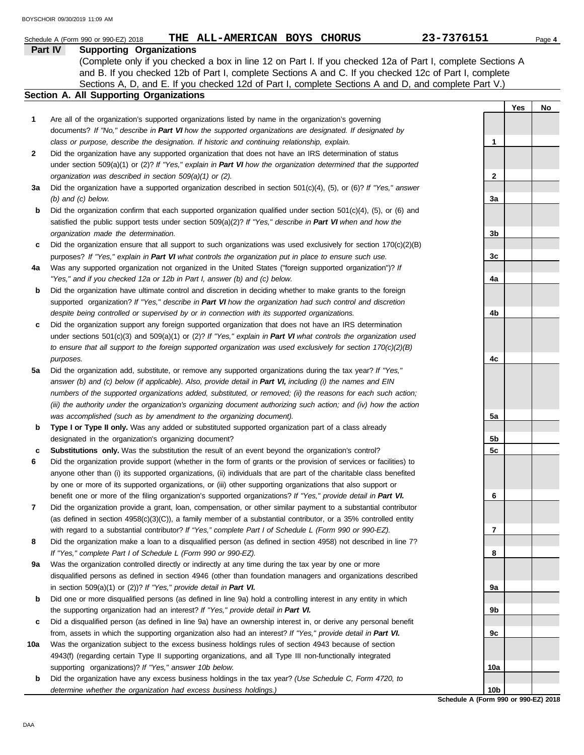|     | THE ALL-AMERICAN BOYS CHORUS<br>Schedule A (Form 990 or 990-EZ) 2018                                                | 23-7376151      | Page 4 |
|-----|---------------------------------------------------------------------------------------------------------------------|-----------------|--------|
|     | <b>Supporting Organizations</b><br>Part IV                                                                          |                 |        |
|     | (Complete only if you checked a box in line 12 on Part I. If you checked 12a of Part I, complete Sections A         |                 |        |
|     | and B. If you checked 12b of Part I, complete Sections A and C. If you checked 12c of Part I, complete              |                 |        |
|     | Sections A, D, and E. If you checked 12d of Part I, complete Sections A and D, and complete Part V.)                |                 |        |
|     | <b>Section A. All Supporting Organizations</b>                                                                      |                 |        |
|     |                                                                                                                     | Yes             | No.    |
| 1   | Are all of the organization's supported organizations listed by name in the organization's governing                |                 |        |
|     | documents? If "No," describe in Part VI how the supported organizations are designated. If designated by            |                 |        |
|     | class or purpose, describe the designation. If historic and continuing relationship, explain.                       | 1               |        |
| 2   | Did the organization have any supported organization that does not have an IRS determination of status              |                 |        |
|     | under section 509(a)(1) or (2)? If "Yes," explain in Part VI how the organization determined that the supported     |                 |        |
|     | organization was described in section 509(a)(1) or (2).                                                             | $\mathbf{2}$    |        |
| За  | Did the organization have a supported organization described in section $501(c)(4)$ , (5), or (6)? If "Yes," answer |                 |        |
|     | $(b)$ and $(c)$ below.                                                                                              | 3a              |        |
| b   | Did the organization confirm that each supported organization qualified under section $501(c)(4)$ , (5), or (6) and |                 |        |
|     | satisfied the public support tests under section 509(a)(2)? If "Yes," describe in Part VI when and how the          |                 |        |
|     | organization made the determination.                                                                                | 3b              |        |
| c   | Did the organization ensure that all support to such organizations was used exclusively for section $170(c)(2)(B)$  |                 |        |
|     | purposes? If "Yes," explain in Part VI what controls the organization put in place to ensure such use.              | 3c              |        |
| 4a  | Was any supported organization not organized in the United States ("foreign supported organization")? If            |                 |        |
|     | "Yes," and if you checked 12a or 12b in Part I, answer (b) and (c) below.                                           | 4a              |        |
| b   | Did the organization have ultimate control and discretion in deciding whether to make grants to the foreign         |                 |        |
|     | supported organization? If "Yes," describe in Part VI how the organization had such control and discretion          |                 |        |
|     | despite being controlled or supervised by or in connection with its supported organizations.                        | 4b              |        |
| c   | Did the organization support any foreign supported organization that does not have an IRS determination             |                 |        |
|     | under sections $501(c)(3)$ and $509(a)(1)$ or (2)? If "Yes," explain in Part VI what controls the organization used |                 |        |
|     | to ensure that all support to the foreign supported organization was used exclusively for section $170(c)(2)(B)$    |                 |        |
|     | purposes.                                                                                                           | 4с              |        |
| 5a  | Did the organization add, substitute, or remove any supported organizations during the tax year? If "Yes,"          |                 |        |
|     | answer (b) and (c) below (if applicable). Also, provide detail in Part VI, including (i) the names and EIN          |                 |        |
|     | numbers of the supported organizations added, substituted, or removed; (ii) the reasons for each such action;       |                 |        |
|     | (iii) the authority under the organization's organizing document authorizing such action; and (iv) how the action   |                 |        |
|     | was accomplished (such as by amendment to the organizing document).                                                 | 5a              |        |
| b   | Type I or Type II only. Was any added or substituted supported organization part of a class already                 |                 |        |
|     | designated in the organization's organizing document?                                                               | 5b              |        |
|     | <b>Substitutions only.</b> Was the substitution the result of an event beyond the organization's control?           | 5 <sub>c</sub>  |        |
|     | Did the organization provide support (whether in the form of grants or the provision of services or facilities) to  |                 |        |
|     | anyone other than (i) its supported organizations, (ii) individuals that are part of the charitable class benefited |                 |        |
|     | by one or more of its supported organizations, or (iii) other supporting organizations that also support or         |                 |        |
|     | benefit one or more of the filing organization's supported organizations? If "Yes," provide detail in Part VI.      | 6               |        |
| 7   | Did the organization provide a grant, loan, compensation, or other similar payment to a substantial contributor     |                 |        |
|     | (as defined in section $4958(c)(3)(C)$ ), a family member of a substantial contributor, or a 35% controlled entity  |                 |        |
|     | with regard to a substantial contributor? If "Yes," complete Part I of Schedule L (Form 990 or 990-EZ).             | 7               |        |
| 8   | Did the organization make a loan to a disqualified person (as defined in section 4958) not described in line 7?     |                 |        |
|     | If "Yes," complete Part I of Schedule L (Form 990 or 990-EZ).                                                       | 8               |        |
| 9а  | Was the organization controlled directly or indirectly at any time during the tax year by one or more               |                 |        |
|     | disqualified persons as defined in section 4946 (other than foundation managers and organizations described         |                 |        |
|     | in section $509(a)(1)$ or $(2)$ ? If "Yes," provide detail in Part VI.                                              | 9а              |        |
| b   | Did one or more disqualified persons (as defined in line 9a) hold a controlling interest in any entity in which     |                 |        |
|     | the supporting organization had an interest? If "Yes," provide detail in Part VI.                                   | 9b              |        |
| c   | Did a disqualified person (as defined in line 9a) have an ownership interest in, or derive any personal benefit     |                 |        |
|     | from, assets in which the supporting organization also had an interest? If "Yes," provide detail in Part VI.        | 9c              |        |
| 10a | Was the organization subject to the excess business holdings rules of section 4943 because of section               |                 |        |
|     | 4943(f) (regarding certain Type II supporting organizations, and all Type III non-functionally integrated           |                 |        |
|     | supporting organizations)? If "Yes," answer 10b below.                                                              | 10a             |        |
| b   | Did the organization have any excess business holdings in the tax year? (Use Schedule C, Form 4720, to              |                 |        |
|     | determine whether the organization had excess business holdings.)                                                   | 10 <sub>b</sub> |        |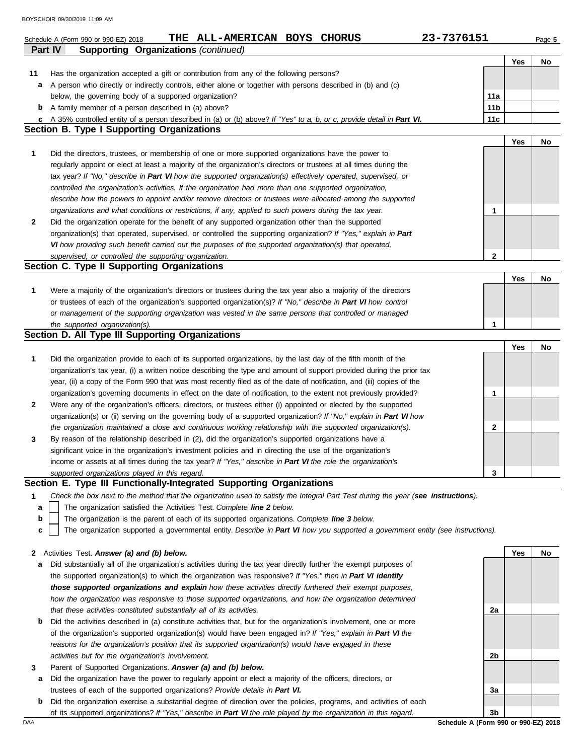|                | Schedule A (Form 990 or 990-EZ) 2018                                                                                              | THE ALL-AMERICAN BOYS CHORUS                                                                  |  | 23-7376151                                                                                                                      |                 |     | Page 5 |
|----------------|-----------------------------------------------------------------------------------------------------------------------------------|-----------------------------------------------------------------------------------------------|--|---------------------------------------------------------------------------------------------------------------------------------|-----------------|-----|--------|
| <b>Part IV</b> | <b>Supporting Organizations (continued)</b>                                                                                       |                                                                                               |  |                                                                                                                                 |                 |     |        |
|                |                                                                                                                                   |                                                                                               |  |                                                                                                                                 |                 | Yes | No     |
| 11             | Has the organization accepted a gift or contribution from any of the following persons?                                           |                                                                                               |  |                                                                                                                                 |                 |     |        |
| а              | A person who directly or indirectly controls, either alone or together with persons described in (b) and (c)                      |                                                                                               |  |                                                                                                                                 |                 |     |        |
|                | below, the governing body of a supported organization?                                                                            |                                                                                               |  |                                                                                                                                 | 11a             |     |        |
| b              | A family member of a person described in (a) above?                                                                               |                                                                                               |  |                                                                                                                                 | 11 <sub>b</sub> |     |        |
| c              | A 35% controlled entity of a person described in (a) or (b) above? If "Yes" to a, b, or c, provide detail in Part VI.             |                                                                                               |  |                                                                                                                                 | 11c             |     |        |
|                | Section B. Type I Supporting Organizations                                                                                        |                                                                                               |  |                                                                                                                                 |                 |     |        |
|                |                                                                                                                                   |                                                                                               |  |                                                                                                                                 |                 | Yes | No     |
| 1              | Did the directors, trustees, or membership of one or more supported organizations have the power to                               |                                                                                               |  |                                                                                                                                 |                 |     |        |
|                | regularly appoint or elect at least a majority of the organization's directors or trustees at all times during the                |                                                                                               |  |                                                                                                                                 |                 |     |        |
|                | tax year? If "No," describe in Part VI how the supported organization(s) effectively operated, supervised, or                     |                                                                                               |  |                                                                                                                                 |                 |     |        |
|                | controlled the organization's activities. If the organization had more than one supported organization,                           |                                                                                               |  |                                                                                                                                 |                 |     |        |
|                | describe how the powers to appoint and/or remove directors or trustees were allocated among the supported                         |                                                                                               |  |                                                                                                                                 |                 |     |        |
|                | organizations and what conditions or restrictions, if any, applied to such powers during the tax year.                            |                                                                                               |  |                                                                                                                                 | 1               |     |        |
| 2              | Did the organization operate for the benefit of any supported organization other than the supported                               |                                                                                               |  |                                                                                                                                 |                 |     |        |
|                | organization(s) that operated, supervised, or controlled the supporting organization? If "Yes," explain in Part                   |                                                                                               |  |                                                                                                                                 |                 |     |        |
|                | VI how providing such benefit carried out the purposes of the supported organization(s) that operated,                            |                                                                                               |  |                                                                                                                                 |                 |     |        |
|                | supervised, or controlled the supporting organization.                                                                            |                                                                                               |  |                                                                                                                                 | $\mathbf{2}$    |     |        |
|                | Section C. Type II Supporting Organizations                                                                                       |                                                                                               |  |                                                                                                                                 |                 |     |        |
|                |                                                                                                                                   |                                                                                               |  |                                                                                                                                 |                 | Yes | No     |
| 1              | Were a majority of the organization's directors or trustees during the tax year also a majority of the directors                  |                                                                                               |  |                                                                                                                                 |                 |     |        |
|                | or trustees of each of the organization's supported organization(s)? If "No," describe in Part VI how control                     |                                                                                               |  |                                                                                                                                 |                 |     |        |
|                | or management of the supporting organization was vested in the same persons that controlled or managed                            |                                                                                               |  |                                                                                                                                 |                 |     |        |
|                | the supported organization(s).                                                                                                    |                                                                                               |  |                                                                                                                                 | 1               |     |        |
|                | Section D. All Type III Supporting Organizations                                                                                  |                                                                                               |  |                                                                                                                                 |                 |     |        |
|                |                                                                                                                                   |                                                                                               |  |                                                                                                                                 |                 | Yes | No     |
| 1              | Did the organization provide to each of its supported organizations, by the last day of the fifth month of the                    |                                                                                               |  |                                                                                                                                 |                 |     |        |
|                | organization's tax year, (i) a written notice describing the type and amount of support provided during the prior tax             |                                                                                               |  |                                                                                                                                 |                 |     |        |
|                | year, (ii) a copy of the Form 990 that was most recently filed as of the date of notification, and (iii) copies of the            |                                                                                               |  |                                                                                                                                 |                 |     |        |
|                | organization's governing documents in effect on the date of notification, to the extent not previously provided?                  |                                                                                               |  |                                                                                                                                 | 1               |     |        |
| 2              | Were any of the organization's officers, directors, or trustees either (i) appointed or elected by the supported                  |                                                                                               |  |                                                                                                                                 |                 |     |        |
|                | organization(s) or (ii) serving on the governing body of a supported organization? If "No," explain in Part VI how                |                                                                                               |  |                                                                                                                                 |                 |     |        |
|                | the organization maintained a close and continuous working relationship with the supported organization(s).                       |                                                                                               |  |                                                                                                                                 | 2               |     |        |
| 3              | By reason of the relationship described in (2), did the organization's supported organizations have a                             |                                                                                               |  |                                                                                                                                 |                 |     |        |
|                | significant voice in the organization's investment policies and in directing the use of the organization's                        |                                                                                               |  |                                                                                                                                 |                 |     |        |
|                | income or assets at all times during the tax year? If "Yes," describe in Part VI the role the organization's                      |                                                                                               |  |                                                                                                                                 |                 |     |        |
|                | supported organizations played in this regard.                                                                                    |                                                                                               |  |                                                                                                                                 | 3               |     |        |
|                | Section E. Type III Functionally-Integrated Supporting Organizations                                                              |                                                                                               |  |                                                                                                                                 |                 |     |        |
| 1              | Check the box next to the method that the organization used to satisfy the Integral Part Test during the year (see instructions). |                                                                                               |  |                                                                                                                                 |                 |     |        |
| a              |                                                                                                                                   | The organization satisfied the Activities Test. Complete line 2 below.                        |  |                                                                                                                                 |                 |     |        |
| b              |                                                                                                                                   | The organization is the parent of each of its supported organizations. Complete line 3 below. |  |                                                                                                                                 |                 |     |        |
| с              |                                                                                                                                   |                                                                                               |  | The organization supported a governmental entity. Describe in Part VI how you supported a government entity (see instructions). |                 |     |        |
|                |                                                                                                                                   |                                                                                               |  |                                                                                                                                 |                 |     |        |
| 2              | Activities Test. Answer (a) and (b) below.                                                                                        |                                                                                               |  |                                                                                                                                 |                 | Yes | No     |
| a              | Did substantially all of the organization's activities during the tax year directly further the exempt purposes of                |                                                                                               |  |                                                                                                                                 |                 |     |        |
|                | the supported organization(s) to which the organization was responsive? If "Yes," then in Part VI identify                        |                                                                                               |  |                                                                                                                                 |                 |     |        |
|                | those supported organizations and explain how these activities directly furthered their exempt purposes,                          |                                                                                               |  |                                                                                                                                 |                 |     |        |
|                | how the organization was responsive to those supported organizations, and how the organization determined                         |                                                                                               |  |                                                                                                                                 |                 |     |        |
|                | that these activities constituted substantially all of its activities.                                                            |                                                                                               |  |                                                                                                                                 | 2a              |     |        |
| b              | Did the activities described in (a) constitute activities that, but for the organization's involvement, one or more               |                                                                                               |  |                                                                                                                                 |                 |     |        |
|                | of the organization's supported organization(s) would have been engaged in? If "Yes," explain in Part VI the                      |                                                                                               |  |                                                                                                                                 |                 |     |        |
|                | reasons for the organization's position that its supported organization(s) would have engaged in these                            |                                                                                               |  |                                                                                                                                 |                 |     |        |
|                | activities but for the organization's involvement.                                                                                |                                                                                               |  |                                                                                                                                 | 2b              |     |        |
| 3              | Parent of Supported Organizations. Answer (a) and (b) below.                                                                      |                                                                                               |  |                                                                                                                                 |                 |     |        |
| а              | Did the organization have the power to regularly appoint or elect a majority of the officers, directors, or                       |                                                                                               |  |                                                                                                                                 |                 |     |        |
|                | trustees of each of the supported organizations? Provide details in Part VI.                                                      |                                                                                               |  |                                                                                                                                 | За              |     |        |
| b              | Did the organization exercise a substantial degree of direction over the policies, programs, and activities of each               |                                                                                               |  |                                                                                                                                 |                 |     |        |
|                | of its supported organizations? If "Yes," describe in Part VI the role played by the organization in this regard.                 |                                                                                               |  |                                                                                                                                 | 3b              |     |        |
| DAA            |                                                                                                                                   |                                                                                               |  | Schedule A (Form 990 or 990-EZ) 2018                                                                                            |                 |     |        |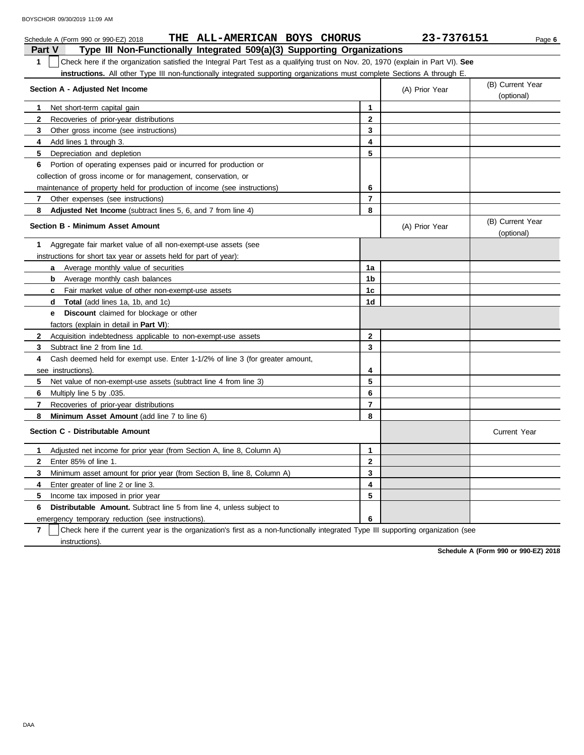|               | THE ALL-AMERICAN BOYS CHORUS<br>Schedule A (Form 990 or 990-EZ) 2018                                                             |                | 23-7376151     | Page 6                         |
|---------------|----------------------------------------------------------------------------------------------------------------------------------|----------------|----------------|--------------------------------|
| <b>Part V</b> | Type III Non-Functionally Integrated 509(a)(3) Supporting Organizations                                                          |                |                |                                |
| $\mathbf{1}$  | Check here if the organization satisfied the Integral Part Test as a qualifying trust on Nov. 20, 1970 (explain in Part VI). See |                |                |                                |
|               | instructions. All other Type III non-functionally integrated supporting organizations must complete Sections A through E.        |                |                |                                |
|               | Section A - Adjusted Net Income                                                                                                  |                | (A) Prior Year | (B) Current Year               |
|               |                                                                                                                                  |                |                | (optional)                     |
| 1             | Net short-term capital gain                                                                                                      | 1              |                |                                |
| $\mathbf{2}$  | Recoveries of prior-year distributions                                                                                           | $\mathbf{2}$   |                |                                |
| 3             | Other gross income (see instructions)                                                                                            | 3              |                |                                |
| 4             | Add lines 1 through 3.                                                                                                           | 4              |                |                                |
| 5             | Depreciation and depletion                                                                                                       | 5              |                |                                |
| 6             | Portion of operating expenses paid or incurred for production or                                                                 |                |                |                                |
|               | collection of gross income or for management, conservation, or                                                                   |                |                |                                |
|               | maintenance of property held for production of income (see instructions)                                                         | 6              |                |                                |
| 7             | Other expenses (see instructions)                                                                                                | 7              |                |                                |
| 8             | <b>Adjusted Net Income</b> (subtract lines 5, 6, and 7 from line 4)                                                              | 8              |                |                                |
|               | <b>Section B - Minimum Asset Amount</b>                                                                                          |                | (A) Prior Year | (B) Current Year<br>(optional) |
| 1.            | Aggregate fair market value of all non-exempt-use assets (see                                                                    |                |                |                                |
|               | instructions for short tax year or assets held for part of year):                                                                |                |                |                                |
|               | Average monthly value of securities<br>a                                                                                         | 1a             |                |                                |
|               | b<br>Average monthly cash balances                                                                                               | 1b             |                |                                |
|               | <b>c</b> Fair market value of other non-exempt-use assets                                                                        | 1c             |                |                                |
|               | <b>Total</b> (add lines 1a, 1b, and 1c)<br>d                                                                                     | 1 <sub>d</sub> |                |                                |
|               | Discount claimed for blockage or other<br>e                                                                                      |                |                |                                |
|               | factors (explain in detail in Part VI):                                                                                          |                |                |                                |
| $\mathbf{2}$  | Acquisition indebtedness applicable to non-exempt-use assets                                                                     | $\mathbf{2}$   |                |                                |
| 3             | Subtract line 2 from line 1d.                                                                                                    | 3              |                |                                |
| 4             | Cash deemed held for exempt use. Enter 1-1/2% of line 3 (for greater amount,                                                     |                |                |                                |
|               | see instructions).                                                                                                               | 4              |                |                                |
| 5.            | Net value of non-exempt-use assets (subtract line 4 from line 3)                                                                 | 5              |                |                                |
| 6             | Multiply line 5 by .035.                                                                                                         | 6              |                |                                |
| 7             | Recoveries of prior-year distributions                                                                                           | $\overline{7}$ |                |                                |
| 8             | Minimum Asset Amount (add line 7 to line 6)                                                                                      | 8              |                |                                |
|               | Section C - Distributable Amount                                                                                                 |                |                | <b>Current Year</b>            |
| $\mathbf 1$   | Adjusted net income for prior year (from Section A, line 8, Column A)                                                            | $\mathbf{1}$   |                |                                |
| $\mathbf{2}$  | Enter 85% of line 1.                                                                                                             | $\mathbf{2}$   |                |                                |
| 3             | Minimum asset amount for prior year (from Section B, line 8, Column A)                                                           | 3              |                |                                |
| 4             | Enter greater of line 2 or line 3.                                                                                               | 4              |                |                                |
| 5             | Income tax imposed in prior year                                                                                                 | 5              |                |                                |
| 6             | <b>Distributable Amount.</b> Subtract line 5 from line 4, unless subject to                                                      |                |                |                                |
|               | emergency temporary reduction (see instructions)                                                                                 | 6              |                |                                |

**7** | Check here if the current year is the organization's first as a non-functionally integrated Type III supporting organization (see instructions).

**Schedule A (Form 990 or 990-EZ) 2018**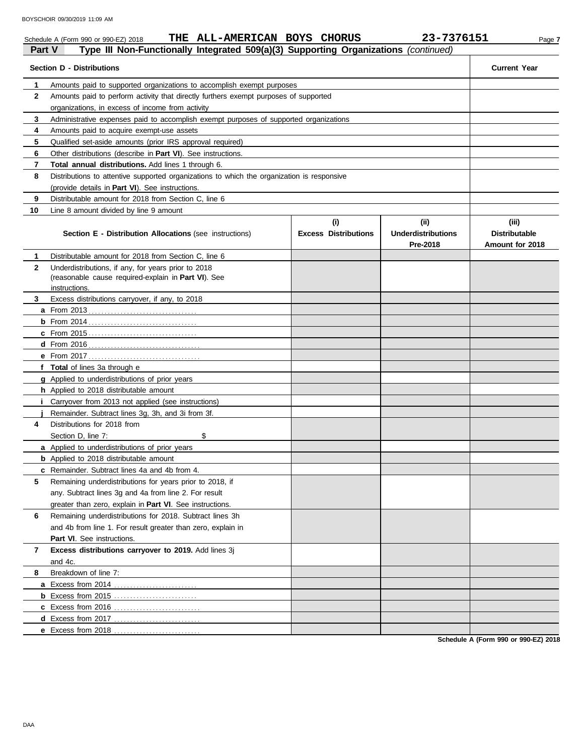| <b>Part V</b>  | THE ALL-AMERICAN BOYS CHORUS<br>Schedule A (Form 990 or 990-EZ) 2018<br>Type III Non-Functionally Integrated 509(a)(3) Supporting Organizations (continued) |                             | 23-7376151                            | Page 7                                  |  |  |  |  |
|----------------|-------------------------------------------------------------------------------------------------------------------------------------------------------------|-----------------------------|---------------------------------------|-----------------------------------------|--|--|--|--|
|                | <b>Section D - Distributions</b>                                                                                                                            |                             |                                       | <b>Current Year</b>                     |  |  |  |  |
| 1              | Amounts paid to supported organizations to accomplish exempt purposes                                                                                       |                             |                                       |                                         |  |  |  |  |
| $\mathbf{2}$   | Amounts paid to perform activity that directly furthers exempt purposes of supported                                                                        |                             |                                       |                                         |  |  |  |  |
|                | organizations, in excess of income from activity                                                                                                            |                             |                                       |                                         |  |  |  |  |
| 3              | Administrative expenses paid to accomplish exempt purposes of supported organizations                                                                       |                             |                                       |                                         |  |  |  |  |
| 4              | Amounts paid to acquire exempt-use assets                                                                                                                   |                             |                                       |                                         |  |  |  |  |
| 5              | Qualified set-aside amounts (prior IRS approval required)                                                                                                   |                             |                                       |                                         |  |  |  |  |
| 6              | Other distributions (describe in Part VI). See instructions.                                                                                                |                             |                                       |                                         |  |  |  |  |
| $\overline{7}$ | Total annual distributions. Add lines 1 through 6.                                                                                                          |                             |                                       |                                         |  |  |  |  |
| 8              | Distributions to attentive supported organizations to which the organization is responsive                                                                  |                             |                                       |                                         |  |  |  |  |
|                | (provide details in Part VI). See instructions.                                                                                                             |                             |                                       |                                         |  |  |  |  |
| 9              | Distributable amount for 2018 from Section C, line 6                                                                                                        |                             |                                       |                                         |  |  |  |  |
| 10             | Line 8 amount divided by line 9 amount                                                                                                                      |                             |                                       |                                         |  |  |  |  |
|                |                                                                                                                                                             | (i)                         | (ii)                                  | (iii)                                   |  |  |  |  |
|                | Section E - Distribution Allocations (see instructions)                                                                                                     | <b>Excess Distributions</b> | <b>Underdistributions</b><br>Pre-2018 | <b>Distributable</b><br>Amount for 2018 |  |  |  |  |
| 1              | Distributable amount for 2018 from Section C, line 6                                                                                                        |                             |                                       |                                         |  |  |  |  |
| $\mathbf{2}$   | Underdistributions, if any, for years prior to 2018                                                                                                         |                             |                                       |                                         |  |  |  |  |
|                | (reasonable cause required-explain in Part VI). See                                                                                                         |                             |                                       |                                         |  |  |  |  |
|                | instructions.                                                                                                                                               |                             |                                       |                                         |  |  |  |  |
| 3              | Excess distributions carryover, if any, to 2018                                                                                                             |                             |                                       |                                         |  |  |  |  |
|                |                                                                                                                                                             |                             |                                       |                                         |  |  |  |  |
|                |                                                                                                                                                             |                             |                                       |                                         |  |  |  |  |
|                |                                                                                                                                                             |                             |                                       |                                         |  |  |  |  |
|                |                                                                                                                                                             |                             |                                       |                                         |  |  |  |  |
|                |                                                                                                                                                             |                             |                                       |                                         |  |  |  |  |
|                | f Total of lines 3a through e                                                                                                                               |                             |                                       |                                         |  |  |  |  |
|                | g Applied to underdistributions of prior years                                                                                                              |                             |                                       |                                         |  |  |  |  |
|                | h Applied to 2018 distributable amount                                                                                                                      |                             |                                       |                                         |  |  |  |  |
|                | <i>i</i> Carryover from 2013 not applied (see instructions)                                                                                                 |                             |                                       |                                         |  |  |  |  |
|                | Remainder. Subtract lines 3g, 3h, and 3i from 3f.                                                                                                           |                             |                                       |                                         |  |  |  |  |
| 4              | Distributions for 2018 from                                                                                                                                 |                             |                                       |                                         |  |  |  |  |
|                | Section D, line 7:<br>\$                                                                                                                                    |                             |                                       |                                         |  |  |  |  |
|                | a Applied to underdistributions of prior years                                                                                                              |                             |                                       |                                         |  |  |  |  |
|                | <b>b</b> Applied to 2018 distributable amount                                                                                                               |                             |                                       |                                         |  |  |  |  |
|                | <b>c</b> Remainder. Subtract lines 4a and 4b from 4.                                                                                                        |                             |                                       |                                         |  |  |  |  |
| 5              | Remaining underdistributions for years prior to 2018, if                                                                                                    |                             |                                       |                                         |  |  |  |  |
|                | any. Subtract lines 3g and 4a from line 2. For result                                                                                                       |                             |                                       |                                         |  |  |  |  |
|                | greater than zero, explain in Part VI. See instructions.                                                                                                    |                             |                                       |                                         |  |  |  |  |
| 6              | Remaining underdistributions for 2018. Subtract lines 3h                                                                                                    |                             |                                       |                                         |  |  |  |  |
|                | and 4b from line 1. For result greater than zero, explain in                                                                                                |                             |                                       |                                         |  |  |  |  |
|                | Part VI. See instructions.                                                                                                                                  |                             |                                       |                                         |  |  |  |  |
| 7              | Excess distributions carryover to 2019. Add lines 3j                                                                                                        |                             |                                       |                                         |  |  |  |  |
|                | and 4c.                                                                                                                                                     |                             |                                       |                                         |  |  |  |  |
| 8              | Breakdown of line 7:                                                                                                                                        |                             |                                       |                                         |  |  |  |  |
|                |                                                                                                                                                             |                             |                                       |                                         |  |  |  |  |
|                |                                                                                                                                                             |                             |                                       |                                         |  |  |  |  |
|                |                                                                                                                                                             |                             |                                       |                                         |  |  |  |  |
|                |                                                                                                                                                             |                             |                                       |                                         |  |  |  |  |
|                | e Excess from 2018.                                                                                                                                         |                             |                                       |                                         |  |  |  |  |

**Schedule A (Form 990 or 990-EZ) 2018**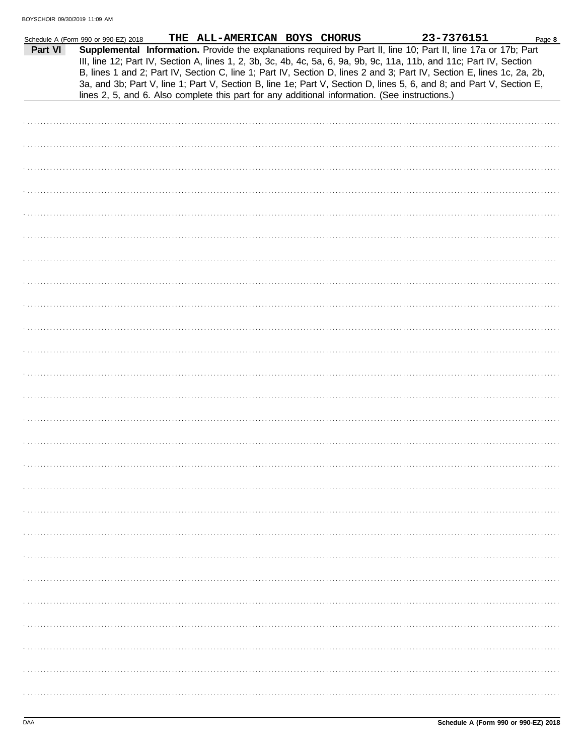|         | Schedule A (Form 990 or 990-EZ) 2018                                                           | THE ALL-AMERICAN BOYS CHORUS |  |  | 23-7376151                                                                                                                                                                                                                                                                                                                                                                                                                                                                                | Page 8 |
|---------|------------------------------------------------------------------------------------------------|------------------------------|--|--|-------------------------------------------------------------------------------------------------------------------------------------------------------------------------------------------------------------------------------------------------------------------------------------------------------------------------------------------------------------------------------------------------------------------------------------------------------------------------------------------|--------|
| Part VI | lines 2, 5, and 6. Also complete this part for any additional information. (See instructions.) |                              |  |  | Supplemental Information. Provide the explanations required by Part II, line 10; Part II, line 17a or 17b; Part<br>III, line 12; Part IV, Section A, lines 1, 2, 3b, 3c, 4b, 4c, 5a, 6, 9a, 9b, 9c, 11a, 11b, and 11c; Part IV, Section<br>B, lines 1 and 2; Part IV, Section C, line 1; Part IV, Section D, lines 2 and 3; Part IV, Section E, lines 1c, 2a, 2b,<br>3a, and 3b; Part V, line 1; Part V, Section B, line 1e; Part V, Section D, lines 5, 6, and 8; and Part V, Section E, |        |
|         |                                                                                                |                              |  |  |                                                                                                                                                                                                                                                                                                                                                                                                                                                                                           |        |
|         |                                                                                                |                              |  |  |                                                                                                                                                                                                                                                                                                                                                                                                                                                                                           |        |
|         |                                                                                                |                              |  |  |                                                                                                                                                                                                                                                                                                                                                                                                                                                                                           |        |
|         |                                                                                                |                              |  |  |                                                                                                                                                                                                                                                                                                                                                                                                                                                                                           |        |
|         |                                                                                                |                              |  |  |                                                                                                                                                                                                                                                                                                                                                                                                                                                                                           |        |
|         |                                                                                                |                              |  |  |                                                                                                                                                                                                                                                                                                                                                                                                                                                                                           |        |
|         |                                                                                                |                              |  |  |                                                                                                                                                                                                                                                                                                                                                                                                                                                                                           |        |
|         |                                                                                                |                              |  |  |                                                                                                                                                                                                                                                                                                                                                                                                                                                                                           |        |
|         |                                                                                                |                              |  |  |                                                                                                                                                                                                                                                                                                                                                                                                                                                                                           |        |
|         |                                                                                                |                              |  |  |                                                                                                                                                                                                                                                                                                                                                                                                                                                                                           |        |
|         |                                                                                                |                              |  |  |                                                                                                                                                                                                                                                                                                                                                                                                                                                                                           |        |
|         |                                                                                                |                              |  |  |                                                                                                                                                                                                                                                                                                                                                                                                                                                                                           |        |
|         |                                                                                                |                              |  |  |                                                                                                                                                                                                                                                                                                                                                                                                                                                                                           |        |
|         |                                                                                                |                              |  |  |                                                                                                                                                                                                                                                                                                                                                                                                                                                                                           |        |
|         |                                                                                                |                              |  |  |                                                                                                                                                                                                                                                                                                                                                                                                                                                                                           |        |
|         |                                                                                                |                              |  |  |                                                                                                                                                                                                                                                                                                                                                                                                                                                                                           |        |
|         |                                                                                                |                              |  |  |                                                                                                                                                                                                                                                                                                                                                                                                                                                                                           |        |
|         |                                                                                                |                              |  |  |                                                                                                                                                                                                                                                                                                                                                                                                                                                                                           |        |
|         |                                                                                                |                              |  |  |                                                                                                                                                                                                                                                                                                                                                                                                                                                                                           |        |
|         |                                                                                                |                              |  |  |                                                                                                                                                                                                                                                                                                                                                                                                                                                                                           |        |
|         |                                                                                                |                              |  |  |                                                                                                                                                                                                                                                                                                                                                                                                                                                                                           |        |
|         |                                                                                                |                              |  |  |                                                                                                                                                                                                                                                                                                                                                                                                                                                                                           |        |
|         |                                                                                                |                              |  |  |                                                                                                                                                                                                                                                                                                                                                                                                                                                                                           |        |
|         |                                                                                                |                              |  |  |                                                                                                                                                                                                                                                                                                                                                                                                                                                                                           |        |
|         |                                                                                                |                              |  |  |                                                                                                                                                                                                                                                                                                                                                                                                                                                                                           |        |
|         |                                                                                                |                              |  |  |                                                                                                                                                                                                                                                                                                                                                                                                                                                                                           |        |
|         |                                                                                                |                              |  |  |                                                                                                                                                                                                                                                                                                                                                                                                                                                                                           |        |
|         |                                                                                                |                              |  |  |                                                                                                                                                                                                                                                                                                                                                                                                                                                                                           |        |
|         |                                                                                                |                              |  |  |                                                                                                                                                                                                                                                                                                                                                                                                                                                                                           |        |
|         |                                                                                                |                              |  |  |                                                                                                                                                                                                                                                                                                                                                                                                                                                                                           |        |
|         |                                                                                                |                              |  |  |                                                                                                                                                                                                                                                                                                                                                                                                                                                                                           |        |
|         |                                                                                                |                              |  |  |                                                                                                                                                                                                                                                                                                                                                                                                                                                                                           |        |
|         |                                                                                                |                              |  |  |                                                                                                                                                                                                                                                                                                                                                                                                                                                                                           |        |
|         |                                                                                                |                              |  |  |                                                                                                                                                                                                                                                                                                                                                                                                                                                                                           |        |
|         |                                                                                                |                              |  |  |                                                                                                                                                                                                                                                                                                                                                                                                                                                                                           |        |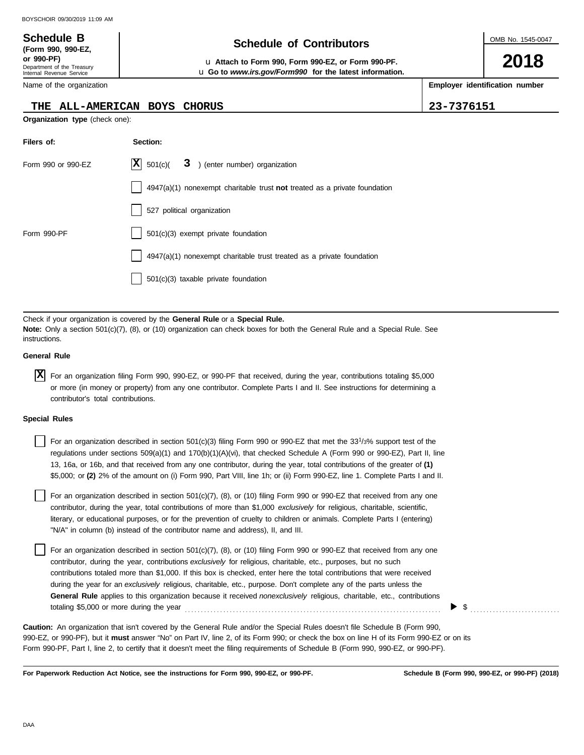# **Schedule of Contributors Schedule B**

**or 990-PF)** u **Attach to Form 990, Form 990-EZ, or Form 990-PF.** u **Go to** *www.irs.gov/Form990* **for the latest information.** OMB No. 1545-0047

**2018**

**Employer identification number**

| Name of the organization |  |
|--------------------------|--|
|--------------------------|--|

Department of the Treasury Internal Revenue Service

**(Form 990, 990-EZ,**

#### **THE ALL-AMERICAN BOYS CHORUS 23-7376151**

**Organization type** (check one):

| Filers of:         | Section:                                                                  |
|--------------------|---------------------------------------------------------------------------|
| Form 990 or 990-EZ | $ \mathbf{X} $ 501(c)( 3) (enter number) organization                     |
|                    | 4947(a)(1) nonexempt charitable trust not treated as a private foundation |
|                    | 527 political organization                                                |
| Form 990-PF        | 501(c)(3) exempt private foundation                                       |
|                    | 4947(a)(1) nonexempt charitable trust treated as a private foundation     |
|                    | 501(c)(3) taxable private foundation                                      |

Check if your organization is covered by the **General Rule** or a **Special Rule. Note:** Only a section 501(c)(7), (8), or (10) organization can check boxes for both the General Rule and a Special Rule. See instructions.

#### **General Rule**

For an organization filing Form 990, 990-EZ, or 990-PF that received, during the year, contributions totaling \$5,000 **X** or more (in money or property) from any one contributor. Complete Parts I and II. See instructions for determining a contributor's total contributions.

#### **Special Rules**

| For an organization described in section 501(c)(3) filing Form 990 or 990-EZ that met the 33 <sup>1</sup> /3% support test of the |
|-----------------------------------------------------------------------------------------------------------------------------------|
| regulations under sections $509(a)(1)$ and $170(b)(1)(A)(vi)$ , that checked Schedule A (Form 990 or 990-EZ), Part II, line       |
| 13, 16a, or 16b, and that received from any one contributor, during the year, total contributions of the greater of (1)           |
| \$5,000; or (2) 2% of the amount on (i) Form 990, Part VIII, line 1h; or (ii) Form 990-EZ, line 1. Complete Parts I and II.       |

literary, or educational purposes, or for the prevention of cruelty to children or animals. Complete Parts I (entering) For an organization described in section 501(c)(7), (8), or (10) filing Form 990 or 990-EZ that received from any one contributor, during the year, total contributions of more than \$1,000 *exclusively* for religious, charitable, scientific, "N/A" in column (b) instead of the contributor name and address), II, and III.

For an organization described in section 501(c)(7), (8), or (10) filing Form 990 or 990-EZ that received from any one contributor, during the year, contributions *exclusively* for religious, charitable, etc., purposes, but no such contributions totaled more than \$1,000. If this box is checked, enter here the total contributions that were received during the year for an *exclusively* religious, charitable, etc., purpose. Don't complete any of the parts unless the **General Rule** applies to this organization because it received *nonexclusively* religious, charitable, etc., contributions totaling \$5,000 or more during the year . . . . . . . . . . . . . . . . . . . . . . . . . . . . . . . . . . . . . . . . . . . . . . . . . . . . . . . . . . . . . . . . . . . . . . . . . . . . . . . .

990-EZ, or 990-PF), but it **must** answer "No" on Part IV, line 2, of its Form 990; or check the box on line H of its Form 990-EZ or on its Form 990-PF, Part I, line 2, to certify that it doesn't meet the filing requirements of Schedule B (Form 990, 990-EZ, or 990-PF). **Caution:** An organization that isn't covered by the General Rule and/or the Special Rules doesn't file Schedule B (Form 990,

**For Paperwork Reduction Act Notice, see the instructions for Form 990, 990-EZ, or 990-PF.**

 $\mathfrak s$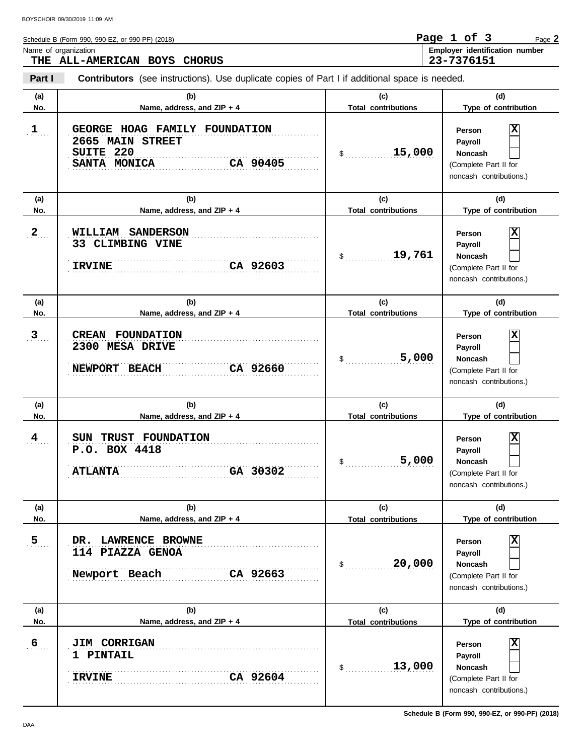**Part I Type of contribution Person Payroll Noncash (a) (b) (c) (d) No. Name, address, and ZIP + 4 Type of contribution Person Payroll Noncash (a) (b) (c) (d) No. Name, address, and ZIP + 4 Type of contribution Person Payroll Noncash (a) (b) (c) (d) No. Name, address, and ZIP + 4 Type of contribution Person Payroll Noncash** Schedule B (Form 990, 990-EZ, or 990-PF) (2018) \$ . . . . . . . . . . . . . . . . . . . . . . . . . . . . **15,000** (Complete Part II for noncash contributions.)  $\$\quad$ (Complete Part II for noncash contributions.) \$ . . . . . . . . . . . . . . . . . . . . . . . . . . . . (Complete Part II for noncash contributions.)  $\frac{1}{2}$ (Complete Part II for noncash contributions.)  $\mathsf{\$}$  . . . . . . . . . . . . . (Complete Part II for noncash contributions.)  $\mathsf{\$}$  . . . . . . . . . . . . (Complete Part II for noncash contributions.) **Contributors** (see instructions). Use duplicate copies of Part I if additional space is needed. **(a) (b) (c) (d) No. Name, address, and ZIP + 4 Total contributions Type of contribution Person Payroll Noncash (a) (b) (c) (d) No. Name, address, and ZIP + 4 Type of contribution Person Payroll Noncash (a) (b) (c) (d) No. Name, address, and ZIP + 4** Name of organization **Employer identification number**  $\mathbf{1}_{\ldots}$  $2 \ldots$  $3 \quad .$  $4 \quad .$  $5_{\ldots}$  $6.$ . . . . . . . . . . . . . . . . . . . . . . . . . . . . . . . . . . . . . . . . . . . . . . . . . . . . . . . . . . . . . . . . . . . . . . . . . . . . . . . . . . . . . . . . . . . . . . . . . . . . . . . . . . . . . . . . . . . . . . . . . . . . . . . . . . . . . . . . . . . . . . . . . . . . . . . . . . . . . . . . . . . . . . . . . . . . . . . . . . . . . . . . . . . . . . . . . . . . . . . . . . . . . . . . . . . . . . . . . . . . . . . . . . . . . . . . . . **6 JIM CORRIGAN** . . . . . . . . . . . . . . . . . . . . . . . . . . . . . . . . . . . . . . . . . . . . . . . . . . . . . . . . . . . . . . . . . . . . . . . . . . . . . . **5 DR. LAWRENCE BROWNE** CA 92663 **Newport Beach CA 92663** . . . . . . . . . . . . . . . . . . . . . . . . . . . . . . . . . . . . . . . . . . . . . . . . . . . . . . . . . . . . . . . . . . . . . . . . . . . . . . . . . . . . . . . . . . . . . . . . . . . . . . . . . . . . . . . . . . . . . . . . . . . . . . . . . . . . . . . . . . . . . . . . . . . . . . . . . . . .  $\begin{array}{|c|c|c|}\n1 & \text{SUN TRUST FOUNDATION}\n\end{array}$ . . . . . . . . . . . . . . . . . . . . . . . . . . . . . . . . . . . . . . . . . . . . . . . . . . . . . . . . . . . . . . . . . . . . . . . . . . . . . . **3 CREAN FOUNDATION** . . . . . . . . . . . . . . . . . . . . . . . . . . . . . . . . . . . . . . . . . . . . . . . . . . . . . . . . . . . . . . . . . . . . . . . . . . . . . . **NEWPORT BEACH CA 92660** . . . . . . . . . . . . . . . . . . . . . . . . . . . . . . . . . . . . . . . . . . . . . . . . . . . . . . . . . . . . . . . . . . . . . . . . . . . . . . **IRVINE CA 92603** . . . . . . . . . . . . . . . . . . . . . . . . . . . . . . . . . . . . . . . . . . . . . . . . . . . . . . . . . . . . . . . . . . . . . . . . . . . . . . . . . . . . . . . . . . . . . . . . . . . . . . . . . . . . . . . . . . . . . . . . . . . . . . . . . . . . . . . . . . . . . . . . . . . . . . . . . . . . **2 WILLIAM SANDERSON** 1 | GEORGE HOAG FAMILY FOUNDATION . . . . . . . . . . . . . . . . . . . . . . . . . . . . . . . . . . . . . . . . . . . . . . . . . . . . . . . . . . . . . . . . . . . . . . . . . . . . . . **SUITE 220** . . . . . . . . . . . . . . . . . . . . . . . . . . . . . . . . . . . . . . . . . . . . . . . . . . . . . . . . . . . . . . . . . . . . . . . . . . . . . . **SANTA MONICA CA 90405 Total contributions Total contributions Total contributions Total contributions Total contributions** Page **2 THE ALL-AMERICAN BOYS CHORUS Page 1 of 3 23-7376151 2665 MAIN STREET X 33 CLIMBING VINE 19,761 X 2300 MESA DRIVE 5,000 X P.O. BOX 4418 ATLANTA GA 30302 5,000 X 114 PIAZZA GENOA 20,000 X 1 PINTAIL IRVINE CA 92604 13,000 X**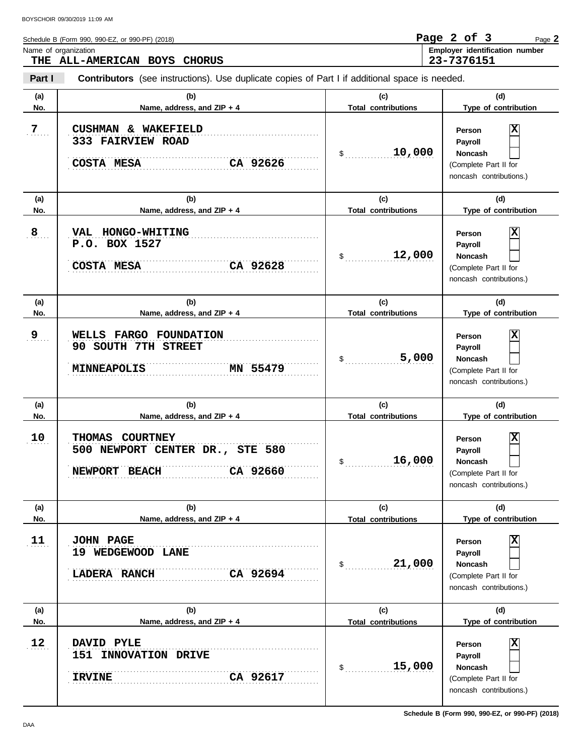**Part I Type of contribution Person Payroll Noncash (a) (b) (c) (d) No. Name, address, and ZIP + 4 Type of contribution Person Payroll Noncash (a) (b) (c) (d)** No. Name, address, and ZIP + 4 **Total contributions** Type of contribution **Person Payroll Noncash (a) (b) (c) (d) No. Name, address, and ZIP + 4 Type of contribution Person Payroll Noncash** Schedule B (Form 990, 990-EZ, or 990-PF) (2018) \$ . . . . . . . . . . . . . . . . . . . . . . . . . . . . **10,000** (Complete Part II for noncash contributions.)  $\$\quad$ (Complete Part II for noncash contributions.) \$ . . . . . . . . . . . . . . . . . . . . . . . . . . . . (Complete Part II for noncash contributions.)  $\frac{1}{2}$ (Complete Part II for noncash contributions.) \$ . . . . . . . . . . . . . . . . . . . . . . . . . . . . (Complete Part II for noncash contributions.)  $\mathfrak{s}$  . . . . . . . . . . . . (Complete Part II for noncash contributions.) **Contributors** (see instructions). Use duplicate copies of Part I if additional space is needed. **(a) (b) (c) (d) No. Name, address, and ZIP + 4 Total contributions Type of contribution Person Payroll Noncash (a) (b) (c) (d) No. Name, address, and ZIP + 4 Type of contribution Person Payroll Noncash (a) (b) (c) (d) No. Name, address, and ZIP + 4** Name of organization **Employer identification number**  $7 \ldots$  $8...$  $9...$  $10$  $11$ 12 . . . . . . . . . . . . . . . . . . . . . . . . . . . . . . . . . . . . . . . . . . . . . . . . . . . . . . . . . . . . . . . . . . . . . . . . . . . . . . . . . . . . . . . . . . . . . . . . . . . . . . . . . . . . . . . . . . . . . . . . . . . . . . . . . . . . . . . . . . . . . . . . . . . . . . . . . . . . . . . . . . . . . . . . . . . . . . . . . . . . . . . . . . . . . . . . . . . . . . . . . . . . . . . . . . . . . . . . . . . . . . . . . . . . . . . . . . **12 DAVID PYLE** . . . . . . . . . . . . . . . . . . . . . . . . . . . . . . . . . . . . . . . . . . . . . . . . . . . . . . . . . . . . . . . . . . . . . . . . . . . . . . **11 JOHN PAGE** CA 92694 . . . . . . . . . . . . . . . . . . . . . . . . . . . . . . . . . . . . . . . . . . . . . . . . . . . . . . . . . . . . . . . . . . . . . . . . . . . . . . **LADERA RANCH CA 92694** . . . . . . . . . . . . . . . . . . . . . . . . . . . . . . . . . . . . . . . . . . . . . . . . . . . . . . . . . . . . . . . . . . . . . . . . . . . . . . . . . . . . . . . . . . . . . . . . . . . . . . . . . . . . . . . . . . . . . . . . . . . . . . . . . . . . . . . . . . . . . . . . . . . . . . . . . . . . **NEWPORT BEACH CA 92660** . . . . . . . . . . . . . . . . . . . . . . . . . . . . . . . . . . . . . . . . . . . . . . . . . . . . . . . . . . . . . . . . . . . . . . . . . . . . . . **10 THOMAS COURTNEY** 9 | WELLS FARGO FOUNDATION . . . . . . . . . . . . . . . . . . . . . . . . . . . . . . . . . . . . . . . . . . . . . . . . . . . . . . . . . . . . . . . . . . . . . . . . . . . . . . . . . . . . . . . . . . . . . . . . . . . . . . . . . . . . . . . . . . . . . . . . . . . . . . . . . . . . . . . . . . . . . . . . . . . . . . . . . . . . **MINNEAPOLIS MN 55479** . . . . . . . . . . . . . . . . . . . . . . . . . . . . . . . . . . . . . . . . . . . . . . . . . . . . . . . . . . . . . . . . . . . . . . . . . . . . . . **COSTA MESA CA 92628** . . . . . . . . . . . . . . . . . . . . . . . . . . . . . . . . . . . . . . . . . . . . . . . . . . . . . . . . . . . . . . . . . . . . . . . . . . . . . . . . . . . . . . . . . . . . . . . . . . . . . . . . . . . . . . . . . . . . . . . . . . . . . . . . . . . . . . . . . . . . . . . . . . . . . . . . . . . . **8 VAL HONGO-WHITING** . . . . . . . . . . . . . . . . . . . . . . . . . . . . . . . . . . . . . . . . . . . . . . . . . . . . . . . . . . . . . . . . . . . . . . . . . . . . . . **7 CUSHMAN & WAKEFIELD** . . . . . . . . . . . . . . . . . . . . . . . . . . . . . . . . . . . . . . . . . . . . . . . . . . . . . . . . . . . . . . . . . . . . . . . . . . . . . . . . . . . . . . . . . . . . . . . . . . . . . . . . . . . . . . . . . . . . . . . . . . . . . . . . . . . . . . . . . . . . . . . . . . . . . . . . . . . . **COSTA MESA CA 92626 Total contributions Total contributions Total contributions Total contributions Total contributions** Page **2 THE ALL-AMERICAN BOYS CHORUS Page 2 of 3 23-7376151 333 FAIRVIEW ROAD X P.O. BOX 1527 12,000 X 90 SOUTH 7TH STREET 5,000 X 500 NEWPORT CENTER DR., STE 580 16,000 X 19 WEDGEWOOD LANE 21,000 X 151 INNOVATION DRIVE IRVINE CA 92617 15,000 X**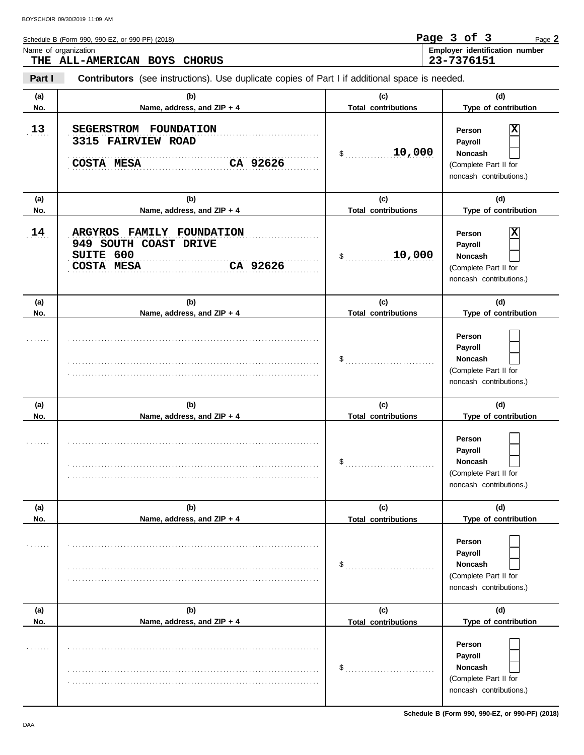|            | Schedule B (Form 990, 990-EZ, or 990-PF) (2018)                                                                         |                                   | Page 3 of 3<br>Page 2                                                                                    |
|------------|-------------------------------------------------------------------------------------------------------------------------|-----------------------------------|----------------------------------------------------------------------------------------------------------|
|            | Name of organization<br>THE ALL-AMERICAN BOYS CHORUS                                                                    |                                   | Employer identification number<br>23-7376151                                                             |
| Part I     | <b>Contributors</b> (see instructions). Use duplicate copies of Part I if additional space is needed.                   |                                   |                                                                                                          |
| (a)<br>No. | (b)<br>Name, address, and ZIP + 4                                                                                       | (c)<br><b>Total contributions</b> | (d)<br>Type of contribution                                                                              |
| 13         | SEGERSTROM FOUNDATION<br>3315 FAIRVIEW ROAD<br>COSTA MESA<br>CA 92626                                                   | 10,000<br>\$                      | Person<br>Payroll<br>Noncash<br>(Complete Part II for<br>noncash contributions.)                         |
| (a)<br>No. | (b)                                                                                                                     | (c)<br><b>Total contributions</b> | (d)<br>Type of contribution                                                                              |
| 14         | Name, address, and ZIP + 4<br>ARGYROS FAMILY FOUNDATION<br>949 SOUTH COAST DRIVE<br>SUITE 600<br>COSTA MESA<br>CA 92626 | 10,000<br>\$                      | х<br>Person<br>Payroll<br>Noncash<br>(Complete Part II for<br>noncash contributions.)                    |
| (a)<br>No. | (b)<br>Name, address, and ZIP + 4                                                                                       | (c)<br><b>Total contributions</b> | (d)<br>Type of contribution                                                                              |
|            |                                                                                                                         | \$                                | Person<br>Payroll<br>Noncash<br>(Complete Part II for<br>noncash contributions.)                         |
| (a)<br>No. | (b)<br>Name, address, and ZIP + 4                                                                                       | (c)<br><b>Total contributions</b> | (d)<br>Type of contribution                                                                              |
|            |                                                                                                                         | Φ.                                | Person<br>Payroll<br>Noncash<br>(Complete Part II for<br>noncash contributions.)                         |
| (a)<br>No. | (b)<br>Name, address, and ZIP + 4                                                                                       | (c)<br><b>Total contributions</b> | (d)<br>Type of contribution                                                                              |
|            |                                                                                                                         | \$                                | Person<br>Payroll<br>Noncash<br>(Complete Part II for<br>noncash contributions.)                         |
| (a)        | (b)                                                                                                                     | (c)                               | (d)                                                                                                      |
| No.        | Name, address, and ZIP + 4                                                                                              | <b>Total contributions</b><br>\$  | Type of contribution<br>Person<br>Payroll<br>Noncash<br>(Complete Part II for<br>noncash contributions.) |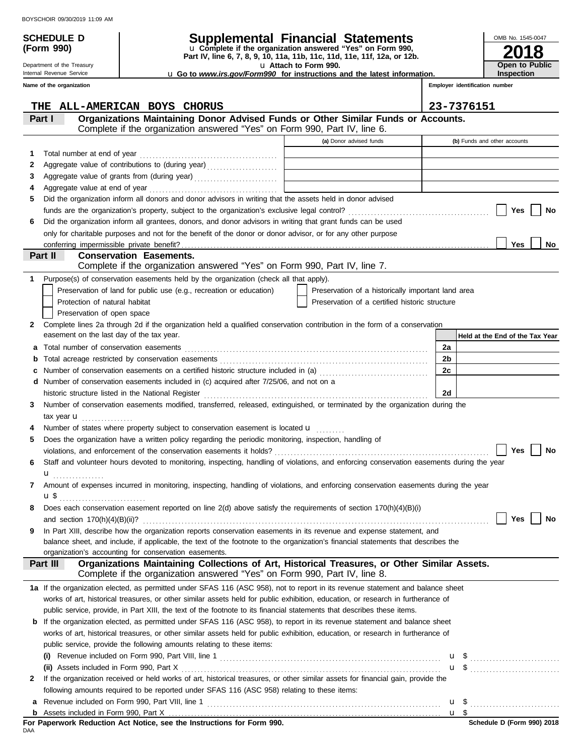**(Form 990)**

Department of the Treasury Internal Revenue Service

# **SCHEDULE D Supplemental Financial Statements**

**Part IV, line 6, 7, 8, 9, 10, 11a, 11b, 11c, 11d, 11e, 11f, 12a, or 12b.** u **Complete if the organization answered "Yes" on Form 990,**

u **Attach to Form 990.** 

u **Go to** *www.irs.gov/Form990* **for instructions and the latest information.**

**2018**

**Open to Public Inspection**

OMB No. 1545-0047

|    | Name of the organization                                                                                                                                                        |                                                                                                      | Employer identification number  |
|----|---------------------------------------------------------------------------------------------------------------------------------------------------------------------------------|------------------------------------------------------------------------------------------------------|---------------------------------|
|    | THE<br><b>ALL-AMERICAN BOYS CHORUS</b>                                                                                                                                          |                                                                                                      | 23-7376151                      |
|    | Organizations Maintaining Donor Advised Funds or Other Similar Funds or Accounts.<br>Part I                                                                                     |                                                                                                      |                                 |
|    | Complete if the organization answered "Yes" on Form 990, Part IV, line 6.                                                                                                       |                                                                                                      |                                 |
|    |                                                                                                                                                                                 | (a) Donor advised funds                                                                              | (b) Funds and other accounts    |
| 1  |                                                                                                                                                                                 |                                                                                                      |                                 |
| 2  | Aggregate value of contributions to (during year) [10] Aggregate value of contributions to (during year)                                                                        |                                                                                                      |                                 |
| 3  | Aggregate value of grants from (during year)                                                                                                                                    |                                                                                                      |                                 |
| 4  |                                                                                                                                                                                 |                                                                                                      |                                 |
| 5. | Did the organization inform all donors and donor advisors in writing that the assets held in donor advised                                                                      |                                                                                                      |                                 |
|    |                                                                                                                                                                                 |                                                                                                      | Yes<br>No                       |
| 6  | Did the organization inform all grantees, donors, and donor advisors in writing that grant funds can be used                                                                    |                                                                                                      |                                 |
|    | only for charitable purposes and not for the benefit of the donor or donor advisor, or for any other purpose                                                                    |                                                                                                      |                                 |
|    |                                                                                                                                                                                 |                                                                                                      | Yes<br>No                       |
|    | Part II<br><b>Conservation Easements.</b><br>Complete if the organization answered "Yes" on Form 990, Part IV, line 7.                                                          |                                                                                                      |                                 |
|    |                                                                                                                                                                                 |                                                                                                      |                                 |
| 1  | Purpose(s) of conservation easements held by the organization (check all that apply).                                                                                           |                                                                                                      |                                 |
|    | Preservation of land for public use (e.g., recreation or education)<br>Protection of natural habitat                                                                            | Preservation of a historically important land area<br>Preservation of a certified historic structure |                                 |
|    | Preservation of open space                                                                                                                                                      |                                                                                                      |                                 |
| 2  | Complete lines 2a through 2d if the organization held a qualified conservation contribution in the form of a conservation                                                       |                                                                                                      |                                 |
|    | easement on the last day of the tax year.                                                                                                                                       |                                                                                                      | Held at the End of the Tax Year |
| а  |                                                                                                                                                                                 |                                                                                                      | 2a                              |
| b  |                                                                                                                                                                                 |                                                                                                      | 2b                              |
| c  | Number of conservation easements on a certified historic structure included in (a) [11] [21] Number of conservation easements on a certified historic structure included in (a) |                                                                                                      | 2c                              |
| d  | Number of conservation easements included in (c) acquired after 7/25/06, and not on a                                                                                           |                                                                                                      |                                 |
|    | historic structure listed in the National Register                                                                                                                              |                                                                                                      | 2d                              |
| 3  | Number of conservation easements modified, transferred, released, extinguished, or terminated by the organization during the                                                    |                                                                                                      |                                 |
|    | tax year $\mathbf u$                                                                                                                                                            |                                                                                                      |                                 |
|    | Number of states where property subject to conservation easement is located $\mathbf{u}$                                                                                        |                                                                                                      |                                 |
| 5  | Does the organization have a written policy regarding the periodic monitoring, inspection, handling of                                                                          |                                                                                                      |                                 |
|    |                                                                                                                                                                                 |                                                                                                      | Yes<br>No                       |
| 6  | Staff and volunteer hours devoted to monitoring, inspecting, handling of violations, and enforcing conservation easements during the year                                       |                                                                                                      |                                 |
|    | $\mathbf{u}$                                                                                                                                                                    |                                                                                                      |                                 |
| 7  | Amount of expenses incurred in monitoring, inspecting, handling of violations, and enforcing conservation easements during the year                                             |                                                                                                      |                                 |
|    | u \$                                                                                                                                                                            |                                                                                                      |                                 |
| 8  | Does each conservation easement reported on line 2(d) above satisfy the requirements of section 170(h)(4)(B)(i)                                                                 |                                                                                                      | Yes<br>No                       |
| 9  | In Part XIII, describe how the organization reports conservation easements in its revenue and expense statement, and                                                            |                                                                                                      |                                 |
|    | balance sheet, and include, if applicable, the text of the footnote to the organization's financial statements that describes the                                               |                                                                                                      |                                 |
|    | organization's accounting for conservation easements.                                                                                                                           |                                                                                                      |                                 |
|    | Organizations Maintaining Collections of Art, Historical Treasures, or Other Similar Assets.<br>Part III                                                                        |                                                                                                      |                                 |
|    | Complete if the organization answered "Yes" on Form 990, Part IV, line 8.                                                                                                       |                                                                                                      |                                 |
|    | 1a If the organization elected, as permitted under SFAS 116 (ASC 958), not to report in its revenue statement and balance sheet                                                 |                                                                                                      |                                 |
|    | works of art, historical treasures, or other similar assets held for public exhibition, education, or research in furtherance of                                                |                                                                                                      |                                 |
|    | public service, provide, in Part XIII, the text of the footnote to its financial statements that describes these items.                                                         |                                                                                                      |                                 |
| b  | If the organization elected, as permitted under SFAS 116 (ASC 958), to report in its revenue statement and balance sheet                                                        |                                                                                                      |                                 |
|    | works of art, historical treasures, or other similar assets held for public exhibition, education, or research in furtherance of                                                |                                                                                                      |                                 |
|    | public service, provide the following amounts relating to these items:                                                                                                          |                                                                                                      |                                 |
|    |                                                                                                                                                                                 |                                                                                                      |                                 |
| 2  | If the organization received or held works of art, historical treasures, or other similar assets for financial gain, provide the                                                |                                                                                                      |                                 |
|    | following amounts required to be reported under SFAS 116 (ASC 958) relating to these items:                                                                                     |                                                                                                      |                                 |
| a  |                                                                                                                                                                                 |                                                                                                      | $u \sqrt{s}$                    |
|    |                                                                                                                                                                                 |                                                                                                      | u \$                            |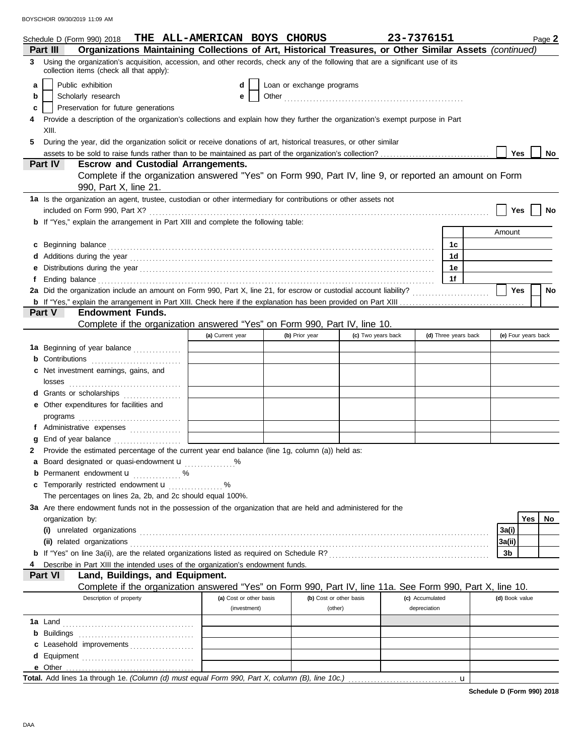|   | Schedule D (Form 990) 2018                                                                                                                                                                                                           | THE ALL-AMERICAN BOYS CHORUS |                           |                    | 23-7376151      |                      | Page 2              |
|---|--------------------------------------------------------------------------------------------------------------------------------------------------------------------------------------------------------------------------------------|------------------------------|---------------------------|--------------------|-----------------|----------------------|---------------------|
|   | Organizations Maintaining Collections of Art, Historical Treasures, or Other Similar Assets (continued)<br>Part III                                                                                                                  |                              |                           |                    |                 |                      |                     |
| 3 | Using the organization's acquisition, accession, and other records, check any of the following that are a significant use of its<br>collection items (check all that apply):                                                         |                              |                           |                    |                 |                      |                     |
| a | Public exhibition                                                                                                                                                                                                                    | d                            | Loan or exchange programs |                    |                 |                      |                     |
| b | Scholarly research                                                                                                                                                                                                                   | е                            |                           |                    |                 |                      |                     |
| c | Preservation for future generations                                                                                                                                                                                                  |                              |                           |                    |                 |                      |                     |
|   | Provide a description of the organization's collections and explain how they further the organization's exempt purpose in Part                                                                                                       |                              |                           |                    |                 |                      |                     |
|   | XIII.                                                                                                                                                                                                                                |                              |                           |                    |                 |                      |                     |
| 5 | During the year, did the organization solicit or receive donations of art, historical treasures, or other similar                                                                                                                    |                              |                           |                    |                 |                      |                     |
|   |                                                                                                                                                                                                                                      |                              |                           |                    |                 |                      | <b>Yes</b><br>No    |
|   | Part IV<br><b>Escrow and Custodial Arrangements.</b>                                                                                                                                                                                 |                              |                           |                    |                 |                      |                     |
|   | Complete if the organization answered "Yes" on Form 990, Part IV, line 9, or reported an amount on Form<br>990, Part X, line 21.                                                                                                     |                              |                           |                    |                 |                      |                     |
|   | 1a Is the organization an agent, trustee, custodian or other intermediary for contributions or other assets not                                                                                                                      |                              |                           |                    |                 |                      | Yes<br>No           |
|   | <b>b</b> If "Yes," explain the arrangement in Part XIII and complete the following table:                                                                                                                                            |                              |                           |                    |                 |                      |                     |
|   |                                                                                                                                                                                                                                      |                              |                           |                    |                 |                      | Amount              |
|   |                                                                                                                                                                                                                                      |                              |                           |                    |                 | 1c                   |                     |
|   | c Beginning balance <b>contract to the contract of the contract of the contract of the contract of the contract of the contract of the contract of the contract of the contract of the contract of the contract of the contract </b> |                              |                           |                    |                 | 1d                   |                     |
| е |                                                                                                                                                                                                                                      |                              |                           |                    |                 | 1e                   |                     |
|   |                                                                                                                                                                                                                                      |                              |                           |                    |                 | 1f                   |                     |
|   | 2a Did the organization include an amount on Form 990, Part X, line 21, for escrow or custodial account liability?                                                                                                                   |                              |                           |                    |                 |                      | <b>Yes</b><br>No    |
|   |                                                                                                                                                                                                                                      |                              |                           |                    |                 |                      |                     |
|   | Part V<br><b>Endowment Funds.</b>                                                                                                                                                                                                    |                              |                           |                    |                 |                      |                     |
|   | Complete if the organization answered "Yes" on Form 990, Part IV, line 10.                                                                                                                                                           |                              |                           |                    |                 |                      |                     |
|   |                                                                                                                                                                                                                                      | (a) Current year             | (b) Prior year            | (c) Two years back |                 | (d) Three years back | (e) Four years back |
|   | 1a Beginning of year balance                                                                                                                                                                                                         |                              |                           |                    |                 |                      |                     |
|   | <b>b</b> Contributions $\ldots$                                                                                                                                                                                                      |                              |                           |                    |                 |                      |                     |
|   | c Net investment earnings, gains, and                                                                                                                                                                                                |                              |                           |                    |                 |                      |                     |
|   |                                                                                                                                                                                                                                      |                              |                           |                    |                 |                      |                     |
|   | d Grants or scholarships                                                                                                                                                                                                             |                              |                           |                    |                 |                      |                     |
|   | e Other expenditures for facilities and                                                                                                                                                                                              |                              |                           |                    |                 |                      |                     |
|   |                                                                                                                                                                                                                                      |                              |                           |                    |                 |                      |                     |
|   | f Administrative expenses                                                                                                                                                                                                            |                              |                           |                    |                 |                      |                     |
| g | End of year balance                                                                                                                                                                                                                  |                              |                           |                    |                 |                      |                     |
| 2 | Provide the estimated percentage of the current year end balance (line 1g, column (a)) held as:                                                                                                                                      |                              |                           |                    |                 |                      |                     |
|   | a Board designated or quasi-endowment u                                                                                                                                                                                              |                              |                           |                    |                 |                      |                     |
|   | <b>b</b> Permanent endowment $\mathbf{u}$ %                                                                                                                                                                                          |                              |                           |                    |                 |                      |                     |
|   | c Temporarily restricted endowment <b>u</b>                                                                                                                                                                                          | %                            |                           |                    |                 |                      |                     |
|   | The percentages on lines 2a, 2b, and 2c should equal 100%.                                                                                                                                                                           |                              |                           |                    |                 |                      |                     |
|   | 3a Are there endowment funds not in the possession of the organization that are held and administered for the                                                                                                                        |                              |                           |                    |                 |                      |                     |
|   | organization by:                                                                                                                                                                                                                     |                              |                           |                    |                 |                      | Yes<br>No           |
|   |                                                                                                                                                                                                                                      |                              |                           |                    |                 |                      | 3a(i)               |
|   |                                                                                                                                                                                                                                      |                              |                           |                    |                 |                      | 3a(ii)<br>3b        |
|   | Describe in Part XIII the intended uses of the organization's endowment funds.                                                                                                                                                       |                              |                           |                    |                 |                      |                     |
|   | Land, Buildings, and Equipment.<br><b>Part VI</b>                                                                                                                                                                                    |                              |                           |                    |                 |                      |                     |
|   | Complete if the organization answered "Yes" on Form 990, Part IV, line 11a. See Form 990, Part X, line 10.                                                                                                                           |                              |                           |                    |                 |                      |                     |
|   | Description of property                                                                                                                                                                                                              | (a) Cost or other basis      | (b) Cost or other basis   |                    | (c) Accumulated |                      | (d) Book value      |
|   |                                                                                                                                                                                                                                      | (investment)                 | (other)                   |                    | depreciation    |                      |                     |
|   |                                                                                                                                                                                                                                      |                              |                           |                    |                 |                      |                     |
|   |                                                                                                                                                                                                                                      |                              |                           |                    |                 |                      |                     |
|   | c Leasehold improvements                                                                                                                                                                                                             |                              |                           |                    |                 |                      |                     |
|   |                                                                                                                                                                                                                                      |                              |                           |                    |                 |                      |                     |
|   |                                                                                                                                                                                                                                      |                              |                           |                    |                 |                      |                     |
|   | Total. Add lines 1a through 1e. (Column (d) must equal Form 990, Part X, column (B), line 10c.)                                                                                                                                      |                              |                           |                    |                 | $\mathbf{u}$         |                     |

**Schedule D (Form 990) 2018**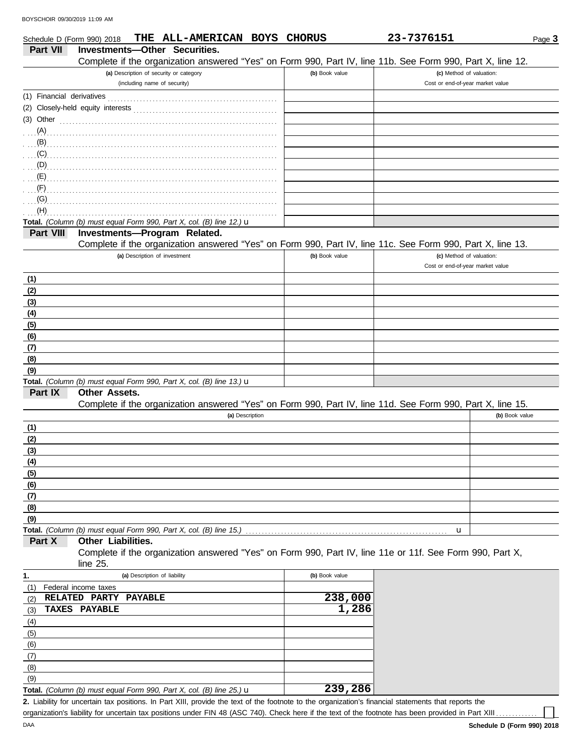| Part VII                  | THE ALL-AMERICAN BOYS CHORUS<br>Schedule D (Form 990) 2018<br>Investments-Other Securities.                |                | 23-7376151                       | Page 3         |
|---------------------------|------------------------------------------------------------------------------------------------------------|----------------|----------------------------------|----------------|
|                           | Complete if the organization answered "Yes" on Form 990, Part IV, line 11b. See Form 990, Part X, line 12. |                |                                  |                |
|                           | (a) Description of security or category                                                                    | (b) Book value | (c) Method of valuation:         |                |
|                           | (including name of security)                                                                               |                | Cost or end-of-year market value |                |
| (1) Financial derivatives |                                                                                                            |                |                                  |                |
|                           |                                                                                                            |                |                                  |                |
| (3) Other                 |                                                                                                            |                |                                  |                |
|                           |                                                                                                            |                |                                  |                |
|                           |                                                                                                            |                |                                  |                |
|                           |                                                                                                            |                |                                  |                |
|                           |                                                                                                            |                |                                  |                |
|                           |                                                                                                            |                |                                  |                |
|                           |                                                                                                            |                |                                  |                |
| (G)                       |                                                                                                            |                |                                  |                |
| (H)                       |                                                                                                            |                |                                  |                |
|                           | Total. (Column (b) must equal Form 990, Part X, col. (B) line 12.) $\mathbf u$                             |                |                                  |                |
| Part VIII                 | Investments-Program Related.                                                                               |                |                                  |                |
|                           | Complete if the organization answered "Yes" on Form 990, Part IV, line 11c. See Form 990, Part X, line 13. |                |                                  |                |
|                           | (a) Description of investment                                                                              | (b) Book value | (c) Method of valuation:         |                |
|                           |                                                                                                            |                | Cost or end-of-year market value |                |
| (1)                       |                                                                                                            |                |                                  |                |
| (2)                       |                                                                                                            |                |                                  |                |
| (3)                       |                                                                                                            |                |                                  |                |
| (4)                       |                                                                                                            |                |                                  |                |
| (5)                       |                                                                                                            |                |                                  |                |
| (6)                       |                                                                                                            |                |                                  |                |
| (7)                       |                                                                                                            |                |                                  |                |
| (8)                       |                                                                                                            |                |                                  |                |
| (9)                       |                                                                                                            |                |                                  |                |
| Part IX                   | Total. (Column (b) must equal Form 990, Part X, col. (B) line 13.) $\mathbf u$<br>Other Assets.            |                |                                  |                |
|                           | Complete if the organization answered "Yes" on Form 990, Part IV, line 11d. See Form 990, Part X, line 15. |                |                                  |                |
|                           | (a) Description                                                                                            |                |                                  | (b) Book value |
| (1)                       |                                                                                                            |                |                                  |                |
| (2)                       |                                                                                                            |                |                                  |                |
| (3)                       |                                                                                                            |                |                                  |                |
| (4)                       |                                                                                                            |                |                                  |                |
| (5)                       |                                                                                                            |                |                                  |                |
| (6)                       |                                                                                                            |                |                                  |                |
| (7)                       |                                                                                                            |                |                                  |                |
| (8)                       |                                                                                                            |                |                                  |                |
| (9)                       |                                                                                                            |                |                                  |                |
|                           | Total. (Column (b) must equal Form 990, Part X, col. (B) line 15.)                                         |                | u                                |                |
| Part X                    | <b>Other Liabilities.</b>                                                                                  |                |                                  |                |
|                           | Complete if the organization answered "Yes" on Form 990, Part IV, line 11e or 11f. See Form 990, Part X,   |                |                                  |                |
|                           | line 25.                                                                                                   |                |                                  |                |
| 1.                        | (a) Description of liability                                                                               | (b) Book value |                                  |                |
| (1)                       | Federal income taxes                                                                                       |                |                                  |                |
| (2)                       | RELATED PARTY PAYABLE                                                                                      | 238,000        |                                  |                |
| (3)                       | TAXES PAYABLE                                                                                              | 1,286          |                                  |                |
| (4)                       |                                                                                                            |                |                                  |                |
| (5)                       |                                                                                                            |                |                                  |                |
| (6)                       |                                                                                                            |                |                                  |                |
| (7)                       |                                                                                                            |                |                                  |                |
| (8)                       |                                                                                                            |                |                                  |                |
| (9)                       |                                                                                                            |                |                                  |                |
|                           | Total. (Column (b) must equal Form 990, Part X, col. (B) line 25.) $\mathbf u$                             | 239,286        |                                  |                |

**Total.** *(Column (b) must equal Form 990, Part X, col. (B) line 25.)* u  $\perp$ 

Liability for uncertain tax positions. In Part XIII, provide the text of the footnote to the organization's financial statements that reports the **2.** organization's liability for uncertain tax positions under FIN 48 (ASC 740). Check here if the text of the footnote has been provided in Part XIII.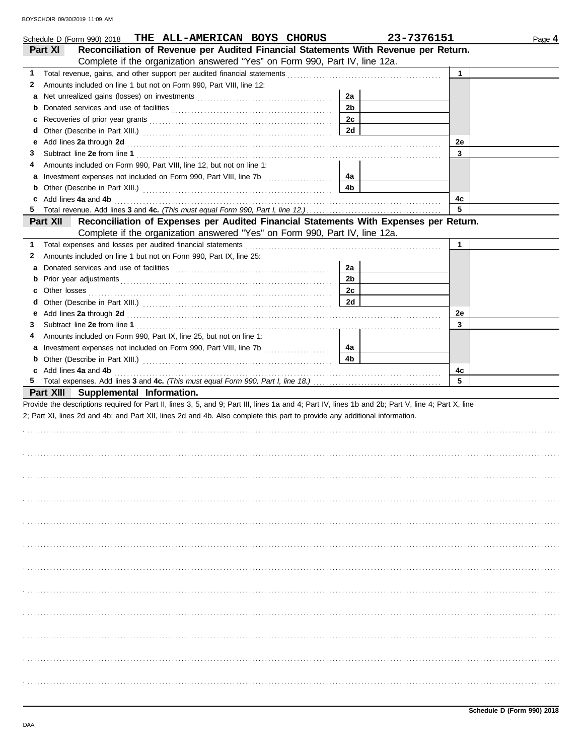| Schedule D (Form 990) 2018                                                                                                                                                                                                                                                       | THE ALL-AMERICAN BOYS CHORUS                                                                                                                                         |                | 23-7376151   | Page 4 |
|----------------------------------------------------------------------------------------------------------------------------------------------------------------------------------------------------------------------------------------------------------------------------------|----------------------------------------------------------------------------------------------------------------------------------------------------------------------|----------------|--------------|--------|
| Part XI                                                                                                                                                                                                                                                                          | Reconciliation of Revenue per Audited Financial Statements With Revenue per Return.<br>Complete if the organization answered "Yes" on Form 990, Part IV, line 12a.   |                |              |        |
| 1.                                                                                                                                                                                                                                                                               |                                                                                                                                                                      |                | $\mathbf{1}$ |        |
| Amounts included on line 1 but not on Form 990, Part VIII, line 12:<br>2                                                                                                                                                                                                         |                                                                                                                                                                      |                |              |        |
| a                                                                                                                                                                                                                                                                                |                                                                                                                                                                      | 2a             |              |        |
|                                                                                                                                                                                                                                                                                  |                                                                                                                                                                      | 2 <sub>b</sub> |              |        |
| b                                                                                                                                                                                                                                                                                |                                                                                                                                                                      |                |              |        |
| c                                                                                                                                                                                                                                                                                |                                                                                                                                                                      | 2c             |              |        |
| d                                                                                                                                                                                                                                                                                |                                                                                                                                                                      | 2d             |              |        |
| Add lines 2a through 2d [11] Add [12] Add [12] Add lines 2a through 2d [12] Add lines 2a through 2d [12] Add [12] Add [12] Add [12] Add [12] Add [12] Add [12] Add [12] Add [12] Add [12] Add [12] Add [12] Add [12] Add [12]<br>е                                               |                                                                                                                                                                      |                | 2e           |        |
| 3                                                                                                                                                                                                                                                                                |                                                                                                                                                                      |                | 3            |        |
| Amounts included on Form 990, Part VIII, line 12, but not on line 1:<br>4                                                                                                                                                                                                        |                                                                                                                                                                      |                |              |        |
| a                                                                                                                                                                                                                                                                                |                                                                                                                                                                      | 4a             |              |        |
| b                                                                                                                                                                                                                                                                                |                                                                                                                                                                      | 4b             |              |        |
| Add lines 4a and 4b<br>c                                                                                                                                                                                                                                                         |                                                                                                                                                                      |                | 4c           |        |
| 5                                                                                                                                                                                                                                                                                |                                                                                                                                                                      |                | 5            |        |
| Part XII                                                                                                                                                                                                                                                                         | Reconciliation of Expenses per Audited Financial Statements With Expenses per Return.<br>Complete if the organization answered "Yes" on Form 990, Part IV, line 12a. |                |              |        |
| 1.                                                                                                                                                                                                                                                                               |                                                                                                                                                                      |                | $\mathbf{1}$ |        |
| Amounts included on line 1 but not on Form 990, Part IX, line 25:<br>2                                                                                                                                                                                                           |                                                                                                                                                                      |                |              |        |
| a                                                                                                                                                                                                                                                                                |                                                                                                                                                                      | 2a             |              |        |
| b                                                                                                                                                                                                                                                                                |                                                                                                                                                                      | 2 <sub>b</sub> |              |        |
| c                                                                                                                                                                                                                                                                                |                                                                                                                                                                      | 2c             |              |        |
| d                                                                                                                                                                                                                                                                                |                                                                                                                                                                      | 2d             |              |        |
| е                                                                                                                                                                                                                                                                                |                                                                                                                                                                      |                | 2e           |        |
| 3                                                                                                                                                                                                                                                                                |                                                                                                                                                                      |                | 3            |        |
|                                                                                                                                                                                                                                                                                  |                                                                                                                                                                      |                |              |        |
| Amounts included on Form 990, Part IX, line 25, but not on line 1:<br>4                                                                                                                                                                                                          |                                                                                                                                                                      |                |              |        |
| a                                                                                                                                                                                                                                                                                |                                                                                                                                                                      | 4a             |              |        |
| b                                                                                                                                                                                                                                                                                |                                                                                                                                                                      | 4b             |              |        |
| c Add lines 4a and 4b                                                                                                                                                                                                                                                            |                                                                                                                                                                      |                | 4с<br>5      |        |
|                                                                                                                                                                                                                                                                                  |                                                                                                                                                                      |                |              |        |
| Part XIII Supplemental Information.                                                                                                                                                                                                                                              |                                                                                                                                                                      |                |              |        |
| Provide the descriptions required for Part II, lines 3, 5, and 9; Part III, lines 1a and 4; Part IV, lines 1b and 2b; Part V, line 4; Part X, line<br>2; Part XI, lines 2d and 4b; and Part XII, lines 2d and 4b. Also complete this part to provide any additional information. |                                                                                                                                                                      |                |              |        |
|                                                                                                                                                                                                                                                                                  |                                                                                                                                                                      |                |              |        |
|                                                                                                                                                                                                                                                                                  |                                                                                                                                                                      |                |              |        |
|                                                                                                                                                                                                                                                                                  |                                                                                                                                                                      |                |              |        |
|                                                                                                                                                                                                                                                                                  |                                                                                                                                                                      |                |              |        |
|                                                                                                                                                                                                                                                                                  |                                                                                                                                                                      |                |              |        |
|                                                                                                                                                                                                                                                                                  |                                                                                                                                                                      |                |              |        |
|                                                                                                                                                                                                                                                                                  |                                                                                                                                                                      |                |              |        |
|                                                                                                                                                                                                                                                                                  |                                                                                                                                                                      |                |              |        |
|                                                                                                                                                                                                                                                                                  |                                                                                                                                                                      |                |              |        |
|                                                                                                                                                                                                                                                                                  |                                                                                                                                                                      |                |              |        |
|                                                                                                                                                                                                                                                                                  |                                                                                                                                                                      |                |              |        |
|                                                                                                                                                                                                                                                                                  |                                                                                                                                                                      |                |              |        |
|                                                                                                                                                                                                                                                                                  |                                                                                                                                                                      |                |              |        |
|                                                                                                                                                                                                                                                                                  |                                                                                                                                                                      |                |              |        |
|                                                                                                                                                                                                                                                                                  |                                                                                                                                                                      |                |              |        |
|                                                                                                                                                                                                                                                                                  |                                                                                                                                                                      |                |              |        |
|                                                                                                                                                                                                                                                                                  |                                                                                                                                                                      |                |              |        |
|                                                                                                                                                                                                                                                                                  |                                                                                                                                                                      |                |              |        |
|                                                                                                                                                                                                                                                                                  |                                                                                                                                                                      |                |              |        |
|                                                                                                                                                                                                                                                                                  |                                                                                                                                                                      |                |              |        |
|                                                                                                                                                                                                                                                                                  |                                                                                                                                                                      |                |              |        |
|                                                                                                                                                                                                                                                                                  |                                                                                                                                                                      |                |              |        |
|                                                                                                                                                                                                                                                                                  |                                                                                                                                                                      |                |              |        |
|                                                                                                                                                                                                                                                                                  |                                                                                                                                                                      |                |              |        |
|                                                                                                                                                                                                                                                                                  |                                                                                                                                                                      |                |              |        |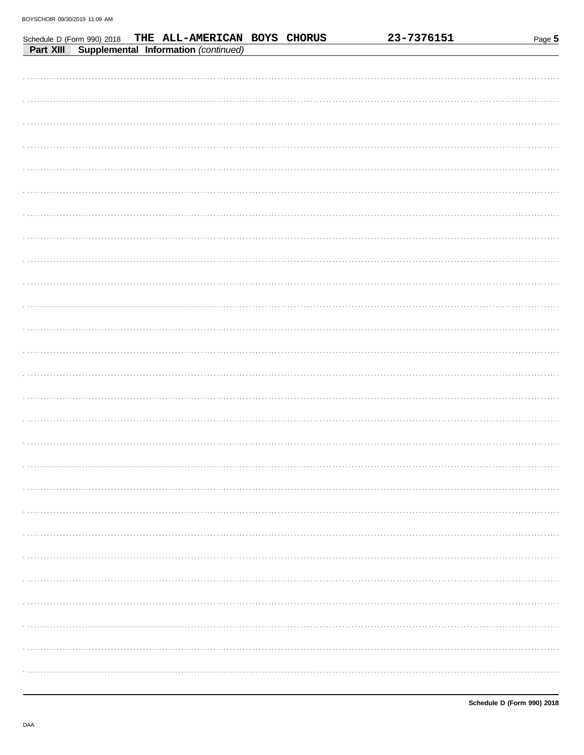|           | Schedule D (Form 990) 2018 | THE ALL-AMERICAN BOYS CHORUS         |  |  | 23-7376151 | Page 5 |
|-----------|----------------------------|--------------------------------------|--|--|------------|--------|
| Part XIII |                            | Supplemental Information (continued) |  |  |            |        |
|           |                            |                                      |  |  |            |        |
|           |                            |                                      |  |  |            |        |
|           |                            |                                      |  |  |            |        |
|           |                            |                                      |  |  |            |        |
|           |                            |                                      |  |  |            |        |
|           |                            |                                      |  |  |            |        |
|           |                            |                                      |  |  |            |        |
|           |                            |                                      |  |  |            |        |
|           |                            |                                      |  |  |            |        |
|           |                            |                                      |  |  |            |        |
|           |                            |                                      |  |  |            |        |
|           |                            |                                      |  |  |            |        |
|           |                            |                                      |  |  |            |        |
|           |                            |                                      |  |  |            |        |
|           |                            |                                      |  |  |            |        |
|           |                            |                                      |  |  |            |        |
|           |                            |                                      |  |  |            |        |
|           |                            |                                      |  |  |            |        |
|           |                            |                                      |  |  |            |        |
|           |                            |                                      |  |  |            |        |
|           |                            |                                      |  |  |            |        |
|           |                            |                                      |  |  |            |        |
|           |                            |                                      |  |  |            |        |
|           |                            |                                      |  |  |            |        |
|           |                            |                                      |  |  |            |        |
|           |                            |                                      |  |  |            |        |
|           |                            |                                      |  |  |            |        |
|           |                            |                                      |  |  |            |        |
|           |                            |                                      |  |  |            |        |
|           |                            |                                      |  |  |            |        |
|           |                            |                                      |  |  |            |        |
|           |                            |                                      |  |  |            |        |
|           |                            |                                      |  |  |            |        |
|           |                            |                                      |  |  |            |        |
|           |                            |                                      |  |  |            |        |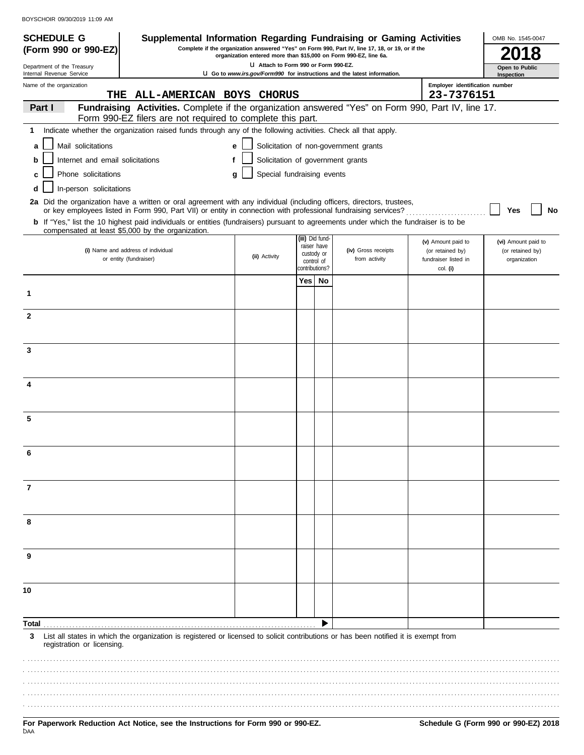| <b>SCHEDULE G</b>                                      | Supplemental Information Regarding Fundraising or Gaming Activities                                                                                                                                                                      |                                                                  |                 |             |                                                                                                 |                                              | OMB No. 1545-0047                |
|--------------------------------------------------------|------------------------------------------------------------------------------------------------------------------------------------------------------------------------------------------------------------------------------------------|------------------------------------------------------------------|-----------------|-------------|-------------------------------------------------------------------------------------------------|----------------------------------------------|----------------------------------|
| (Form 990 or 990-EZ)                                   |                                                                                                                                                                                                                                          | organization entered more than \$15,000 on Form 990-EZ, line 6a. |                 |             | Complete if the organization answered "Yes" on Form 990, Part IV, line 17, 18, or 19, or if the |                                              |                                  |
| Department of the Treasury<br>Internal Revenue Service |                                                                                                                                                                                                                                          | LI Attach to Form 990 or Form 990-EZ.                            |                 |             | <b>U Go to www.irs.gov/Form990 for instructions and the latest information.</b>                 |                                              | Open to Public<br>Inspection     |
| Name of the organization                               | THE ALL-AMERICAN BOYS CHORUS                                                                                                                                                                                                             |                                                                  |                 |             |                                                                                                 | Employer identification number<br>23-7376151 |                                  |
| Part I                                                 | Fundraising Activities. Complete if the organization answered "Yes" on Form 990, Part IV, line 17.                                                                                                                                       |                                                                  |                 |             |                                                                                                 |                                              |                                  |
|                                                        | Form 990-EZ filers are not required to complete this part.                                                                                                                                                                               |                                                                  |                 |             |                                                                                                 |                                              |                                  |
| 1                                                      | Indicate whether the organization raised funds through any of the following activities. Check all that apply.                                                                                                                            |                                                                  |                 |             |                                                                                                 |                                              |                                  |
| Mail solicitations<br>a                                |                                                                                                                                                                                                                                          | e                                                                |                 |             | Solicitation of non-government grants                                                           |                                              |                                  |
| Internet and email solicitations<br>b                  |                                                                                                                                                                                                                                          | Solicitation of government grants<br>f                           |                 |             |                                                                                                 |                                              |                                  |
| Phone solicitations<br>c                               |                                                                                                                                                                                                                                          | Special fundraising events<br>g                                  |                 |             |                                                                                                 |                                              |                                  |
| In-person solicitations<br>d                           |                                                                                                                                                                                                                                          |                                                                  |                 |             |                                                                                                 |                                              |                                  |
|                                                        | 2a Did the organization have a written or oral agreement with any individual (including officers, directors, trustees,<br>or key employees listed in Form 990, Part VII) or entity in connection with professional fundraising services? |                                                                  |                 |             |                                                                                                 |                                              | Yes<br>No                        |
|                                                        | b If "Yes," list the 10 highest paid individuals or entities (fundraisers) pursuant to agreements under which the fundraiser is to be<br>compensated at least \$5,000 by the organization.                                               |                                                                  |                 |             |                                                                                                 |                                              |                                  |
|                                                        |                                                                                                                                                                                                                                          |                                                                  | (iii) Did fund- | raiser have |                                                                                                 | (v) Amount paid to                           | (vi) Amount paid to              |
|                                                        | (i) Name and address of individual<br>or entity (fundraiser)                                                                                                                                                                             | (ii) Activity                                                    | custody or      | control of  | (iv) Gross receipts<br>from activity                                                            | (or retained by)<br>fundraiser listed in     | (or retained by)<br>organization |
|                                                        |                                                                                                                                                                                                                                          |                                                                  | contributions?  |             |                                                                                                 | col. (i)                                     |                                  |
|                                                        |                                                                                                                                                                                                                                          |                                                                  | Yes l           | No          |                                                                                                 |                                              |                                  |
| 1                                                      |                                                                                                                                                                                                                                          |                                                                  |                 |             |                                                                                                 |                                              |                                  |
| $\mathbf{2}$                                           |                                                                                                                                                                                                                                          |                                                                  |                 |             |                                                                                                 |                                              |                                  |
|                                                        |                                                                                                                                                                                                                                          |                                                                  |                 |             |                                                                                                 |                                              |                                  |
|                                                        |                                                                                                                                                                                                                                          |                                                                  |                 |             |                                                                                                 |                                              |                                  |
| 3                                                      |                                                                                                                                                                                                                                          |                                                                  |                 |             |                                                                                                 |                                              |                                  |
|                                                        |                                                                                                                                                                                                                                          |                                                                  |                 |             |                                                                                                 |                                              |                                  |
| 4                                                      |                                                                                                                                                                                                                                          |                                                                  |                 |             |                                                                                                 |                                              |                                  |
|                                                        |                                                                                                                                                                                                                                          |                                                                  |                 |             |                                                                                                 |                                              |                                  |
|                                                        |                                                                                                                                                                                                                                          |                                                                  |                 |             |                                                                                                 |                                              |                                  |
| 5                                                      |                                                                                                                                                                                                                                          |                                                                  |                 |             |                                                                                                 |                                              |                                  |
|                                                        |                                                                                                                                                                                                                                          |                                                                  |                 |             |                                                                                                 |                                              |                                  |
|                                                        |                                                                                                                                                                                                                                          |                                                                  |                 |             |                                                                                                 |                                              |                                  |
|                                                        |                                                                                                                                                                                                                                          |                                                                  |                 |             |                                                                                                 |                                              |                                  |
|                                                        |                                                                                                                                                                                                                                          |                                                                  |                 |             |                                                                                                 |                                              |                                  |
| 7                                                      |                                                                                                                                                                                                                                          |                                                                  |                 |             |                                                                                                 |                                              |                                  |
|                                                        |                                                                                                                                                                                                                                          |                                                                  |                 |             |                                                                                                 |                                              |                                  |
| 8                                                      |                                                                                                                                                                                                                                          |                                                                  |                 |             |                                                                                                 |                                              |                                  |
|                                                        |                                                                                                                                                                                                                                          |                                                                  |                 |             |                                                                                                 |                                              |                                  |
| 9                                                      |                                                                                                                                                                                                                                          |                                                                  |                 |             |                                                                                                 |                                              |                                  |
|                                                        |                                                                                                                                                                                                                                          |                                                                  |                 |             |                                                                                                 |                                              |                                  |
|                                                        |                                                                                                                                                                                                                                          |                                                                  |                 |             |                                                                                                 |                                              |                                  |
| 10                                                     |                                                                                                                                                                                                                                          |                                                                  |                 |             |                                                                                                 |                                              |                                  |
|                                                        |                                                                                                                                                                                                                                          |                                                                  |                 |             |                                                                                                 |                                              |                                  |
| Total                                                  |                                                                                                                                                                                                                                          |                                                                  |                 | ▶           |                                                                                                 |                                              |                                  |
| 3<br>registration or licensing.                        | List all states in which the organization is registered or licensed to solicit contributions or has been notified it is exempt from                                                                                                      |                                                                  |                 |             |                                                                                                 |                                              |                                  |
|                                                        |                                                                                                                                                                                                                                          |                                                                  |                 |             |                                                                                                 |                                              |                                  |
|                                                        |                                                                                                                                                                                                                                          |                                                                  |                 |             |                                                                                                 |                                              |                                  |
|                                                        |                                                                                                                                                                                                                                          |                                                                  |                 |             |                                                                                                 |                                              |                                  |
|                                                        |                                                                                                                                                                                                                                          |                                                                  |                 |             |                                                                                                 |                                              |                                  |
|                                                        |                                                                                                                                                                                                                                          |                                                                  |                 |             |                                                                                                 |                                              |                                  |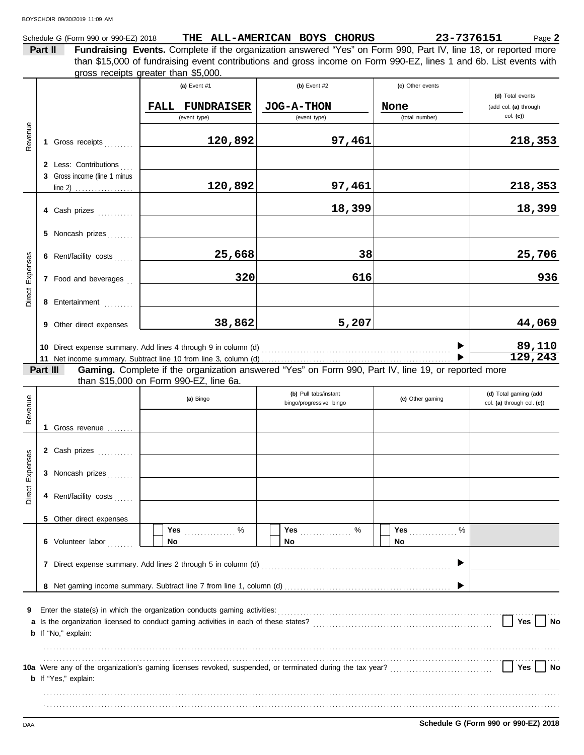|                                    | gross receipts greater than \$5,000.                  | (a) Event $#1$                                                                                                                                | (b) Event #2               | (c) Other events          |                                                       |
|------------------------------------|-------------------------------------------------------|-----------------------------------------------------------------------------------------------------------------------------------------------|----------------------------|---------------------------|-------------------------------------------------------|
|                                    |                                                       | <b>FALL</b><br><b>FUNDRAISER</b><br>(event type)                                                                                              | JOG-A-THON<br>(event type) | None<br>(total number)    | (d) Total events<br>(add col. (a) through<br>col. (c) |
| Revenue                            | 1 Gross receipts                                      | 120,892                                                                                                                                       | 97,461                     |                           | 218,353                                               |
|                                    | 2 Less: Contributions<br>3 Gross income (line 1 minus | 120,892                                                                                                                                       | 97,461                     |                           | 218,353                                               |
|                                    | 4 Cash prizes                                         |                                                                                                                                               | 18,399                     |                           | 18,399                                                |
|                                    | 5 Noncash prizes                                      |                                                                                                                                               |                            |                           |                                                       |
|                                    | 6 Rent/facility costs                                 | 25,668                                                                                                                                        | 38                         |                           | 25,706                                                |
| Expenses                           | 7 Food and beverages                                  | 320                                                                                                                                           | 616                        |                           | 936                                                   |
| Direct                             | 8 Entertainment                                       |                                                                                                                                               |                            |                           |                                                       |
|                                    |                                                       |                                                                                                                                               |                            |                           | 44,069                                                |
|                                    | 9 Other direct expenses                               | 38,862                                                                                                                                        | 5,207                      |                           |                                                       |
|                                    | Part III                                              | Gaming. Complete if the organization answered "Yes" on Form 990, Part IV, line 19, or reported more<br>than \$15,000 on Form 990-EZ, line 6a. | (b) Pull tabs/instant      |                           | (d) Total gaming (add                                 |
|                                    | 1 Gross revenue                                       | (a) Bingo                                                                                                                                     | bingo/progressive bingo    | (c) Other gaming          | col. (a) through col. (c))                            |
|                                    | 2 Cash prizes                                         |                                                                                                                                               |                            |                           |                                                       |
|                                    | 3 Noncash prizes                                      |                                                                                                                                               |                            |                           |                                                       |
| Revenue<br>ses<br>Expens<br>Direct | 4 Rent/facility costs                                 |                                                                                                                                               |                            |                           | 89,110<br>129,243                                     |
|                                    | 5 Other direct expenses                               |                                                                                                                                               |                            |                           |                                                       |
|                                    | 6 Volunteer labor                                     | Yes <b>Market</b><br>%<br>No                                                                                                                  | <b>Yes</b><br>%<br>No      | $\%$<br><b>Yes</b><br>No. |                                                       |
|                                    |                                                       |                                                                                                                                               |                            |                           |                                                       |
|                                    |                                                       |                                                                                                                                               |                            |                           |                                                       |

. . . . . . . . . . . . . . . . . . . . . . . . . . . . . . . . . . . . . . . . . . . . . . . . . . . . . . . . . . . . . . . . . . . . . . . . . . . . . . . . . . . . . . . . . . . . . . . . . . . . . . . . . . . . . . . . . . . . . . . . . . . . . . . . . . . . . . . . . . . . . . . . . . . . . . . . . . . . . . . . . . . . . . . . . . . . . . . . . . . . . . . . . . . . . . . . . . . . . . . . . . . . . . . . . . . . . . . . . . . . . . . . . . . . . . . . . . . . . . . . . . . . . . . . . . . . . . . . . . . . . . . . . . . . . . . . . . . . . . . . . . . . . . . . . . . . . . . . . . . . . . . . . . . . . . . . . . . . . . . . . .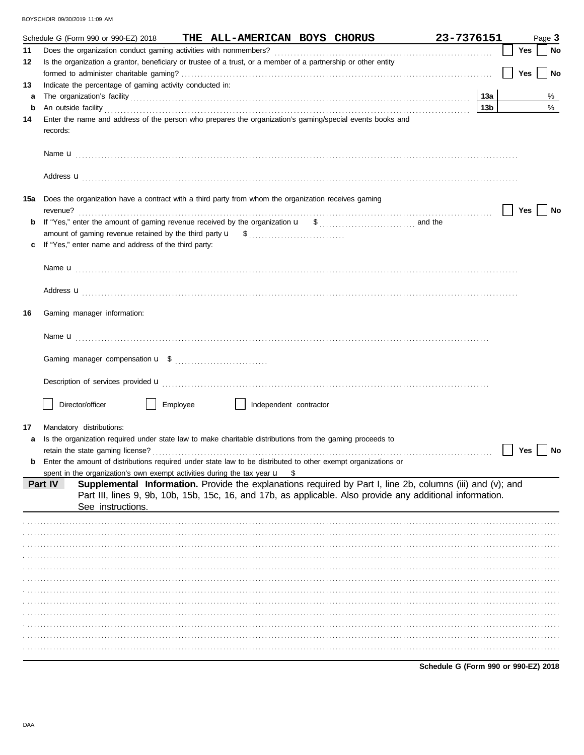|     | Schedule G (Form 990 or 990-EZ) 2018                     |                   |          | THE ALL-AMERICAN BOYS CHORUS                                                                                                                                                                                                         |  | 23-7376151                           |                 |     | Page 3 |
|-----|----------------------------------------------------------|-------------------|----------|--------------------------------------------------------------------------------------------------------------------------------------------------------------------------------------------------------------------------------------|--|--------------------------------------|-----------------|-----|--------|
| 11  |                                                          |                   |          |                                                                                                                                                                                                                                      |  |                                      |                 | Yes | No     |
| 12  |                                                          |                   |          | Is the organization a grantor, beneficiary or trustee of a trust, or a member of a partnership or other entity                                                                                                                       |  |                                      |                 |     |        |
|     |                                                          |                   |          |                                                                                                                                                                                                                                      |  |                                      |                 | Yes | No     |
| 13  | Indicate the percentage of gaming activity conducted in: |                   |          |                                                                                                                                                                                                                                      |  |                                      |                 |     |        |
| a   |                                                          |                   |          |                                                                                                                                                                                                                                      |  |                                      | 13a             |     | %      |
| b   |                                                          |                   |          | An outside facility <b>contained a set of the contract of the contract of the contract of the contract of the contract of the contract of the contract of the contract of the contract of the contract of the contract of the co</b> |  |                                      | 13 <sub>b</sub> |     | %      |
| 14  |                                                          |                   |          | Enter the name and address of the person who prepares the organization's gaming/special events books and                                                                                                                             |  |                                      |                 |     |        |
|     | records:                                                 |                   |          |                                                                                                                                                                                                                                      |  |                                      |                 |     |        |
|     |                                                          |                   |          |                                                                                                                                                                                                                                      |  |                                      |                 |     |        |
|     |                                                          |                   |          |                                                                                                                                                                                                                                      |  |                                      |                 |     |        |
|     |                                                          |                   |          |                                                                                                                                                                                                                                      |  |                                      |                 |     |        |
|     |                                                          |                   |          |                                                                                                                                                                                                                                      |  |                                      |                 |     |        |
| 15a |                                                          |                   |          | Does the organization have a contract with a third party from whom the organization receives gaming                                                                                                                                  |  |                                      |                 |     |        |
|     | revenue?                                                 |                   |          |                                                                                                                                                                                                                                      |  |                                      |                 | Yes | No     |
| b   |                                                          |                   |          |                                                                                                                                                                                                                                      |  |                                      |                 |     |        |
|     |                                                          |                   |          |                                                                                                                                                                                                                                      |  |                                      |                 |     |        |
| c   | If "Yes," enter name and address of the third party:     |                   |          |                                                                                                                                                                                                                                      |  |                                      |                 |     |        |
|     |                                                          |                   |          |                                                                                                                                                                                                                                      |  |                                      |                 |     |        |
|     |                                                          |                   |          |                                                                                                                                                                                                                                      |  |                                      |                 |     |        |
|     |                                                          |                   |          |                                                                                                                                                                                                                                      |  |                                      |                 |     |        |
|     |                                                          |                   |          | Address <b>u</b>                                                                                                                                                                                                                     |  |                                      |                 |     |        |
|     |                                                          |                   |          |                                                                                                                                                                                                                                      |  |                                      |                 |     |        |
| 16  | Gaming manager information:                              |                   |          |                                                                                                                                                                                                                                      |  |                                      |                 |     |        |
|     |                                                          |                   |          |                                                                                                                                                                                                                                      |  |                                      |                 |     |        |
|     |                                                          |                   |          |                                                                                                                                                                                                                                      |  |                                      |                 |     |        |
|     |                                                          |                   |          |                                                                                                                                                                                                                                      |  |                                      |                 |     |        |
|     |                                                          |                   |          |                                                                                                                                                                                                                                      |  |                                      |                 |     |        |
|     |                                                          |                   |          | Description of services provided <b>u</b> electron contract the contract of the contract of the contract of the contract of the contract of the contract of the contract of the contract of the contract of the contract of the con  |  |                                      |                 |     |        |
|     |                                                          |                   |          |                                                                                                                                                                                                                                      |  |                                      |                 |     |        |
|     | Director/officer                                         |                   | Employee | Independent contractor                                                                                                                                                                                                               |  |                                      |                 |     |        |
|     |                                                          |                   |          |                                                                                                                                                                                                                                      |  |                                      |                 |     |        |
| 17  | Mandatory distributions:                                 |                   |          |                                                                                                                                                                                                                                      |  |                                      |                 |     |        |
| a   |                                                          |                   |          | Is the organization required under state law to make charitable distributions from the gaming proceeds to                                                                                                                            |  |                                      |                 |     |        |
|     |                                                          |                   |          |                                                                                                                                                                                                                                      |  |                                      |                 | Yes | No     |
| b   |                                                          |                   |          | Enter the amount of distributions required under state law to be distributed to other exempt organizations or                                                                                                                        |  |                                      |                 |     |        |
|     |                                                          |                   |          | spent in the organization's own exempt activities during the tax year $\mathbf u$<br>\$                                                                                                                                              |  |                                      |                 |     |        |
|     | Part IV                                                  |                   |          | Supplemental Information. Provide the explanations required by Part I, line 2b, columns (iii) and (v); and                                                                                                                           |  |                                      |                 |     |        |
|     |                                                          |                   |          | Part III, lines 9, 9b, 10b, 15b, 15c, 16, and 17b, as applicable. Also provide any additional information.                                                                                                                           |  |                                      |                 |     |        |
|     |                                                          | See instructions. |          |                                                                                                                                                                                                                                      |  |                                      |                 |     |        |
|     |                                                          |                   |          |                                                                                                                                                                                                                                      |  |                                      |                 |     |        |
|     |                                                          |                   |          |                                                                                                                                                                                                                                      |  |                                      |                 |     |        |
|     |                                                          |                   |          |                                                                                                                                                                                                                                      |  |                                      |                 |     |        |
|     |                                                          |                   |          |                                                                                                                                                                                                                                      |  |                                      |                 |     |        |
|     |                                                          |                   |          |                                                                                                                                                                                                                                      |  |                                      |                 |     |        |
|     |                                                          |                   |          |                                                                                                                                                                                                                                      |  |                                      |                 |     |        |
|     |                                                          |                   |          |                                                                                                                                                                                                                                      |  |                                      |                 |     |        |
|     |                                                          |                   |          |                                                                                                                                                                                                                                      |  |                                      |                 |     |        |
|     |                                                          |                   |          |                                                                                                                                                                                                                                      |  |                                      |                 |     |        |
|     |                                                          |                   |          |                                                                                                                                                                                                                                      |  |                                      |                 |     |        |
|     |                                                          |                   |          |                                                                                                                                                                                                                                      |  |                                      |                 |     |        |
|     |                                                          |                   |          |                                                                                                                                                                                                                                      |  |                                      |                 |     |        |
|     |                                                          |                   |          |                                                                                                                                                                                                                                      |  | Schedule G (Form 990 or 990-EZ) 2018 |                 |     |        |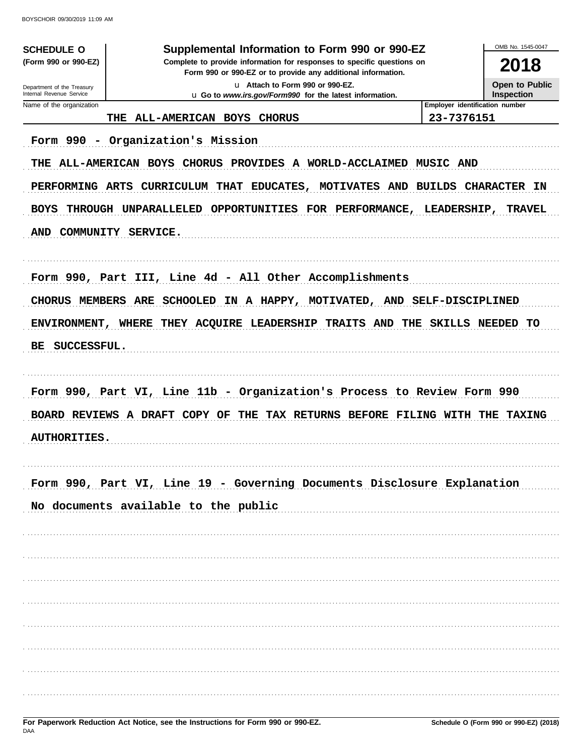|                                                                                     | Supplemental Information to Form 990 or 990-EZ                              |                                | OMB No. 1545-0047          |  |  |  |  |  |  |
|-------------------------------------------------------------------------------------|-----------------------------------------------------------------------------|--------------------------------|----------------------------|--|--|--|--|--|--|
| <b>SCHEDULE O</b><br>(Form 990 or 990-EZ)                                           | Complete to provide information for responses to specific questions on      | 2018                           |                            |  |  |  |  |  |  |
| Department of the Treasury                                                          |                                                                             | Open to Public                 |                            |  |  |  |  |  |  |
| Internal Revenue Service                                                            | u Go to www.irs.gov/Form990 for the latest information.                     | Employer identification number | <b>Inspection</b>          |  |  |  |  |  |  |
| Name of the organization                                                            | ALL-AMERICAN BOYS CHORUS<br>THE                                             | 23-7376151                     |                            |  |  |  |  |  |  |
|                                                                                     |                                                                             |                                |                            |  |  |  |  |  |  |
|                                                                                     | Form 990 - Organization's Mission                                           |                                |                            |  |  |  |  |  |  |
| THE                                                                                 | ALL-AMERICAN BOYS CHORUS PROVIDES A WORLD-ACCLAIMED                         | <b>MUSIC AND</b>               |                            |  |  |  |  |  |  |
|                                                                                     | PERFORMING ARTS CURRICULUM THAT<br><b>EDUCATES,</b><br><b>MOTIVATES AND</b> |                                | <b>BUILDS CHARACTER IN</b> |  |  |  |  |  |  |
| <b>BOYS</b>                                                                         | THROUGH UNPARALLELED OPPORTUNITIES<br>FOR PERFORMANCE,                      | LEADERSHIP,                    | <b>TRAVEL</b>              |  |  |  |  |  |  |
| AND                                                                                 | COMMUNITY SERVICE.                                                          |                                |                            |  |  |  |  |  |  |
|                                                                                     |                                                                             |                                |                            |  |  |  |  |  |  |
|                                                                                     | Form 990, Part III, Line 4d - All Other Accomplishments                     |                                |                            |  |  |  |  |  |  |
| CHORUS MEMBERS                                                                      | ARE<br><b>SCHOOLED</b><br>IN A HAPPY, MOTIVATED, AND SELF-DISCIPLINED       |                                |                            |  |  |  |  |  |  |
| ENVIRONMENT, WHERE<br>THEY ACQUIRE LEADERSHIP TRAITS AND<br>THE<br>SKILLS NEEDED TO |                                                                             |                                |                            |  |  |  |  |  |  |
| SUCCESSFUL.<br>BЕ                                                                   |                                                                             |                                |                            |  |  |  |  |  |  |
|                                                                                     |                                                                             |                                |                            |  |  |  |  |  |  |
|                                                                                     | Form 990, Part VI, Line 11b - Organization's Process to Review Form 990     |                                |                            |  |  |  |  |  |  |
| <b>BOARD</b>                                                                        | REVIEWS A DRAFT COPY OF<br>THE TAX RETURNS BEFORE FILING WITH THE TAXING    |                                |                            |  |  |  |  |  |  |
| <b>AUTHORITIES.</b>                                                                 |                                                                             |                                |                            |  |  |  |  |  |  |
|                                                                                     |                                                                             |                                |                            |  |  |  |  |  |  |
|                                                                                     | Form 990, Part VI, Line 19 - Governing Documents Disclosure Explanation     |                                |                            |  |  |  |  |  |  |
|                                                                                     | No documents available to the public                                        |                                |                            |  |  |  |  |  |  |
|                                                                                     |                                                                             |                                |                            |  |  |  |  |  |  |
|                                                                                     |                                                                             |                                |                            |  |  |  |  |  |  |
|                                                                                     |                                                                             |                                |                            |  |  |  |  |  |  |
|                                                                                     |                                                                             |                                |                            |  |  |  |  |  |  |
|                                                                                     |                                                                             |                                |                            |  |  |  |  |  |  |
|                                                                                     |                                                                             |                                |                            |  |  |  |  |  |  |
|                                                                                     |                                                                             |                                |                            |  |  |  |  |  |  |
|                                                                                     |                                                                             |                                |                            |  |  |  |  |  |  |
|                                                                                     |                                                                             |                                |                            |  |  |  |  |  |  |
|                                                                                     |                                                                             |                                |                            |  |  |  |  |  |  |
|                                                                                     |                                                                             |                                |                            |  |  |  |  |  |  |
|                                                                                     |                                                                             |                                |                            |  |  |  |  |  |  |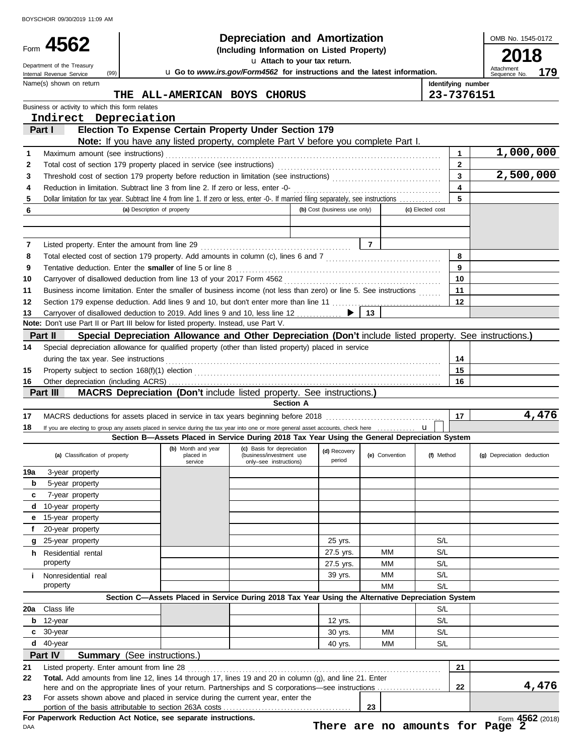|        | <b>Depreciation and Amortization</b>                                                |                                    |                      |                                                                                                                                         |                              |                | OMB No. 1545-0172  |                                           |                            |  |  |
|--------|-------------------------------------------------------------------------------------|------------------------------------|----------------------|-----------------------------------------------------------------------------------------------------------------------------------------|------------------------------|----------------|--------------------|-------------------------------------------|----------------------------|--|--|
|        | Form 4562                                                                           |                                    |                      | (Including Information on Listed Property)                                                                                              |                              |                |                    |                                           | 2018                       |  |  |
|        | Department of the Treasury                                                          |                                    |                      | u Attach to your tax return.                                                                                                            |                              |                |                    |                                           | Attachment                 |  |  |
|        | (99)<br>Internal Revenue Service                                                    |                                    |                      | u Go to www.irs.gov/Form4562 for instructions and the latest information.                                                               |                              |                |                    | 179<br>Sequence No.                       |                            |  |  |
|        | Name(s) shown on return                                                             |                                    |                      |                                                                                                                                         |                              |                | Identifying number |                                           |                            |  |  |
|        |                                                                                     | THE                                |                      | <b>ALL-AMERICAN BOYS CHORUS</b>                                                                                                         |                              |                | 23-7376151         |                                           |                            |  |  |
|        | Business or activity to which this form relates                                     |                                    |                      |                                                                                                                                         |                              |                |                    |                                           |                            |  |  |
|        | Indirect Depreciation                                                               |                                    |                      |                                                                                                                                         |                              |                |                    |                                           |                            |  |  |
|        | Part I                                                                              |                                    |                      | Election To Expense Certain Property Under Section 179                                                                                  |                              |                |                    |                                           |                            |  |  |
|        |                                                                                     |                                    |                      | Note: If you have any listed property, complete Part V before you complete Part I.                                                      |                              |                |                    |                                           |                            |  |  |
| 1      |                                                                                     |                                    |                      | Maximum amount (see instructions) contains and an intervention of the intervention amount (see instructions)                            |                              |                |                    | $\mathbf{1}$                              | 1,000,000                  |  |  |
| 2      |                                                                                     |                                    |                      |                                                                                                                                         |                              |                |                    | $\overline{2}$<br>$\overline{\mathbf{3}}$ | 2,500,000                  |  |  |
| 3      |                                                                                     |                                    |                      |                                                                                                                                         |                              |                |                    | $\overline{\mathbf{4}}$                   |                            |  |  |
| 4      |                                                                                     |                                    |                      | Dollar limitation for tax year. Subtract line 4 from line 1. If zero or less, enter -0-. If married filing separately, see instructions |                              |                |                    | 5                                         |                            |  |  |
| 5<br>6 |                                                                                     | (a) Description of property        |                      |                                                                                                                                         | (b) Cost (business use only) |                | (c) Elected cost   |                                           |                            |  |  |
|        |                                                                                     |                                    |                      |                                                                                                                                         |                              |                |                    |                                           |                            |  |  |
|        |                                                                                     |                                    |                      |                                                                                                                                         |                              |                |                    |                                           |                            |  |  |
| 7      |                                                                                     |                                    |                      |                                                                                                                                         |                              |                |                    |                                           |                            |  |  |
| 8      |                                                                                     |                                    |                      |                                                                                                                                         |                              |                |                    | 8                                         |                            |  |  |
| 9      |                                                                                     |                                    |                      | Tentative deduction. Enter the smaller of line 5 or line 8 [11] match contains the deduction. Enter the smaller of line 5 or line 8     |                              |                |                    | 9                                         |                            |  |  |
| 10     |                                                                                     |                                    |                      |                                                                                                                                         |                              |                |                    | 10                                        |                            |  |  |
| 11     |                                                                                     |                                    |                      | Business income limitation. Enter the smaller of business income (not less than zero) or line 5. See instructions                       |                              |                |                    | 11                                        |                            |  |  |
| 12     |                                                                                     |                                    |                      | Section 179 expense deduction. Add lines 9 and 10, but don't enter more than line 11                                                    |                              |                |                    | 12                                        |                            |  |  |
| 13     |                                                                                     |                                    |                      | Carryover of disallowed deduction to 2019. Add lines 9 and 10, less line 12  ▶                                                          |                              | 13             |                    |                                           |                            |  |  |
|        | Note: Don't use Part II or Part III below for listed property. Instead, use Part V. |                                    |                      |                                                                                                                                         |                              |                |                    |                                           |                            |  |  |
|        | Part II                                                                             |                                    |                      | Special Depreciation Allowance and Other Depreciation (Don't include listed property. See instructions.)                                |                              |                |                    |                                           |                            |  |  |
| 14     |                                                                                     |                                    |                      | Special depreciation allowance for qualified property (other than listed property) placed in service                                    |                              |                |                    |                                           |                            |  |  |
|        |                                                                                     |                                    |                      |                                                                                                                                         |                              |                |                    | 14                                        |                            |  |  |
| 15     |                                                                                     |                                    |                      |                                                                                                                                         |                              |                |                    | 15                                        |                            |  |  |
| 16     |                                                                                     |                                    |                      |                                                                                                                                         |                              |                |                    | 16                                        |                            |  |  |
|        | Part III                                                                            |                                    |                      | MACRS Depreciation (Don't include listed property. See instructions.)                                                                   |                              |                |                    |                                           |                            |  |  |
|        |                                                                                     |                                    |                      | <b>Section A</b>                                                                                                                        |                              |                |                    |                                           |                            |  |  |
| 17     |                                                                                     |                                    |                      |                                                                                                                                         |                              |                |                    | 17                                        | 4,476                      |  |  |
| 18     |                                                                                     |                                    |                      | If you are electing to group any assets placed in service during the tax year into one or more general asset accounts, check here       |                              |                | $\mathbf{u}$       |                                           |                            |  |  |
|        |                                                                                     |                                    |                      | Section B-Assets Placed in Service During 2018 Tax Year Using the General Depreciation System                                           |                              |                |                    |                                           |                            |  |  |
|        | (a) Classification of property                                                      |                                    | placed in<br>service | (b) Month and year (c) Basis for depreciation (d) Recovery<br>(business/investment use<br>only-see instructions)                        | period                       | (e) Convention | (f) Method         |                                           | (g) Depreciation deduction |  |  |
| 19a    | 3-year property                                                                     |                                    |                      |                                                                                                                                         |                              |                |                    |                                           |                            |  |  |
| b      | 5-year property                                                                     |                                    |                      |                                                                                                                                         |                              |                |                    |                                           |                            |  |  |
| c      | 7-year property                                                                     |                                    |                      |                                                                                                                                         |                              |                |                    |                                           |                            |  |  |
| d      | 10-year property                                                                    |                                    |                      |                                                                                                                                         |                              |                |                    |                                           |                            |  |  |
| е      | 15-year property                                                                    |                                    |                      |                                                                                                                                         |                              |                |                    |                                           |                            |  |  |
| f      | 20-year property                                                                    |                                    |                      |                                                                                                                                         |                              |                |                    |                                           |                            |  |  |
| g      | 25-year property                                                                    |                                    |                      |                                                                                                                                         | 25 yrs.                      |                | S/L                |                                           |                            |  |  |
|        | <b>h</b> Residential rental                                                         |                                    |                      |                                                                                                                                         | 27.5 yrs.                    | МM             | S/L                |                                           |                            |  |  |
|        | property                                                                            |                                    |                      |                                                                                                                                         | 27.5 yrs.                    | MM             | S/L                |                                           |                            |  |  |
| j.     | Nonresidential real                                                                 |                                    |                      |                                                                                                                                         | 39 yrs.                      | МM             | S/L                |                                           |                            |  |  |
|        | property                                                                            |                                    |                      |                                                                                                                                         |                              | <b>MM</b>      | S/L                |                                           |                            |  |  |
|        |                                                                                     |                                    |                      | Section C-Assets Placed in Service During 2018 Tax Year Using the Alternative Depreciation System                                       |                              |                |                    |                                           |                            |  |  |
| 20a    | Class life                                                                          |                                    |                      |                                                                                                                                         |                              |                | S/L                |                                           |                            |  |  |
| b      | 12-year                                                                             |                                    |                      |                                                                                                                                         | 12 yrs.                      |                | S/L                |                                           |                            |  |  |
|        | $c30$ -year                                                                         |                                    |                      |                                                                                                                                         | 30 yrs.                      | MМ             | S/L                |                                           |                            |  |  |
|        | $d$ 40-year                                                                         |                                    |                      |                                                                                                                                         | 40 yrs.                      | MM             | S/L                |                                           |                            |  |  |
|        | Part IV                                                                             | <b>Summary</b> (See instructions.) |                      |                                                                                                                                         |                              |                |                    |                                           |                            |  |  |
| 21     | Listed property. Enter amount from line 28                                          |                                    |                      |                                                                                                                                         |                              |                |                    | 21                                        |                            |  |  |
| 22     |                                                                                     |                                    |                      | Total. Add amounts from line 12, lines 14 through 17, lines 19 and 20 in column (g), and line 21. Enter                                 |                              |                |                    |                                           |                            |  |  |
|        |                                                                                     |                                    |                      |                                                                                                                                         |                              |                |                    | 22                                        | 4,476                      |  |  |
| 23     |                                                                                     |                                    |                      | For assets shown above and placed in service during the current year, enter the                                                         |                              |                |                    |                                           |                            |  |  |
|        |                                                                                     |                                    |                      |                                                                                                                                         |                              |                |                    |                                           |                            |  |  |
|        | For Paperwork Reduction Act Notice, see separate instructions.                      |                                    |                      |                                                                                                                                         |                              | 23             |                    |                                           | Form 4562 (2018)           |  |  |